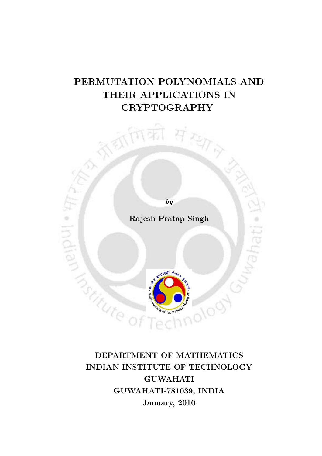# PERMUTATION POLYNOMIALS AND THEIR APPLICATIONS IN CRYPTOGRAPHY



DEPARTMENT OF MATHEMATICS INDIAN INSTITUTE OF TECHNOLOGY GUWAHATI GUWAHATI-781039, INDIA January, 2010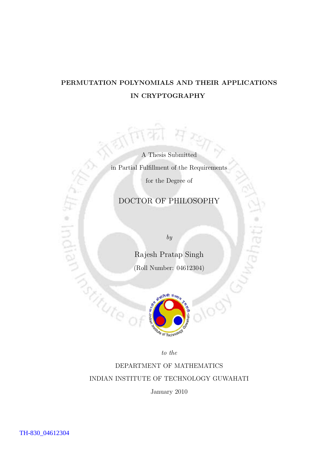# PERMUTATION POLYNOMIALS AND THEIR APPLICATIONS IN CRYPTOGRAPHY

A Thesis Submitted in Partial Fulfillment of the Requirements for the Degree of

## DOCTOR OF PHILOSOPHY

by

Rajesh Pratap Singh (Roll Number: 04612304)



to the

DEPARTMENT OF MATHEMATICS INDIAN INSTITUTE OF TECHNOLOGY GUWAHATI

January 2010

Indian

**Tradition**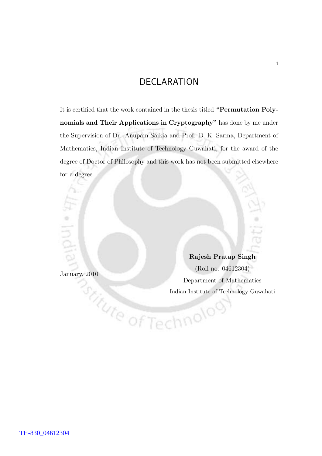## DECLARATION

It is certified that the work contained in the thesis titled "Permutation Polynomials and Their Applications in Cryptography" has done by me under the Supervision of Dr. Anupam Saikia and Prof. B. K. Sarma, Department of Mathematics, Indian Institute of Technology Guwahati, for the award of the degree of Doctor of Philosophy and this work has not been submitted elsewhere for a degree.

January, 2010

Rajesh Pratap Singh (Roll no. 04612304) Department of Mathematics<br>
Indian Institute of Technology Guw<br>
Of Technology Of Indian Institute of Technology Guwahati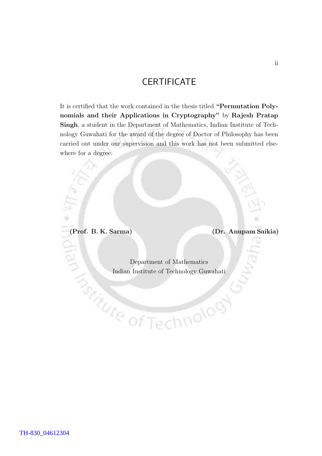# **CERTIFICATE**

It is certified that the work contained in the thesis titled "Permutation Polynomials and their Applications in Cryptography" by Rajesh Pratap Singh, a student in the Department of Mathematics, Indian Institute of Technology Guwahati for the award of the degree of Doctor of Philosophy has been carried out under our supervision and this work has not been submitted elsewhere for a degree.

(Prof. B. K. Sarma) (Dr. Anupam Saikia)

Š

Department of Mathematics Indian Institute of Technology Guwahati

hnolooy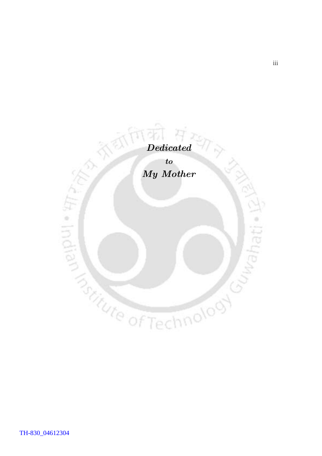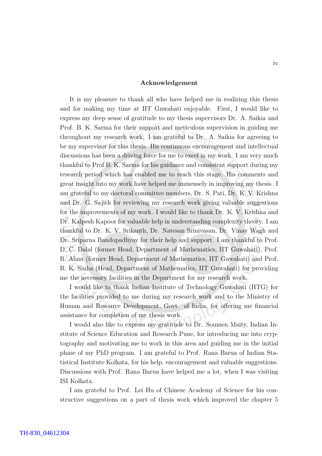#### Acknowledgement

It is my pleasure to thank all who have helped me in realizing this thesis and for making my time at IIT Guwahati enjoyable. First, I would like to express my deep sense of gratitude to my thesis supervisors Dr. A. Saikia and Prof. B. K. Sarma for their support and meticulous supervision in guiding me throughout my research work. I am grateful to Dr. A. Saikia for agreeing to be my supervisor for this thesis. His continuous encouragement and intellectual discussions has been a driving force for me to excel in my work. I am very much thankful to Prof B. K. Sarma for his guidance and consistent support during my research period which has enabled me to reach this stage. His comments and great insight into my work have helped me immensely in improving my thesis. I am grateful to my doctoral committee members, Dr. S. Pati, Dr. K. V. Krishna and Dr. G. Sajith for reviewing my research work giving valuable suggestions for the improvements of my work. I would like to thank Dr. K. V. Krishna and Dr. Kalpesh Kapoor for valuable help in understanding complexity theory. I am thankful to Dr. K. V. Srikanth, Dr. Natesan Srinivasan, Dr. Vinay Wagh and Dr. Sriparna Bandopadhyay for their help and support. I am thankful to Prof. D. C. Dalal (former Head, Department of Mathematics, IIT Guwahati), Prof. R. Alam (former Head, Department of Mathematics, IIT Guwahati) and Prof. R. K. Sinha (Head, Department of Mathematics, IIT Guwahati) for providing me the necessary facilities in the Department for my research work.

I would like to thank Indian Institute of Technology Guwahati (IITG) for the facilities provided to me during my research work and to the Ministry of Human and Resource Development, Govt. of India, for offering me financial assistance for completion of my thesis work.

I would also like to express my gratitude to Dr. Soumen Maity, Indian Institute of Science Education and Research Pune, for introducing me into cryptography and motivating me to work in this area and guiding me in the initial phase of my PhD program. I am grateful to Prof. Rana Barua of Indian Statistical Institute Kolkata, for his help, encouragement and valuable suggestions. Discussions with Prof. Rana Barua have helped me a lot, when I was visiting ISI Kolkata.

I am grateful to Prof. Lei Hu of Chinese Academy of Science for his constructive suggestions on a part of thesis work which improved the chapter 5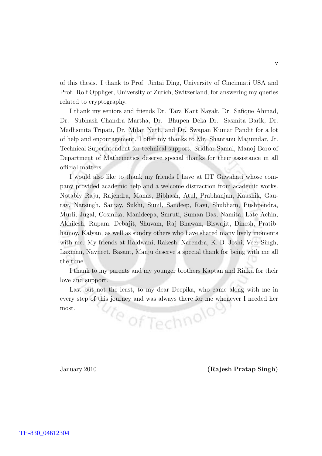of this thesis. I thank to Prof. Jintai Ding, University of Cincinnati USA and Prof. Rolf Oppliger, University of Zurich, Switzerland, for answering my queries related to cryptography.

I thank my seniors and friends Dr. Tara Kant Nayak, Dr. Safique Ahmad, Dr. Subhash Chandra Martha, Dr. Bhupen Deka Dr. Sasmita Barik, Dr. Madhsmita Tripati, Dr. Milan Nath, and Dr. Swapan Kumar Pandit for a lot of help and encouragement. I offer my thanks to Mr. Shantanu Majumdar, Jr. Technical Superintendent for technical support. Sridhar Samal, Manoj Boro of Department of Mathematics deserve special thanks for their assistance in all official matters.

I would also like to thank my friends I have at IIT Guwahati whose company provided academic help and a welcome distraction from academic works. Notably Raju, Rajendra, Manas, Bibhash, Atul, Prabhanjan, Kaushik, Gaurav, Narsingh, Sanjay, Sukhi, Sunil, Sandeep, Ravi, Shubham, Pushpendra, Murli, Jugal, Cosmika, Manideepa, Smruti, Suman Das, Namita, Late Achin, Akhilesh, Rupam, Debajit, Shuvam, Raj Bhawan, Biswajit, Dinesh, Pratibhamoy, Kalyan, as well as sundry others who have shared many lively moments with me. My friends at Haldwani, Rakesh, Narendra, K. B. Joshi, Veer Singh, Laxman, Navneet, Basant, Manju deserve a special thank for being with me all the time.

I thank to my parents and my younger brothers Kaptan and Rinku for their love and support.

Last but not the least, to my dear Deepika, who came along with me in every step of this journey and was always there for me whenever I needed her <sup>Ve</sup> of Technolo most.

January 2010 (Rajesh Pratap Singh)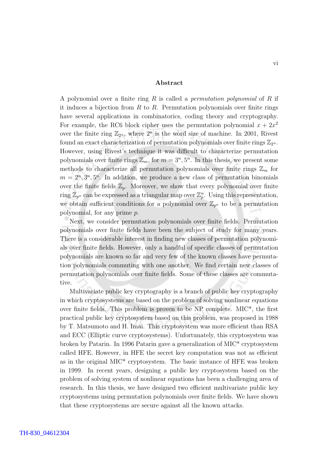#### Abstract

A polynomial over a finite ring R is called a *permutation polynomial* of R if it induces a bijection from R to R. Permutation polynomials over finite rings have several applications in combinatorics, coding theory and cryptography. For example, the RC6 block cipher uses the permutation polynomial  $x + 2x^2$ over the finite ring  $\mathbb{Z}_{2^n}$ , where  $2^n$  is the word size of machine. In 2001, Rivest found an exact characterization of permutation polynomials over finite rings  $\mathbb{Z}_{2^n}$ . However, using Rivest's technique it was difficult to characterize permutation polynomials over finite rings  $\mathbb{Z}_m$ , for  $m = 3^n, 5^n$ . In this thesis, we present some methods to characterize all permutation polynomials over finite rings  $\mathbb{Z}_m$  for  $m = 2<sup>n</sup>, 3<sup>n</sup>, 5<sup>n</sup>$ . In addition, we produce a new class of permutation binomials over the finite fields  $\mathbb{Z}_p$ . Moreover, we show that every polynomial over finite ring  $\mathbb{Z}_{p^n}$  can be expressed as a triangular map over  $\mathbb{Z}_p^n$ . Using this representation, we obtain sufficient conditions for a polynomial over  $\mathbb{Z}_{p^n}$  to be a permutation polynomial, for any prime p.

Next, we consider permutation polynomials over finite fields. Permutation polynomials over finite fields have been the subject of study for many years. There is a considerable interest in finding new classes of permutation polynomials over finite fields. However, only a handful of specific classes of permutation polynomials are known so far and very few of the known classes have permutation polynomials commuting with one another. We find certain new classes of permutation polynomials over finite fields. Some of these classes are commutative.

Multivariate public key cryptography is a branch of public key cryptography in which cryptosystems are based on the problem of solving nonlinear equations over finite fields. This problem is proven to be NP complete. MIC\*, the first practical public key cryptosystem based on this problem, was proposed in 1988 by T. Matsumoto and H. Imai. This cryptosystem was more efficient than RSA and ECC (Elliptic curve cryptosystems). Unfortunately, this cryptosystem was broken by Patarin. In 1996 Patarin gave a generalization of MIC\* cryptosystem called HFE. However, in HFE the secret key computation was not as efficient as in the original MIC\* cryptosystem. The basic instance of HFE was broken in 1999. In recent years, designing a public key cryptosystem based on the problem of solving system of nonlinear equations has been a challenging area of research. In this thesis, we have designed two efficient multivariate public key cryptosystems using permutation polynomials over finite fields. We have shown that these cryptosystems are secure against all the known attacks.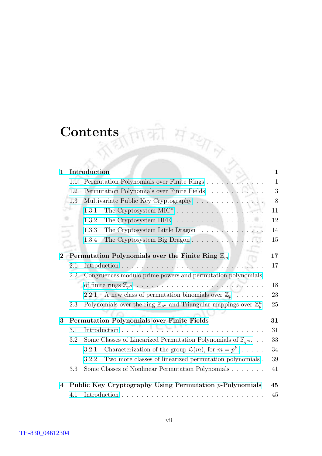# Contents

| $\mathbf{1}$   |     | Introduction                                                                               | 1            |  |  |  |  |  |  |  |  |
|----------------|-----|--------------------------------------------------------------------------------------------|--------------|--|--|--|--|--|--|--|--|
|                | 1.1 | Permutation Polynomials over Finite Rings                                                  | $\mathbf{1}$ |  |  |  |  |  |  |  |  |
|                | 1.2 | Permutation Polynomials over Finite Fields                                                 |              |  |  |  |  |  |  |  |  |
|                | 1.3 | Multivariate Public Key Cryptography $\dots \dots \dots \dots \dots$                       | 8            |  |  |  |  |  |  |  |  |
|                |     | 1.3.1                                                                                      | 11           |  |  |  |  |  |  |  |  |
|                |     | The Cryptosystem HFE $\ldots \ldots \ldots \ldots \ldots$<br>1.3.2                         | 12           |  |  |  |  |  |  |  |  |
|                |     | The Cryptosystem Little Dragon $\ldots \ldots \ldots \ldots$<br>1.3.3                      | 14           |  |  |  |  |  |  |  |  |
|                |     | The Cryptosystem Big Dragon<br>1.3.4                                                       | 15           |  |  |  |  |  |  |  |  |
|                |     |                                                                                            |              |  |  |  |  |  |  |  |  |
| $\bf{2}$       |     | Permutation Polynomials over the Finite Ring $\mathbb{Z}_m$                                | 17           |  |  |  |  |  |  |  |  |
|                | 2.1 |                                                                                            | 17           |  |  |  |  |  |  |  |  |
|                | 2.2 | Congruences modulo prime powers and permutation polynomials                                |              |  |  |  |  |  |  |  |  |
|                |     |                                                                                            | 18           |  |  |  |  |  |  |  |  |
|                |     | 2.2.1 A new class of permutation binomials over $\mathbb{Z}_p$                             | 23           |  |  |  |  |  |  |  |  |
|                | 2.3 | Polynomials over the ring $\mathbb{Z}_{p^n}$ and Triangular mappings over $\mathbb{Z}_p^n$ | 25           |  |  |  |  |  |  |  |  |
| 3              |     | <b>Permutation Polynomials over Finite Fields</b>                                          | 31           |  |  |  |  |  |  |  |  |
|                | 3.1 | Introduction                                                                               | 31           |  |  |  |  |  |  |  |  |
|                | 3.2 | Some Classes of Linearized Permutation Polynomials of $\mathbb{F}_{q^m}$                   | 33           |  |  |  |  |  |  |  |  |
|                |     | Characterization of the group $\mathcal{L}(m)$ , for $m = p^k$<br>3.2.1                    | 34           |  |  |  |  |  |  |  |  |
|                |     | 3.2.2<br>Two more classes of linearized permutation polynomials.                           | 39           |  |  |  |  |  |  |  |  |
|                | 3.3 | Some Classes of Nonlinear Permutation Polynomials                                          | 41           |  |  |  |  |  |  |  |  |
| $\overline{4}$ |     | Public Key Cryptography Using Permutation $p$ -Polynomials                                 | 45           |  |  |  |  |  |  |  |  |
|                | 4.1 |                                                                                            | 45           |  |  |  |  |  |  |  |  |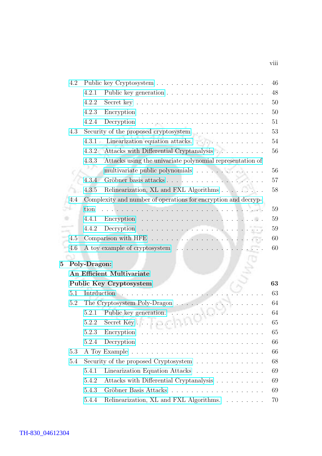|          | 4.2 |              |                                                                          | 46 |
|----------|-----|--------------|--------------------------------------------------------------------------|----|
|          |     | 4.2.1        |                                                                          | 48 |
|          |     | 4.2.2        |                                                                          | 50 |
|          |     | 4.2.3        |                                                                          | 50 |
|          |     | 4.2.4        |                                                                          | 51 |
|          | 4.3 |              | Security of the proposed cryptosystem                                    | 53 |
|          |     |              | 4.3.1 Linearization equation attacks                                     | 54 |
|          |     | 4.3.2        | Attacks with Differential Cryptanalysis                                  | 56 |
|          |     | 4.3.3        | Attacks using the univariate polynomial representation of                |    |
|          |     |              | multivariate public polynomials                                          | 56 |
|          |     | 4.3.4        |                                                                          | 57 |
|          |     | 4.3.5        | Relinearization, XL and FXL Algorithms                                   | 58 |
|          | 4.4 |              | Complexity and number of operations for encryption and decryp-           |    |
|          |     | tion         |                                                                          | 59 |
|          |     | 4.4.1        |                                                                          | 59 |
|          |     | 4.4.2        |                                                                          | 59 |
|          | 4.5 |              |                                                                          | 60 |
|          | 4.6 |              |                                                                          | 60 |
|          |     |              |                                                                          |    |
| $\bf{5}$ |     | Poly-Dragon: |                                                                          |    |
|          |     |              | <b>An Efficient Multivariate</b>                                         |    |
|          |     |              | Public Key Cryptosystem                                                  | 63 |
|          | 5.1 | Intrduction  | .                                                                        | 63 |
|          | 5.2 |              | The Cryptosystem Poly-Dragon $\ldots \ldots \ldots \ldots \ldots \ldots$ | 64 |
|          |     |              |                                                                          | 64 |
|          |     |              |                                                                          | 65 |
|          |     | 5.2.3        | Encryption                                                               | 65 |
|          |     | 5.2.4        | Decryption                                                               | 66 |
|          | 5.3 |              |                                                                          | 66 |
|          | 5.4 |              | Security of the proposed Cryptosystem $\dots \dots \dots \dots$          | 68 |
|          |     | 5.4.1        | Linearization Equation Attacks                                           | 69 |
|          |     | 5.4.2        | Attacks with Differential Cryptanalysis                                  | 69 |
|          |     | 5.4.3        |                                                                          | 69 |
|          |     | 5.4.4        | Relinearization, XL and FXL Algorithms.                                  | 70 |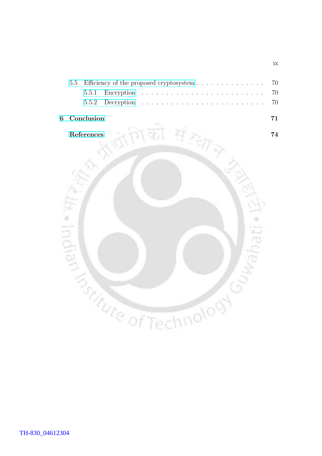|  | 5.5 Efficiency of the proposed cryptosystem 70 |  |  |  |  |  |  |  |  |  |  |  |  |  |
|--|------------------------------------------------|--|--|--|--|--|--|--|--|--|--|--|--|--|
|  |                                                |  |  |  |  |  |  |  |  |  |  |  |  |  |
|  |                                                |  |  |  |  |  |  |  |  |  |  |  |  |  |

#### [6 Conclusion](#page-81-0) 71



ix

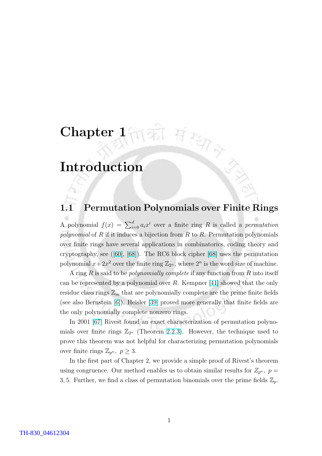# <span id="page-11-0"></span>Chapter 1

# Introduction

# 1.1 Permutation Polynomials over Finite Rings

 $Hzsp$ 

A polynomial  $f(x) = \sum_{i=0}^{d} a_i x^i$  over a finite ring R is called a *permutation* polynomial of  $R$  if it induces a bijection from  $R$  to  $R$ . Permutation polynomials over finite rings have several applications in combinatorics, coding theory and cryptography, see ([\[60\]](#page-87-0), [\[68\]](#page-88-0)). The RC6 block cipher [\[68\]](#page-88-0) uses the permutation polynomial  $x+2x^2$  over the finite ring  $\mathbb{Z}_{2^n}$ , where  $2^n$  is the word size of machine.

A ring R is said to be polynomially complete if any function from R into itself can be represented by a polynomial over R. Kempner [\[41\]](#page-86-0) showed that the only residue class rings  $\mathbb{Z}_m$  that are polynomially complete are the prime finite fields (see also Bernstein [\[6\]](#page-84-0)). Heisler [\[39\]](#page-86-0) proved more generally that finite fields are the only polynomially complete nonzero rings.

In 2001 [\[67\]](#page-88-0) Rivest found an exact characterization of permutation polynomials over finite rings  $\mathbb{Z}_{2^n}$  (Theorem [2.2.3\)](#page-29-0). However, the technique used to prove this theorem was not helpful for characterizing permutation polynomials over finite rings  $\mathbb{Z}_{p^n}$ ,  $p \geq 3$ .

In the first part of Chapter 2, we provide a simple proof of Rivest's theorem using congruence. Our method enables us to obtain similar results for  $Z_{p^n}$ ,  $p =$ 3, 5. Further, we find a class of permutation binomials over the prime fields  $\mathbb{Z}_p$ .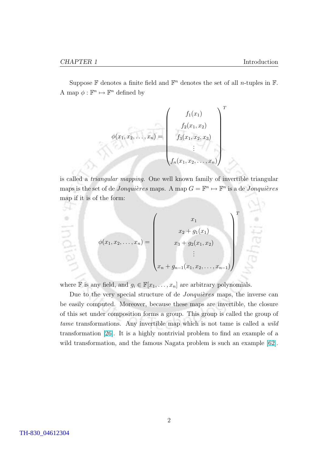×

Suppose  $\mathbb F$  denotes a finite field and  $\mathbb F^n$  denotes the set of all *n*-tuples in  $\mathbb F$ . A map  $\phi : \mathbb{F}^n \mapsto \mathbb{F}^n$  defined by

$$
\phi(x_1, x_2, \dots, x_n) = \begin{pmatrix} f_1(x_1) \\ f_2(x_1, x_2) \\ f_3(x_1, x_2, x_3) \\ \vdots \\ f_n(x_1, x_2, \dots, x_n) \end{pmatrix}^T
$$

is called a triangular mapping. One well known family of invertible triangular maps is the set of de *Jonquières* maps. A map  $G = \mathbb{F}^n \mapsto \mathbb{F}^n$  is a de *Jonquières* map if it is of the form:

$$
\phi(x_1, x_2, \dots, x_n) = \begin{pmatrix} x_1 \\ x_2 + g_1(x_1) \\ x_3 + g_2(x_1, x_2) \\ \vdots \\ x_n + g_{n-1}(x_1, x_2, \dots, x_{n-1}) \end{pmatrix}^T
$$

where  $\mathbb F$  is any field, and  $g_i \in \mathbb F[x_1, \ldots, x_n]$  are arbitrary polynomials.

Due to the very special structure of de *Jonquières* maps, the inverse can be easily computed. Moreover, because these maps are invertible, the closure of this set under composition forms a group. This group is called the group of tame transformations. Any invertible map which is not tame is called a wild transformation [\[26\]](#page-85-0). It is a highly nontrivial problem to find an example of a wild transformation, and the famous Nagata problem is such an example [\[62\]](#page-88-0).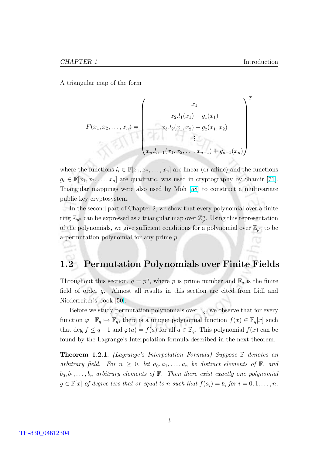<span id="page-13-0"></span>A triangular map of the form

$$
F(x_1, x_2, \dots, x_n) = \begin{pmatrix} x_1 \\ x_2.l_1(x_1) + g_1(x_1) \\ x_3.l_2(x_1, x_2) + g_2(x_1, x_2) \\ \vdots \\ x_n.l_{n-1}(x_1, x_2, \dots, x_{n-1}) + g_{n-1}(x_n) \end{pmatrix}^T
$$

where the functions  $l_i \in \mathbb{F}[x_1, x_2, \ldots, x_n]$  are linear (or affine) and the functions  $g_i \in \mathbb{F}[x_1, x_2, \ldots, x_n]$  are quadratic, was used in cryptography by Shamir [\[71\]](#page-88-0). Triangular mappings were also used by Moh [\[58\]](#page-87-0) to construct a multivariate public key cryptosystem.

In the second part of Chapter 2, we show that every polynomial over a finite ring  $\mathbb{Z}_{p^n}$  can be expressed as a triangular map over  $\mathbb{Z}_p^n$ . Using this representation of the polynomials, we give sufficient conditions for a polynomial over  $\mathbb{Z}_{p^n}$  to be a permutation polynomial for any prime p.

## 1.2 Permutation Polynomials over Finite Fields

Throughout this section,  $q = p^n$ , where p is prime number and  $\mathbb{F}_q$  is the finite field of order q. Almost all results in this section are cited from Lidl and Niederreiter's book [\[50\]](#page-87-0).

Before we study permutation polynomials over  $\mathbb{F}_q$ , we observe that for every function  $\varphi : \mathbb{F}_q \mapsto \mathbb{F}_q$ , there is a unique polynomial function  $f(x) \in \mathbb{F}_q[x]$  such that deg  $f \leq q-1$  and  $\varphi(a) = f(a)$  for all  $a \in \mathbb{F}_q$ . This polynomial  $f(x)$  can be found by the Lagrange's Interpolation formula described in the next theorem.

**Theorem 1.2.1.** (Lagrange's Interpolation Formula) Suppose  $\mathbb{F}$  denotes an arbitrary field. For  $n \geq 0$ , let  $a_0, a_1, \ldots, a_n$  be distinct elements of  $\mathbb{F}$ , and  $b_0, b_1, \ldots, b_n$  arbitrary elements of  $\mathbb F$ . Then there exist exactly one polynomial  $g \in \mathbb{F}[x]$  of degree less that or equal to n such that  $f(a_i) = b_i$  for  $i = 0, 1, \ldots, n$ .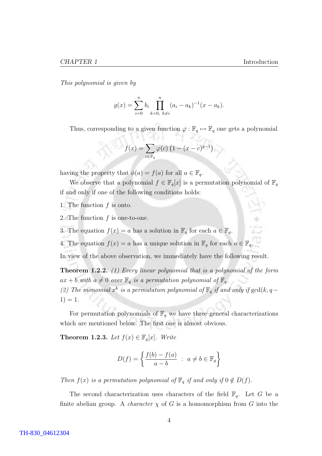<span id="page-14-0"></span>This polynomial is given by

$$
g(x) = \sum_{i=0}^{n} b_i \prod_{k=0, k \neq i}^{n} (a_i - a_k)^{-1} (x - a_k).
$$

Thus, corresponding to a given function  $\varphi : \mathbb{F}_q \mapsto \mathbb{F}_q$  one gets a polynomial

$$
f(x) = \sum_{c \in \mathbb{F}_q} \varphi(c) \left( 1 - (x - c)^{q-1} \right)
$$

having the property that  $\phi(a) = f(a)$  for all  $a \in \mathbb{F}_q$ .

We observe that a polynomial  $f \in \mathbb{F}_q[x]$  is a permutation polynomial of  $\mathbb{F}_q$ if and only if one of the following conditions holds:

1. The function f is onto.

2. The function  $f$  is one-to-one.

3. The equation  $f(x) = a$  has a solution in  $\mathbb{F}_q$  for each  $a \in \mathbb{F}_q$ .

4. The equation  $f(x) = a$  has a unique solution in  $\mathbb{F}_q$  for each  $a \in \mathbb{F}_q$ .

In view of the above observation, we immediately have the following result.

Theorem 1.2.2. (1) Every linear polynomial that is a polynomial of the form  $ax + b$  with  $a \neq 0$  over  $\mathbb{F}_q$  is a permutation polynomial of  $\mathbb{F}_q$ . (2) The monomial  $x^k$  is a permutation polynomial of  $\mathbb{F}_q$  if and only if  $gcd(k, q-\ell)$  $1) = 1.$ 

For permutation polynomials of  $\mathbb{F}_q$  we have three general characterizations which are mentioned below. The first one is almost obvious.

**Theorem 1.2.3.** Let  $f(x) \in \mathbb{F}_q[x]$ . Write

$$
D(f) = \left\{ \frac{f(b) - f(a)}{a - b} \ : \ a \neq b \in \mathbb{F}_q \right\}
$$

Then  $f(x)$  is a permutation polynomial of  $\mathbb{F}_q$  if and only if  $0 \notin D(f)$ .

The second characterization uses characters of the field  $\mathbb{F}_q$ . Let G be a finite abelian group. A *character*  $\chi$  of G is a homomorphism from G into the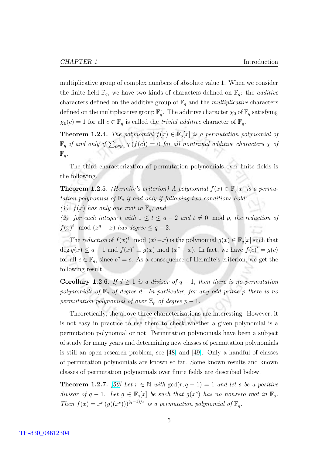<span id="page-15-0"></span>multiplicative group of complex numbers of absolute value 1. When we consider the finite field  $\mathbb{F}_q$ , we have two kinds of characters defined on  $\mathbb{F}_q$ : the *additive* characters defined on the additive group of  $\mathbb{F}_q$  and the *multiplicative* characters defined on the multiplicative group  $\mathbb{F}_q^*$ . The additive character  $\chi_0$  of  $\mathbb{F}_q$  satisfying  $\chi_0(c) = 1$  for all  $c \in \mathbb{F}_q$  is called the *trivial additive* character of  $\mathbb{F}_q$ .

**Theorem 1.2.4.** The polynomial  $f(x) \in \mathbb{F}_q[x]$  is a permutation polynomial of  $\mathbb{F}_q$  if and only if  $\sum_{c \in \mathbb{F}_q} \chi(f(c)) = 0$  for all nontrivial additive characters  $\chi$  of  $\mathbb{F}_q$ .

The third characterization of permutation polynomials over finite fields is the following.

**Theorem 1.2.5.** (Hermite's criterion) A polynomial  $f(x) \in \mathbb{F}_q[x]$  is a permutation polynomial of  $\mathbb{F}_q$  if and only if following two conditions hold:

(1)  $f(x)$  has only one root in  $\mathbb{F}_q$ ; and

(2) for each integer t with  $1 \leq t \leq q-2$  and  $t \neq 0 \mod p$ , the reduction of  $f(x)^t \mod (x^q - x)$  has degree  $\leq q - 2$ .

The reduction of  $f(x)^t \mod (x^q-x)$  is the polynomial  $g(x) \in \mathbb{F}_q[x]$  such that  $\deg g(x) \leq q-1$  and  $f(x)^t \equiv g(x) \mod (x^q-x)$ . In fact, we have  $f(c)^t = g(c)$ for all  $c \in \mathbb{F}_q$ , since  $c^q = c$ . As a consequence of Hermite's criterion, we get the following result.

Corollary 1.2.6. If  $d \geq 1$  is a divisor of  $q-1$ , then there is no permutation polynomials of  $\mathbb{F}_q$  of degree d. In particular, for any odd prime p there is no permutation polynomial of over  $\mathbb{Z}_p$  of degree  $p-1$ .

Theoretically, the above three characterizations are interesting. However, it is not easy in practice to use them to check whether a given polynomial is a permutation polynomial or not. Permutation polynomials have been a subject of study for many years and determining new classes of permutation polynomials is still an open research problem, see [\[48\]](#page-87-0) and [\[49\]](#page-87-0). Only a handful of classes of permutation polynomials are known so far. Some known results and known classes of permutation polynomials over finite fields are described below.

**Theorem 1.2.7.** [\[50\]](#page-87-0) Let  $r \in \mathbb{N}$  with  $gcd(r, q - 1) = 1$  and let s be a positive divisor of  $q-1$ . Let  $g \in \mathbb{F}_q[x]$  be such that  $g(x^s)$  has no nonzero root in  $\mathbb{F}_q$ . Then  $f(x) = x^r (g((x^s)))^{(q-1)/s}$  is a permutation polynomial of  $\mathbb{F}_q$ .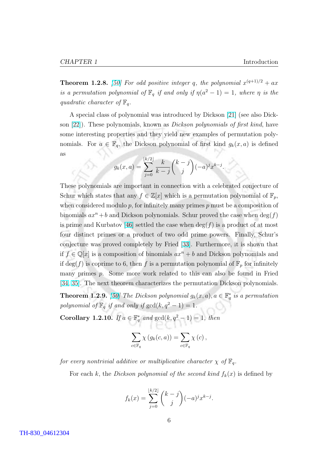**Theorem 1.2.8.** [\[50\]](#page-87-0) For odd positive integer q, the polynomial  $x^{(q+1)/2} + ax$ is a permutation polynomial of  $\mathbb{F}_q$  if and only if  $\eta(a^2-1)=1$ , where  $\eta$  is the quadratic character of  $\mathbb{F}_q$ .

A special class of polynomial was introduced by Dickson [\[21\]](#page-85-0) (see also Dickson [\[22\]](#page-85-0)). These polynomials, known as Dickson polynomials of first kind, have some interesting properties and they yield new examples of permutation polynomials. For  $a \in \mathbb{F}_q$ , the Dickson polynomial of first kind  $g_k(x, a)$  is defined as

$$
g_k(x,a) = \sum_{j=0}^{\lfloor k/2 \rfloor} \frac{k}{k-j} {k-j \choose j} (-a)^j x^{k-j}.
$$

These polynomials are important in connection with a celebrated conjecture of Schur which states that any  $f \in \mathbb{Z}[x]$  which is a permutation polynomial of  $\mathbb{F}_p$ , when considered modulo  $p$ , for infinitely many primes  $p$  must be a composition of binomials  $ax^n + b$  and Dickson polynomials. Schur proved the case when  $\deg(f)$ is prime and Kurbatov [\[46\]](#page-87-0) settled the case when  $\deg(f)$  is a product of at most four distinct primes or a product of two odd prime powers. Finally, Schur's conjecture was proved completely by Fried [\[33\]](#page-86-0). Furthermore, it is shown that if  $f \in \mathbb{Q}[x]$  is a composition of binomials  $ax^n + b$  and Dickson polynomials and if  $\deg(f)$  is coprime to 6, then f is a permutation polynomial of  $\mathbb{F}_p$  for infinitely many primes p. Some more work related to this can also be found in Fried [\[34,](#page-86-0) [35\]](#page-86-0). The next theorem characterizes the permutation Dickson polynomials.

**Theorem 1.2.9.** [\[50\]](#page-87-0) The Dickson polynomial  $g_k(x, a)$ ,  $a \in \mathbb{F}_q^*$  is a permutation polynomial of  $\mathbb{F}_q$  if and only if  $gcd(k, q^2 - 1) = 1$ .

Corollary 1.2.10. If  $a \in \mathbb{F}_q^*$  and  $gcd(k, q^2 - 1) = 1$ , then

$$
\sum_{c \in \mathbb{F}_q} \chi(g_k(c, a)) = \sum_{c \in \mathbb{F}_q} \chi(c),
$$

for every nontrivial additive or multiplicative character  $\chi$  of  $\mathbb{F}_q$ .

For each k, the Dickson polynomial of the second kind  $f_k(x)$  is defined by

$$
f_k(x) = \sum_{j=0}^{\lfloor k/2 \rfloor} \binom{k-j}{j} (-a)^j x^{k-j}.
$$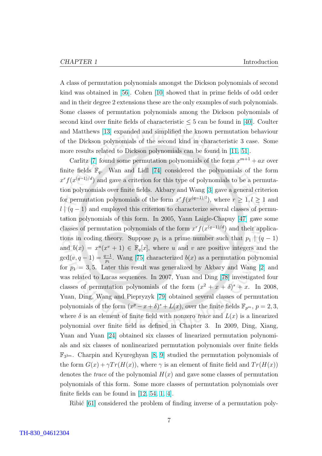A class of permutation polynomials amongst the Dickson polynomials of second kind was obtained in [\[56\]](#page-87-0). Cohen [\[10\]](#page-84-0) showed that in prime fields of odd order and in their degree 2 extensions these are the only examples of such polynomials. Some classes of permutation polynomials among the Dickson polynomials of second kind over finite fields of characteristic  $\leq 5$  can be found in [\[40\]](#page-86-0). Coulter and Matthews [\[13\]](#page-85-0) expanded and simplified the known permutation behaviour of the Dickson polynomials of the second kind in characteristic 3 case. Some more results related to Dickson polynomials can be found in [\[11,](#page-84-0) [51\]](#page-87-0).

Carlitz [\[7\]](#page-84-0) found some permutation polynomials of the form  $x^{m+1} + ax$  over finite fields  $\mathbb{F}_q$ . Wan and Lidl [\[74\]](#page-88-0) considered the polynomials of the form  $x^r f(x^{(q-1)/d})$  and gave a criterion for this type of polynomials to be a permutation polynomials over finite fields. Akbary and Wang [\[3\]](#page-84-0) gave a general criterion for permutation polynomials of the form  $x^r f(x^{(q-1)/l})$ , where  $r \geq 1, l \geq 1$  and  $l \mid (q - 1)$  and employed this criterion to characterize several classes of permutation polynomials of this form. In 2005, Yann Laigle-Chapuy [\[47\]](#page-87-0) gave some classes of permutation polynomials of the form  $x^r f(x^{(q-1)/d})$  and their applications in coding theory. Suppose  $p_1$  is a prime number such that  $p_1 | (q-1)$ and  $b(x) = x^u(x^v + 1) \in \mathbb{F}_q[x]$ , where u and v are positive integers and the  $gcd(v, q-1) = \frac{q-1}{p_1}$ . Wang [\[75\]](#page-88-0) characterized  $b(x)$  as a permutation polynomial for  $p_1 = 3, 5$ . Later this result was generalized by Akbary and Wang [\[2\]](#page-84-0) and was related to Lucas sequences. In 2007, Yuan and Ding [\[78\]](#page-89-0) investigated four classes of permutation polynomials of the form  $(x^2 + x + \delta)^s + x$ . In 2008, Yuan, Ding, Wang and Piepryzyk [\[79\]](#page-89-0) obtained several classes of permutation polynomials of the form  $(x^p - x + \delta)^s + L(x)$ , over the finite fields  $\mathbb{F}_{p^m}$ ,  $p = 2, 3$ , where  $\delta$  is an element of finite field with nonzero trace and  $L(x)$  is a linearized polynomial over finite field as defined in Chapter 3. In 2009, Ding, Xiang, Yuan and Yuan [\[24\]](#page-85-0) obtained six classes of linearized permutation polynomials and six classes of nonlinearized permutation polynomials over finite fields F3 <sup>3</sup>m. Charpin and Kyureghyan [\[8,](#page-84-0) [9\]](#page-84-0) studied the permutation polynomials of the form  $G(x) + \gamma Tr(H(x))$ , where  $\gamma$  is an element of finite field and  $Tr(H(x))$ denotes the *trace* of the polynomial  $H(x)$  and gave some classes of permutation polynomials of this form. Some more classes of permutation polynomials over finite fields can be found in [\[12,](#page-84-0) [54,](#page-87-0) [1,](#page-84-0) [4\]](#page-84-0).

Ribić  $[61]$  considered the problem of finding inverse of a permutation poly-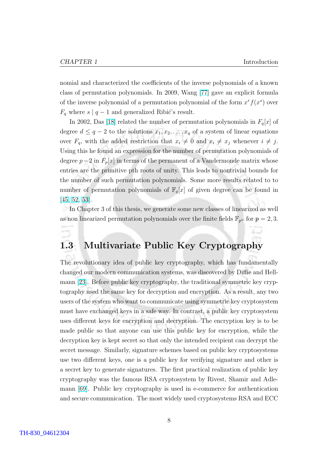<span id="page-18-0"></span>nomial and characterized the coefficients of the inverse polynomials of a known class of permutation polynomials. In 2009, Wang [\[77\]](#page-89-0) gave an explicit formula of the inverse polynomial of a permutation polynomial of the form  $x^r f(x^s)$  over  $F_q$  where s |  $q-1$  and generalized Ribić's result.

In 2002, Das [\[18\]](#page-85-0) related the number of permutation polynomials in  $F_q[x]$  of degree  $d \leq q-2$  to the solutions  $x_1, x_2, \ldots, x_q$  of a system of linear equations over  $F_q$ , with the added restriction that  $x_i \neq 0$  and  $x_i \neq x_j$  whenever  $i \neq j$ . Using this he found an expression for the number of permutation polynomials of degree  $p-2$  in  $F_p[x]$  in terms of the permanent of a Vandermonde matrix whose entries are the primitive pth roots of unity. This leads to nontrivial bounds for the number of such permutation polynomials. Some more results related to to number of permutation polynomials of  $\mathbb{F}_q[x]$  of given degree can be found in [\[45,](#page-86-0) [52,](#page-87-0) [53\]](#page-87-0).

In Chapter 3 of this thesis, we generate some new classes of linearized as well as non linearized permutation polynomials over the finite fields  $\mathbb{F}_{p^n}$  for  $p = 2, 3$ .

# 1.3 Multivariate Public Key Cryptography

The revolutionary idea of public key cryptography, which has fundamentally changed our modern communication systems, was discovered by Diffie and Hellmann [\[23\]](#page-85-0). Before public key cryptography, the traditional symmetric key cryptography used the same key for decryption and encryption. As a result, any two users of the system who want to communicate using symmetric key cryptosystem must have exchanged keys in a safe way. In contrast, a public key cryptosystem uses different keys for encryption and decryption. The encryption key is to be made public so that anyone can use this public key for encryption, while the decryption key is kept secret so that only the intended recipient can decrypt the secret message. Similarly, signature schemes based on public key cryptosystems use two different keys, one is a public key for verifying signature and other is a secret key to generate signatures. The first practical realization of public key cryptography was the famous RSA cryptosystem by Rivest, Shamir and Adlemann [\[69\]](#page-88-0). Public key cryptography is used in e-commerce for authentication and secure communication. The most widely used cryptosystems RSA and ECC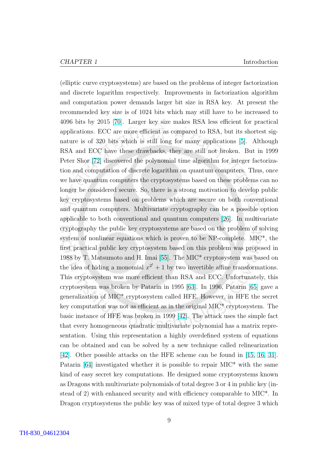(elliptic curve cryptosystems) are based on the problems of integer factorization and discrete logarithm respectively. Improvements in factorization algorithm and computation power demands larger bit size in RSA key. At present the recommended key size is of 1024 bits which may still have to be increased to 4096 bits by 2015 [\[70\]](#page-88-0). Larger key size makes RSA less efficient for practical applications. ECC are more efficient as compared to RSA, but its shortest signature is of 320 bits which is still long for many applications [\[5\]](#page-84-0). Although RSA and ECC have these drawbacks, they are still not broken. But in 1999 Peter Shor [\[72\]](#page-88-0) discovered the polynomial time algorithm for integer factorization and computation of discrete logarithm on quantum computers. Thus, once we have quantum computers the cryptosystems based on these problems can no longer be considered secure. So, there is a strong motivation to develop public key cryptosystems based on problems which are secure on both conventional and quantum computers. Multivariate cryptography can be a possible option applicable to both conventional and quantum computers [\[26\]](#page-85-0). In multivariate cryptography the public key cryptosystems are based on the problem of solving system of nonlinear equations which is proven to be NP-complete. MIC\*, the first practical public key cryptosystem based on this problem was proposed in 1988 by T. Matsumoto and H. Imai [\[55\]](#page-87-0). The MIC\* cryptosystem was based on the idea of hiding a monomial  $x^{2^l} + 1$  by two invertible affine transformations. This cryptosystem was more efficient than RSA and ECC. Unfortunately, this cryptosystem was broken by Patarin in 1995 [\[63\]](#page-88-0). In 1996, Patarin [\[65\]](#page-88-0) gave a generalization of MIC\* cryptosystem called HFE. However, in HFE the secret key computation was not as efficient as in the original MIC\* cryptosystem. The basic instance of HFE was broken in 1999 [\[42\]](#page-86-0). The attack uses the simple fact that every homogeneous quadratic multivariate polynomial has a matrix representation. Using this representation a highly overdefined system of equations can be obtained and can be solved by a new technique called relinearization [\[42\]](#page-86-0). Other possible attacks on the HFE scheme can be found in [\[15,](#page-85-0) [16,](#page-85-0) [31\]](#page-86-0). Patarin [\[64\]](#page-88-0) investigated whether it is possible to repair MIC\* with the same kind of easy secret key computations. He designed some cryptosystems known as Dragons with multivariate polynomials of total degree 3 or 4 in public key (instead of 2) with enhanced security and with efficiency comparable to MIC\*. In Dragon cryptosystems the public key was of mixed type of total degree 3 which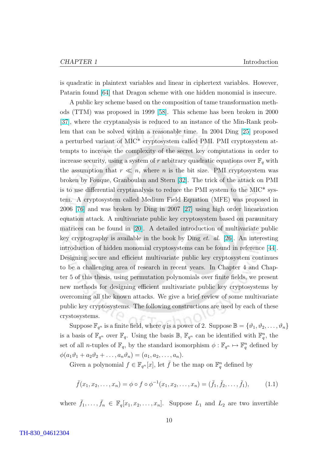is quadratic in plaintext variables and linear in ciphertext variables. However, Patarin found [\[64\]](#page-88-0) that Dragon scheme with one hidden monomial is insecure.

A public key scheme based on the composition of tame transformation methods (TTM) was proposed in 1999 [\[58\]](#page-87-0). This scheme has been broken in 2000 [\[37\]](#page-86-0), where the cryptanalysis is reduced to an instance of the Min-Rank problem that can be solved within a reasonable time. In 2004 Ding [\[25\]](#page-85-0) proposed a perturbed variant of MIC\* cryptosystem called PMI. PMI cryptosystem attempts to increase the complexity of the secret key computations in order to increase security, using a system of r arbitrary quadratic equations over  $\mathbb{F}_q$  with the assumption that  $r \ll n$ , where n is the bit size. PMI cryptosystem was broken by Fouque, Granboulan and Stern [\[32\]](#page-86-0). The trick of the attack on PMI is to use differential cryptanalysis to reduce the PMI system to the MIC\* system. A cryptosystem called Medium Field Equation (MFE) was proposed in 2006 [\[76\]](#page-88-0) and was broken by Ding in 2007 [\[27\]](#page-85-0) using high order linearization equation attack. A multivariate public key cryptosystem based on paraunitary matrices can be found in [\[20\]](#page-85-0). A detailed introduction of multivariate public key cryptography is available in the book by Ding *et. al.* [\[26\]](#page-85-0). An interesting introduction of hidden monomial cryptosystems can be found in reference [\[44\]](#page-86-0). Designing secure and efficient multivariate public key cryptosystem continues to be a challenging area of research in recent years. In Chapter 4 and Chapter 5 of this thesis, using permutation polynomials over finite fields, we present new methods for designing efficient multivariate public key cryptosystems by overcoming all the known attacks. We give a brief review of some multivariate public key cryptosystems. The following constructions are used by each of these crystosystems.

Suppose  $\mathbb{F}_{q^n}$  is a finite field, where q is a power of 2. Suppose  $\mathbb{B} = \{\vartheta_1, \vartheta_2, \ldots, \vartheta_n\}$ is a basis of  $\mathbb{F}_{q^n}$  over  $\mathbb{F}_q$ . Using the basis  $\mathbb{B}$ ,  $\mathbb{F}_{q^n}$  can be identified with  $\mathbb{F}_q^n$ , the set of all *n*-tuples of  $\mathbb{F}_q$ , by the standard isomorphism  $\phi : \mathbb{F}_{q^n} \mapsto \mathbb{F}_q^n$  defined by  $\phi(a_1\vartheta_1 + a_2\vartheta_2 + \ldots, a_n\vartheta_n) = (a_1, a_2, \ldots, a_n).$ 

Given a polynomial  $f \in \mathbb{F}_{q^n}[x]$ , let  $\bar{f}$  be the map on  $\mathbb{F}_q^n$  defined by

$$
\bar{f}(x_1, x_2, \dots, x_n) = \phi \circ f \circ \phi^{-1}(x_1, x_2, \dots, x_n) = (\bar{f}_1, \bar{f}_2, \dots, \bar{f}_1), \quad (1.1)
$$

where  $\bar{f}_1, \ldots, \bar{f}_n \in \mathbb{F}_q[x_1, x_2, \ldots, x_n]$ . Suppose  $L_1$  and  $L_2$  are two invertible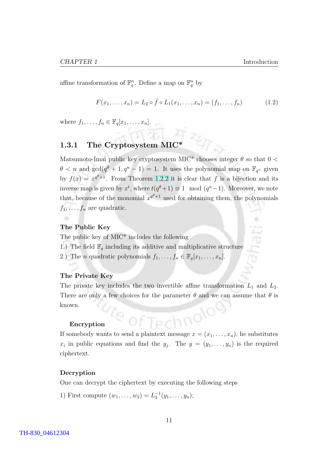<span id="page-21-0"></span>affine transformation of  $\mathbb{F}_q^n$ . Define a map on  $\mathbb{F}_q^n$  by

$$
F(x_1, \ldots, x_n) = L_2 \circ \bar{f} \circ L_1(x_1, \ldots, x_n) = (f_1, \ldots, f_n)
$$
 (1.2)

where  $f_1, \ldots, f_n \in \mathbb{F}_q[x_1, \ldots, x_n].$ 

# 1.3.1 The Cryptosystem  $\text{MIC}^*$

Matsumoto-Imai public key cryptosystem MIC\* chooses integer  $\theta$  so that  $0 <$  $\theta < n$  and  $\gcd(q^{\theta} + 1, q^n - 1) = 1$ . It uses the polynomial map on  $\mathbb{F}_{q^n}$  given by  $f(x) = x^{q^{\theta}+1}$ . From Theorem [1.2.2](#page-14-0) it is clear that f is a bijection and its inverse map is given by  $x^t$ , where  $t(q^{\theta}+1) \equiv 1 \mod (q^n-1)$ . Moreover, we note that, because of the monomial  $x^{q^{\theta}+1}$  used for obtaining them, the polynomials  $f_1, \ldots, f_n$  are quadratic.

#### The Public Key

٠

The public key of MIC\* includes the following

1.) The field  $\mathbb{F}_q$  including its additive and multiplicative structure

2.) The *n* quadratic polynomials  $f_1, \ldots, f_n \in \mathbb{F}_q[x_1, \ldots, x_n]$ .

#### The Private Key

The private key includes the two invertible affine transformation  $L_1$  and  $L_2$ . There are only a few choices for the parameter  $\theta$  and we can assume that  $\theta$  is known.

#### Encryption

Encryption<br>If somebody wants to send a plaintext message  $x = (x_1, \ldots, x_n)$ , he substitutes  $x_i$  in public equations and find the  $y_j$ . The  $y = (y_1, \ldots, y_n)$  is the required ciphertext.

#### Decryption

One can decrypt the ciphertext by executing the following steps

1) First compute  $(w_1, \ldots, w_2) = L_2^{-1}(y_1, \ldots, y_n);$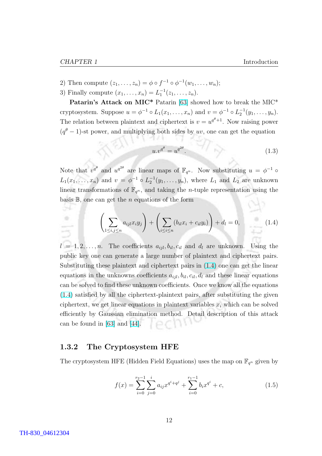89  $\rightarrow$ 

- <span id="page-22-0"></span>2) Then compute  $(z_1, ..., z_n) = \phi \circ f^{-1} \circ \phi^{-1}(w_1, ..., w_n);$
- 3) Finally compute  $(x_1, ..., x_n) = L_1^{-1}(z_1, ..., z_n)$ .

Patarin's Attack on MIC\* Patarin [\[63\]](#page-88-0) showed how to break the MIC\* cryptosystem. Suppose  $u = \phi^{-1} \circ L_1(x_1, \ldots, x_n)$  and  $v = \phi^{-1} \circ L_2^{-1}(y_1, \ldots, y_n)$ . The relation between plaintext and ciphertext is  $v = u^{q^{\theta}+1}$ . Now raising power  $(q^{\theta}-1)$ -st power, and multiplying both sides by uv, one can get the equation

$$
u.v^{q^{\theta}} = u^{q^{2\theta}}.\t(1.3)
$$

Note that  $v^{q^{\theta}}$  and  $u^{q^{2\theta}}$  are linear maps of  $\mathbb{F}_{q^n}$ . Now substituting  $u = \phi^{-1}$   $\circ$  $L_1(x_1,\ldots,x_n)$  and  $v = \phi^{-1} \circ L_2^{-1}(y_1,\ldots,y_n)$ , where  $L_1$  and  $L_2$  are unknown linear transformations of  $\mathbb{F}_{q^n}$ , and taking the *n*-tuple representation using the basis  $\mathbb{B}$ , one can get the *n* equations of the form

$$
\left(\sum_{1 \le i,j \le n} a_{ijl} x_i y_j\right) + \left(\sum_{i \le i \le n} (b_{il} x_i + c_{il} y_i)\right) + d_l = 0,\tag{1.4}
$$

 $l = 1, 2, \ldots, n$ . The coefficients  $a_{ijl}, b_{il}, c_{il}$  and  $d_l$  are unknown. Using the public key one can generate a large number of plaintext and ciphertext pairs. Substituting these plaintext and ciphertext pairs in (1.4) one can get the linear equations in the unknowns coefficients  $a_{iil}$ ,  $b_{il}$ ,  $c_{il}$ ,  $d_l$  and these linear equations can be solved to find these unknown coefficients. Once we know all the equations (1.4) satisfied by all the ciphertext-plaintext pairs, after substituting the given ciphertext, we get linear equations in plaintext variables  $x_i$  which can be solved efficiently by Gaussian elimination method. Detail description of this attack can be found in [\[63\]](#page-88-0) and [\[44\]](#page-86-0).

#### 1.3.2 The Cryptosystem HFE

The cryptosystem HFE (Hidden Field Equations) uses the map on  $\mathbb{F}_{q^n}$  given by

$$
f(x) = \sum_{i=0}^{r_2 - 1} \sum_{j=0}^{i} a_{ij} x^{q^i + q^j} + \sum_{i=0}^{r_1 - 1} b_i x^{q^i} + c,
$$
 (1.5)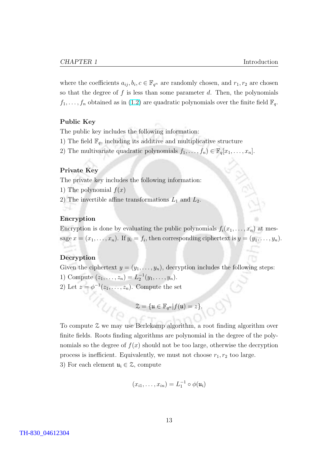where the coefficients  $a_{ij}, b_i, c \in \mathbb{F}_{q^n}$  are randomly chosen, and  $r_1, r_2$  are chosen so that the degree of  $f$  is less than some parameter  $d$ . Then, the polynomials  $f_1, \ldots, f_n$  obtained as in [\(1.2\)](#page-21-0) are quadratic polynomials over the finite field  $\mathbb{F}_q$ .

#### Public Key

The public key includes the following information:

- 1) The field  $\mathbb{F}_q$ , including its additive and multiplicative structure
- 2) The multivariate quadratic polynomials  $f_1, \ldots, f_n) \in \mathbb{F}_q[x_1, \ldots, x_n]$ .

#### Private Key

The private key includes the following information:

- 1) The polynomial  $f(x)$
- 2) The invertible affine transformations  $L_1$  and  $L_2$ .

#### Encryption

Encryption is done by evaluating the public polynomials  $f_i(x_1, \ldots, x_n)$  at message  $x = (x_1, \ldots, x_n)$ . If  $y_i = f_i$ , then corresponding ciphertext is  $y = (y_1, \ldots, y_n)$ .

#### Decryption

Given the ciphertext  $y = (y_1, \ldots, y_n)$ , decryption includes the following steps: 1) Compute  $(z_1, \ldots, z_n) = L_2^{-1}(y_1, \ldots, y_n)$ .

tute

2) Let  $z = \phi^{-1}(z_1, \ldots, z_n)$ . Compute the set

$$
\mathcal{Z} = \{ \mathfrak{u} \in \mathbb{F}_{q^n} | f(\mathfrak{u}) = z \}.
$$

To compute Z we may use Berlekamp algorithm, a root finding algorithm over finite fields. Roots finding algorithms are polynomial in the degree of the polynomials so the degree of  $f(x)$  should not be too large, otherwise the decryption process is inefficient. Equivalently, we must not choose  $r_1, r_2$  too large. 3) For each element  $u_i \in \mathcal{Z}$ , compute

$$
(x_{i1},\ldots,x_{in})=L_1^{-1}\circ\phi(\mathfrak{u_i})
$$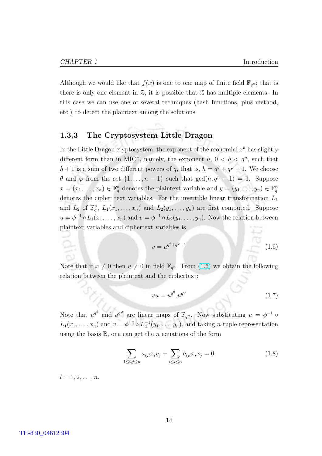<span id="page-24-0"></span>Although we would like that  $f(x)$  is one to one map of finite field  $\mathbb{F}_{q^n}$ ; that is there is only one element in  $\mathfrak{L}$ , it is possible that  $\mathfrak{L}$  has multiple elements. In this case we can use one of several techniques (hash functions, plus method, etc.) to detect the plaintext among the solutions.

#### 1.3.3 The Cryptosystem Little Dragon

In the Little Dragon cryptosystem, the exponent of the monomial  $x^h$  has slightly different form than in MIC<sup>\*</sup>, namely, the exponent  $h, 0 < h < q^n$ , such that  $h+1$  is a sum of two different powers of q, that is,  $h=q^{\theta}+q^{\varphi}-1$ . We choose  $\theta$  and  $\varphi$  from the set  $\{1, \ldots, n-1\}$  such that  $\gcd(h, q^n - 1) = 1$ . Suppose  $x = (x_1, \ldots, x_n) \in \mathbb{F}_q^n$  denotes the plaintext variable and  $y = (y_1, \ldots, y_n) \in \mathbb{F}_q^n$ denotes the cipher text variables. For the invertible linear transformation  $L_1$ and  $L_2$  of  $\mathbb{F}_q^n$ ,  $L_1(x_1,\ldots,x_n)$  and  $L_2(y_1,\ldots,y_n)$  are first computed. Suppose  $u = \phi^{-1} \circ L_1(x_1, \ldots, x_n)$  and  $v = \phi^{-1} \circ L_2(y_1, \ldots, y_n)$ . Now the relation between plaintext variables and ciphertext variables is

$$
v = u^{q^{\theta} + q^{\varphi} - 1} \tag{1.6}
$$

Note that if  $x \neq 0$  then  $u \neq 0$  in field  $\mathbb{F}_{q^n}$ . From (1.6) we obtain the following relation between the plaintext and the ciphertext:

$$
vu = u^{q^{\theta}}.u^{q^{\varphi}} \tag{1.7}
$$

Note that  $u^{q^{\theta}}$  and  $u^{q^{\varphi}}$  are linear maps of  $\mathbb{F}_{q^n}$ . Now substituting  $u = \phi^{-1}$   $\circ$  $L_1(x_1,\ldots,x_n)$  and  $v=\phi^{-1}\circ L_2^{-1}(y_1,\ldots,y_n)$ , and taking *n*-tuple representation using the basis  $\mathbb{B}$ , one can get the *n* equations of the form

$$
\sum_{1 \le i,j \le n} a_{ijl} x_i y_j + \sum_{i \le i \le n} b_{ijl} x_i x_j = 0,
$$
\n(1.8)

 $l = 1, 2, \ldots, n$ .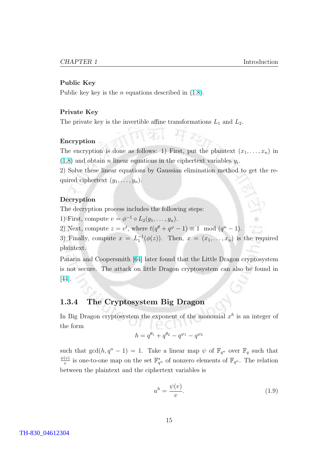#### <span id="page-25-0"></span>Public Key

Public key key is the *n* equations described in  $(1.8)$ .

#### Private Key

The private key is the invertible affine transformations  $L_1$  and  $L_2$ .

#### Encryption

The encryption is done as follows: 1) First, put the plaintext  $(x_1, \ldots, x_n)$  in  $(1.8)$  and obtain *n* linear equations in the ciphertext variables  $y_i$ .

2) Solve these linear equations by Gaussian elimination method to get the required ciphertext  $(y_1, \ldots, y_n)$ .

#### Decryption

The decryption process includes the following steps:

1) First, compute  $v = \phi^{-1} \circ L_2(y_1, \ldots, y_n)$ .

2) Next, compute  $z = v^t$ , where  $t(q^{\theta} + q^{\varphi} - 1) \equiv 1 \mod (q^n - 1)$ .

3) Finally, compute  $x = L_1^{-1}(\phi(z))$ . Then,  $x = (x_1, \ldots, x_n)$  is the required plaintext.

Patarin and Coopersmith [\[64\]](#page-88-0) later found that the Little Dragon cryptosystem is not secure. The attack on little Dragon cryptosystem can also be found in [\[44\]](#page-86-0).

### 1.3.4 The Cryptosystem Big Dragon

In Big Dragon cryptosystem the exponent of the monomial  $x^h$  is an integer of the form

$$
h = q^{\theta_1} + q^{\theta_2} - q^{\varphi_1} - q^{\varphi_2}
$$

such that  $gcd(h, q^n - 1) = 1$ . Take a linear map  $\psi$  of  $\mathbb{F}_{q^n}$  over  $\mathbb{F}_q$  such that  $\psi(v)$  $\frac{(v)}{v}$  is one-to-one map on the set  $\mathbb{F}_{q^n}^*$  of nonzero elements of  $\mathbb{F}_{q^n}$ . The relation between the plaintext and the ciphertext variables is

$$
u^h = \frac{\psi(v)}{v}.\tag{1.9}
$$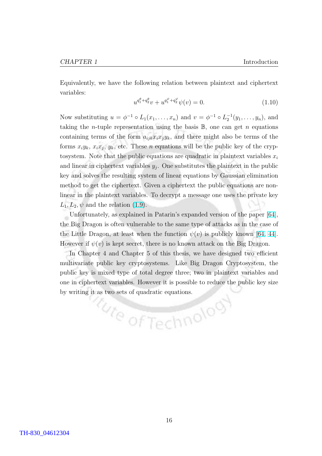Equivalently, we have the following relation between plaintext and ciphertext variables:

$$
u^{q_1^{\theta} + q_2^{\theta}} v + u^{q_1^{\varphi} + q_2^{\varphi}} \psi(v) = 0.
$$
\n(1.10)

Now substituting  $u = \phi^{-1} \circ L_1(x_1, \ldots, x_n)$  and  $v = \phi^{-1} \circ L_2^{-1}(y_1, \ldots, y_n)$ , and taking the *n*-tuple representation using the basis  $\mathbb{B}$ , one can get *n* equations containing terms of the form  $a_{ijk}x_ix_jy_k$ , and there might also be terms of the forms  $x_i y_k, x_i x_j, y_k$ , etc. These *n* equations will be the public key of the crypto system. Note that the public equations are quadratic in plaintext variables  $x_i$ and linear in ciphertext variables  $y_j$ . One substitutes the plaintext in the public key and solves the resulting system of linear equations by Gaussian elimination method to get the ciphertext. Given a ciphertext the public equations are nonlinear in the plaintext variables. To decrypt a message one uses the private key  $L_1, L_2, \psi$  and the relation [\(1.9\)](#page-25-0).

Unfortunately, as explained in Patarin's expanded version of the paper [\[64\]](#page-88-0), the Big Dragon is often vulnerable to the same type of attacks as in the case of the Little Dragon, at least when the function  $\psi(v)$  is publicly known [\[64,](#page-88-0) [44\]](#page-86-0). However if  $\psi(v)$  is kept secret, there is no known attack on the Big Dragon.

In Chapter 4 and Chapter 5 of this thesis, we have designed two efficient multivariate public key cryptosystems. Like Big Dragon Cryptosystem, the public key is mixed type of total degree three; two in plaintext variables and one in ciphertext variables. However it is possible to reduce the public key size by writing it as two sets of quadratic equations.

tute of Technology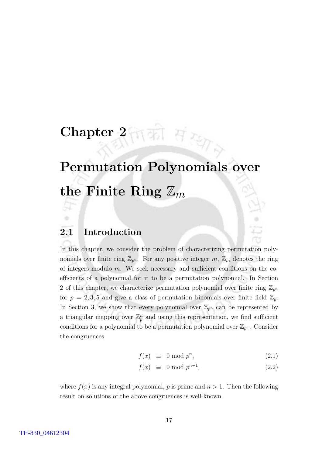# <span id="page-27-0"></span>Chapter  $2\pi\pi$  H

# Permutation Polynomials over the Finite Ring  $\mathbb{Z}_m$

## 2.1 Introduction

84

In this chapter, we consider the problem of characterizing permutation polynomials over finite ring  $\mathbb{Z}_{p^n}$ . For any positive integer m,  $\mathbb{Z}_m$  denotes the ring of integers modulo  $m$ . We seek necessary and sufficient conditions on the coefficients of a polynomial for it to be a permutation polynomial. In Section 2 of this chapter, we characterize permutation polynomial over finite ring  $\mathbb{Z}_{p^n}$ for  $p = 2, 3, 5$  and give a class of permutation binomials over finite field  $\mathbb{Z}_p$ . In Section 3, we show that every polynomial over  $\mathbb{Z}_{p^n}$  can be represented by a triangular mapping over  $\mathbb{Z}_p^n$  and using this representation, we find sufficient conditions for a polynomial to be a permutation polynomial over  $\mathbb{Z}_{p^n}$ . Consider the congruences

$$
f(x) \equiv 0 \bmod p^n, \tag{2.1}
$$

$$
f(x) \equiv 0 \bmod p^{n-1}, \qquad (2.2)
$$

where  $f(x)$  is any integral polynomial, p is prime and  $n > 1$ . Then the following result on solutions of the above congruences is well-known.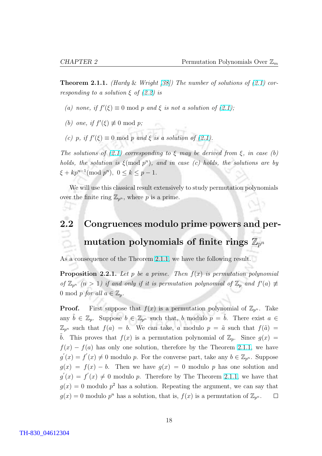<span id="page-28-0"></span>**Theorem 2.1.1.** (Hardy & Wright [\[38\]](#page-86-0)) The number of solutions of  $(2.1)$  corresponding to a solution  $\xi$  of [\(2.2\)](#page-27-0) is

- (a) none, if  $f'(\xi) \equiv 0 \mod p$  and  $\xi$  is not a solution of [\(2.1\)](#page-27-0);
- (b) one, if  $f'(\xi) \not\equiv 0 \mod p$ ;
- (c) p, if  $f'(\xi) \equiv 0 \mod p$  and  $\xi$  is a solution of [\(2.1\)](#page-27-0).

The solutions of [\(2.1\)](#page-27-0) corresponding to  $\xi$  may be derived from  $\xi$ , in case (b) holds, the solution is  $\xi(\text{mod } p^n)$ , and in case (c) holds, the solutions are by  $\xi + kp^{n-1} \pmod{p^n}, \ 0 \le k \le p-1.$ 

We will use this classical result extensively to study permutation polynomials over the finite ring  $\mathbb{Z}_{p^n}$ , where p is a prime.

# 2.2 Congruences modulo prime powers and permutation polynomials of finite rings  $\mathbb{Z}_{p^n}$

As a consequence of the Theorem [2.1.1,](#page-27-0) we have the following result.

**Proposition 2.2.1.** Let p be a prime. Then  $f(x)$  is permutation polynomial of  $\mathbb{Z}_{p^n}$  (n > 1) if and only if it is permutation polynomial of  $\mathbb{Z}_p$  and  $f'(a) \neq$ 0 mod p for all  $a \in \mathbb{Z}_p$ .

**Proof.** First suppose that  $f(x)$  is a permutation polynomial of  $\mathbb{Z}_{p^n}$ . Take any  $\tilde{b} \in \mathbb{Z}_p$ . Suppose  $b \in \mathbb{Z}_{p^n}$  such that, b modulo  $p = \tilde{b}$ . There exist  $a \in$  $\mathbb{Z}_{p^n}$  such that  $f(a) = b$ . We can take, a modulo  $p = \tilde{a}$  such that  $f(\tilde{a}) =$ b. This proves that  $f(x)$  is a permutation polynomial of  $\mathbb{Z}_p$ . Since  $g(x) =$  $f(x) - f(a)$  has only one solution, therefore by the Theorem [2.1.1,](#page-27-0) we have  $g'(x) = f'(x) \neq 0$  modulo p. For the converse part, take any  $b \in \mathbb{Z}_{p^n}$ . Suppose  $g(x) = f(x) - b$ . Then we have  $g(x) = 0$  modulo p has one solution and  $g'(x) = f'(x) \neq 0$  modulo p. Therefore by The Theorem [2.1.1,](#page-27-0) we have that  $g(x) = 0$  modulo  $p^2$  has a solution. Repeating the argument, we can say that  $g(x) = 0$  modulo  $p^n$  has a solution, that is,  $f(x)$  is a permutation of  $\mathbb{Z}_{p^n}$ .  $\Box$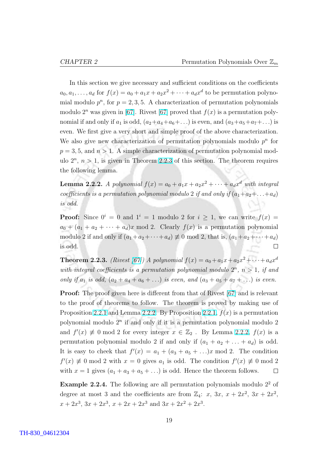<span id="page-29-0"></span>In this section we give necessary and sufficient conditions on the coefficients  $a_0, a_1, \ldots, a_d$  for  $f(x) = a_0 + a_1x + a_2x^2 + \cdots + a_dx^d$  to be permutation polynomial modulo  $p^n$ , for  $p = 2, 3, 5$ . A characterization of permutation polynomials modulo  $2^n$  was given in [\[67\]](#page-88-0). Rivest [67] proved that  $f(x)$  is a permutation polynomial if and only if  $a_1$  is odd,  $(a_2+a_4+a_6+\ldots)$  is even, and  $(a_3+a_5+a_7+\ldots)$  is even. We first give a very short and simple proof of the above characterization. We also give new characterization of permutation polynomials modulo  $p^n$  for  $p = 3, 5,$  and  $n > 1$ . A simple characterization of permutation polynomial modulo  $2^n$ ,  $n > 1$ , is given in Theorem 2.2.3 of this section. The theorem requires the following lemma.

**Lemma 2.2.2.** A polynomial  $f(x) = a_0 + a_1x + a_2x^2 + \cdots + a_dx^d$  with integral coefficients is a permutation polynomial modulo 2 if and only if  $(a_1+a_2+\ldots+a_d)$ is odd.

**Proof:** Since  $0^i = 0$  and  $1^i = 1$  modulo 2 for  $i > 1$ , we can write  $f(x) =$  $a_0 + (a_1 + a_2 + \cdots + a_d)x \mod 2$ . Clearly  $f(x)$  is a permutation polynomial modulo 2 if and only if  $(a_1+a_2+\cdots+a_d) \neq 0 \text{ mod } 2$ , that is,  $(a_1+a_2+\cdots+a_d)$ is odd.  $\Box$ 

**Theorem 2.2.3.** (Rivest [\[67\]](#page-88-0)) A polynomial  $f(x) = a_0 + a_1x + a_2x^2 + \cdots + a_dx^d$ with integral coefficients is a permutation polynomial modulo  $2^n$ ,  $n > 1$ , if and only if  $a_1$  is odd,  $(a_2 + a_4 + a_6 + ...)$  is even, and  $(a_3 + a_5 + a_7 + ...)$  is even.

Proof: The proof given here is different from that of Rivest [\[67\]](#page-88-0) and is relevant to the proof of theorems to follow. The theorem is proved by making use of Proposition [2.2.1](#page-28-0) and Lemma 2.2.2. By Proposition [2.2.1,](#page-28-0)  $f(x)$  is a permutation polynomial modulo  $2<sup>n</sup>$  if and only if it is a permutation polynomial modulo 2 and  $f'(x) \neq 0$  mod 2 for every integer  $x \in \mathbb{Z}_2$ . By Lemma 2.2.2,  $f(x)$  is a permutation polynomial modulo 2 if and only if  $(a_1 + a_2 + \ldots + a_d)$  is odd. It is easy to cheek that  $f'(x) = a_1 + (a_3 + a_5 + ...)x \text{ mod } 2$ . The condition  $f'(x) \neq 0 \text{ mod } 2$  with  $x = 0$  gives  $a_1$  is odd. The condition  $f'(x) \neq 0 \text{ mod } 2$ with  $x = 1$  gives  $(a_1 + a_3 + a_5 + ...)$  is odd. Hence the theorem follows.  $\Box$ 

**Example 2.2.4.** The following are all permutation polynomials modulo  $2<sup>2</sup>$  of degree at most 3 and the coefficients are from  $\mathbb{Z}_4$ : x, 3x,  $x + 2x^2$ , 3x + 2x<sup>2</sup>,  $x + 2x^3$ ,  $3x + 2x^3$ ,  $x + 2x + 2x^3$  and  $3x + 2x^2 + 2x^3$ .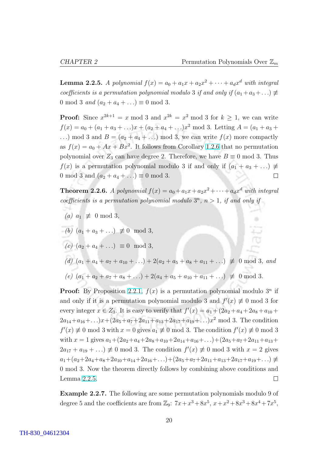**Lemma 2.2.5.** A polynomial  $f(x) = a_0 + a_1x + a_2x^2 + \cdots + a_dx^d$  with integral coefficients is a permutation polynomial modulo 3 if and only if  $(a_1 + a_3 + \ldots) \neq$ 0 mod 3 *and*  $(a_2 + a_4 + ...) \equiv 0 \text{ mod } 3$ .

**Proof:** Since  $x^{2k+1} = x \mod 3$  and  $x^{2k} = x^2 \mod 3$  for  $k \ge 1$ , we can write  $f(x) = a_0 + (a_1 + a_3 + ...)x + (a_2 + a_4 + ...)x^2$  mod 3. Letting  $A = (a_1 + a_3 + ...)x^2$ ...) mod 3 and  $B = (a_2 + a_4 + ...)$  mod 3, we can write  $f(x)$  more compactly as  $f(x) = a_0 + Ax + Bx^2$ . It follows from Corollary [1.2.6](#page-15-0) that no permutation polynomial over  $Z_3$  can have degree 2. Therefore, we have  $B \equiv 0 \mod 3$ . Thus  $f(x)$  is a permutation polynomial modulo 3 if and only if  $(a_1 + a_3 + ...) \neq$ 0 mod 3 and  $(a_2 + a_4 + ...) \equiv 0 \text{ mod } 3$ .  $\Box$ 

**Theorem 2.2.6.** A polynomial  $f(x) = a_0 + a_1x + a_2x^2 + \cdots + a_dx^d$  with integral coefficients is a permutation polynomial modulo  $3^n$ ,  $n > 1$ , if and only if

- (a)  $a_1 \not\equiv 0 \mod 3$ ,
- (b)  $(a_1 + a_3 + ...) \not\equiv 0 \mod 3$ ,
- (c)  $(a_2 + a_4 + ...) \equiv 0 \mod 3$ ,
- (d)  $(a_1 + a_4 + a_7 + a_{10} + ...) + 2(a_2 + a_5 + a_8 + a_{11} + ...) \not\equiv 0 \mod 3, and$ (e)  $(a_1 + a_2 + a_5 + a_8 + ...) + 2(a_4 + a_5 + a_{10} + a_{11} + ...) \not\equiv 0 \mod 3.$

**Proof:** By Proposition [2.2.1,](#page-28-0)  $f(x)$  is a permutation polynomial modulo  $3^n$  if and only if it is a permutation polynomial modulo 3 and  $f'(x) \neq 0$  mod 3 for every integer  $x \in Z_3$ . It is easy to verify that  $f'(x) = a_1 + (2a_2 + a_4 + 2a_8 + a_{10} + a_9)$  $2a_{14}+a_{16}+\ldots)x+(2a_5+a_7+2a_{11}+a_{13}+2a_{17}+a_{19}+\ldots)x^2$  mod 3. The condition  $f'(x) \neq 0 \text{ mod } 3$  with  $x = 0$  gives  $a_1 \neq 0 \text{ mod } 3$ . The condition  $f'(x) \neq 0 \text{ mod } 3$ with  $x = 1$  gives  $a_1+(2a_2+a_4+2a_8+a_{10}+2a_{14}+a_{16}+\ldots)+(2a_5+a_7+2a_{11}+a_{13}+\ldots)$  $2a_{17} + a_{19} + \ldots \equiv 0 \mod 3$ . The condition  $f'(x) \not\equiv 0 \mod 3$  with  $x = 2$  gives  $a_1+(a_2+2a_4+a_8+2a_{10}+a_{14}+2a_{16}+\ldots)+(2a_5+a_7+2a_{11}+a_{13}+2a_{17}+a_{19}+\ldots) \neq$ 0 mod 3. Now the theorem directly follows by combining above conditions and Lemma 2.2.5.  $\Box$ 

Example 2.2.7. The following are some permutation polynomials modulo 9 of degree 5 and the coefficients are from  $\mathbb{Z}_9$ :  $7x + x^3 + 8x^5$ ,  $x + x^2 + 8x^3 + 8x^4 + 7x^5$ ,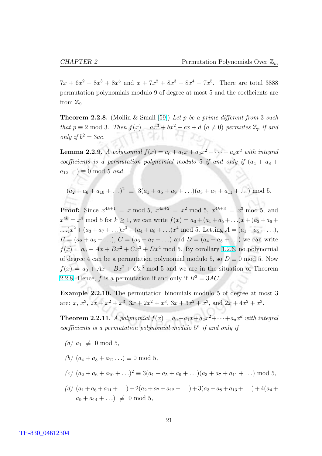<span id="page-31-0"></span> $7x + 6x^2 + 8x^3 + 8x^5$  and  $x + 7x^2 + 8x^3 + 8x^4 + 7x^5$ . There are total 3888 permutation polynomials modulo 9 of degree at most 5 and the coefficients are from  $\mathbb{Z}_9$ .

**Theorem 2.2.8.** (Mollin & Small [\[59\]](#page-87-0)) Let p be a prime different from 3 such that  $p \equiv 2 \mod 3$ . Then  $f(x) = ax^3 + bx^2 + cx + d$   $(a \neq 0)$  permutes  $\mathbb{Z}_p$  if and only if  $b^2 = 3ac$ .

**Lemma 2.2.9.** A polynomial  $f(x) = a_0 + a_1x + a_2x^2 + \cdots + a_dx^d$  with integral coefficients is a permutation polynomial modulo 5 if and only if  $(a_4 + a_8 + a_9)$  $a_{12} \ldots$ )  $\equiv 0 \mod 5$  and

$$
(a_2 + a_6 + a_{10} + ...)^2 \equiv 3(a_1 + a_5 + a_9 + ...) (a_3 + a_7 + a_{11} + ...) \bmod 5.
$$

**Proof:** Since  $x^{4k+1} = x \mod 5$ ,  $x^{4k+2} = x^2 \mod 5$ ,  $x^{4k+3} = x^3 \mod 5$ , and  $x^{4k} = x^4 \mod 5$  for  $k \ge 1$ , we can write  $f(x) = a_0 + (a_1 + a_5 + ...)x + (a_2 + a_6 + ...)$ ...) $x^2 + (a_3 + a_7 + ...) x^3 + (a_4 + a_8 + ...) x^4 \text{ mod } 5$ . Letting  $A = (a_1 + a_5 + ...)$ ,  $B = (a_2 + a_6 + ...)$ ,  $C = (a_3 + a_7 + ...)$  and  $D = (a_4 + a_8 + ...)$  we can write  $f(x) = a_0 + Ax + Bx^2 + Cx^3 + Dx^4$  mod 5. By corollary [1.2.6,](#page-15-0) no polynomial of degree 4 can be a permutation polynomial modulo 5, so  $D \equiv 0 \text{ mod } 5$ . Now  $f(x) = a_0 + Ax + Bx^2 + Cx^3$  mod 5 and we are in the situation of Theorem 2.2.8. Hence, f is a permutation if and only if  $B^2 = 3AC$ .  $\Box$ 

Example 2.2.10. The permutation binomials modulo 5 of degree at most 3 are: x,  $x^3$ ,  $2x + x^2 + x^3$ ,  $3x + 2x^2 + x^3$ ,  $3x + 3x^2 + x^3$ , and  $2x + 4x^2 + x^3$ .

**Theorem 2.2.11.** A polynomial  $f(x) = a_0 + a_1x + a_2x^2 + \cdots + a_dx^d$  with integral coefficients is a permutation polynomial modulo  $5^n$  if and only if

- (a)  $a_1 \not\equiv 0 \mod 5$ ,
- (b)  $(a_4 + a_8 + a_{12} ...) \equiv 0 \mod 5$ ,
- (c)  $(a_2 + a_6 + a_{10} + ...)$ <sup>2</sup>  $\equiv 3(a_1 + a_5 + a_9 + ...)$  $(a_3 + a_7 + a_{11} + ...)$  mod 5,
- (d)  $(a_1 + a_6 + a_{11} + ...) + 2(a_2 + a_7 + a_{12} + ...) + 3(a_3 + a_8 + a_{13} + ...) + 4(a_4 +$  $a_9 + a_{14} + \ldots \equiv 0 \mod 5$ .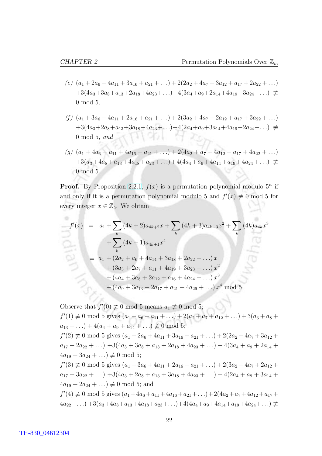- (e)  $(a_1 + 2a_6 + 4a_{11} + 3a_{16} + a_{21} + ...) + 2(2a_2 + 4a_7 + 3a_{12} + a_{17} + 2a_{22} + ...)$  $+3(4a_3+3a_8+a_{13}+2a_{18}+4a_{23}+\ldots)+4(3a_4+a_9+2a_{14}+4a_{19}+3a_{24}+\ldots) \neq$ 0 mod 5,
- (f)  $(a_1 + 3a_6 + 4a_{11} + 2a_{16} + a_{21} + ...) + 2(3a_2 + 4a_7 + 2a_{12} + a_{17} + 3a_{22} + ...)$  $+3(4a_3+2a_8+a_{13}+3a_{18}+4a_{23}+\ldots)+4(2a_4+a_9+3a_{14}+4a_{19}+2a_{24}+\ldots) \neq$ 그 분야 하다 0 mod 5, and
- (g)  $(a_1 + 4a_6 + a_{11} + 4a_{16} + a_{21} + ...) + 2(4a_2 + a_7 + 4a_{12} + a_{17} + 4a_{22} + ...)$  $+3(a_3+4a_8+a_{13}+4a_{18}+a_{23}+\ldots)+4(4a_4+a_9+4a_{14}+a_{19}+4a_{24}+\ldots) \neq$ 0 mod 5.

**Proof.** By Proposition [2.2.1,](#page-28-0)  $f(x)$  is a permutation polynomial modulo  $5^n$  if and only if it is a permutation polynomial modulo 5 and  $f'(x) \neq 0$  mod 5 for every integer  $x \in \mathbb{Z}_5$ . We obtain

$$
f'(x) = a_1 + \sum_{k} (4k+2)a_{4k+2}x + \sum_{k} (4k+3)a_{4k+3}x^2 + \sum_{k} (4k)a_{4k}x^3
$$
  
+ 
$$
\sum_{k} (4k+1)a_{4k+1}x^4
$$
  

$$
\equiv a_1 + (2a_2 + a_6 + 4a_{14} + 3a_{18} + 2a_{22} + ...)x
$$
  
+ 
$$
(3a_3 + 2a_7 + a_{11} + 4a_{19} + 3a_{23} + ...)x^2
$$
  
+ 
$$
(4a_4 + 3a_8 + 2a_{12} + a_{16} + 4a_{24} + ...)x^3
$$
  
+ 
$$
(4a_9 + 3a_{13} + 2a_{17} + a_{21} + 4a_{29} + ...)x^4 \text{ mod } 5
$$

Observe that  $f'(0) \not\equiv 0 \mod 5$  means  $a_1 \not\equiv 0 \mod 5$ ;  $f'(1) \not\equiv 0 \mod 5$  gives  $(a_1 + a_6 + a_{11} + ...) + 2(a_2 + a_7 + a_{12} + ...) + 3(a_3 + a_8 +$  $a_{13} + \ldots$ ) +  $4(a_4 + a_9 + a_{14} + \ldots) \not\equiv 0 \mod 5;$  $f'(2) \not\equiv 0 \mod 5$  gives  $(a_1 + 2a_6 + 4a_{11} + 3a_{16} + a_{21} + ...) + 2(2a_2 + 4a_7 + 3a_{12} + ...)$  $a_{17} + 2a_{22} + \ldots$  +  $3(4a_3 + 3a_8 + a_{13} + 2a_{18} + 4a_{23} + \ldots) + 4(3a_4 + a_9 + 2a_{14} +$  $4a_{19} + 3a_{24} + \ldots \equiv 0 \mod 5;$  $f'(3) \not\equiv 0 \mod 5$  gives  $(a_1 + 3a_6 + 4a_{11} + 2a_{16} + a_{21} + ...) + 2(3a_2 + 4a_7 + 2a_{12} + ...)$  $a_{17} + 3a_{22} + \ldots$  +  $3(4a_3 + 2a_8 + a_{13} + 3a_{18} + 4a_{23} + \ldots) + 4(2a_4 + a_9 + 3a_{14} +$  $4a_{19} + 2a_{24} + \ldots \equiv 0 \mod 5$ ; and  $f'(4) \not\equiv 0 \mod 5$  gives  $(a_1+4a_6+a_{11}+4a_{16}+a_{21}+\ldots)+2(4a_2+a_7+4a_{12}+a_{17}+$  $4a_{22}+\ldots$ ) +3( $a_3+4a_8+a_{13}+4a_{18}+a_{23}+\ldots$ )+4( $4a_4+a_9+4a_{14}+a_{19}+4a_{24}+\ldots$ )  $\neq$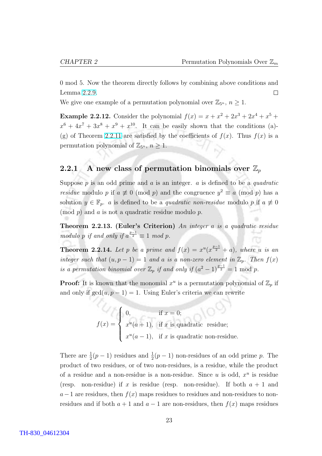<span id="page-33-0"></span>0 mod 5. Now the theorem directly follows by combining above conditions and Lemma [2.2.9.](#page-31-0)  $\Box$ 

We give one example of a permutation polynomial over  $\mathbb{Z}_{5^n}$ ,  $n \geq 1$ .

**Example 2.2.12.** Consider the polynomial  $f(x) = x + x^2 + 2x^3 + 2x^4 + x^5 +$  $x^6 + 4x^7 + 3x^8 + x^9 + x^{10}$ . It can be easily shown that the conditions (a)-(g) of Theorem [2.2.11](#page-31-0) are satisfied by the coefficients of  $f(x)$ . Thus  $f(x)$  is a permutation polynomial of  $\mathbb{Z}_{5^n}$ ,  $n \geq 1$ .

### 2.2.1 A new class of permutation binomials over  $\mathbb{Z}_p$

Suppose  $p$  is an odd prime and  $a$  is an integer.  $a$  is defined to be a quadratic *residue* modulo p if  $a \not\equiv 0 \pmod{p}$  and the congruence  $y^2 \equiv a \pmod{p}$  has a solution  $y \in \mathbb{F}_p$ . a is defined to be a *quadratic non-residue* modulo p if  $a \neq 0$  $p$  and a is not a quadratic residue modulo p.

Theorem 2.2.13. (Euler's Criterion) An integer a is a quadratic residue modulo p if and only if  $a^{\frac{p-1}{2}} \equiv 1 \mod p$ .

**Theorem 2.2.14.** Let p be a prime and  $f(x) = x^u(x^{\frac{p-1}{2}} + a)$ , where u is an integer such that  $(u, p - 1) = 1$  and a is a non-zero element in  $\mathbb{Z}_p$ . Then  $f(x)$ is a permutation binomial over  $\mathbb{Z}_p$  if and only if  $(a^2 - 1)^{\frac{p-1}{2}} = 1 \text{ mod } p$ .

**Proof:** It is known that the monomial  $x^u$  is a permutation polynomial of  $\mathbb{Z}_p$  if and only if  $gcd(u, p - 1) = 1$ . Using Euler's criteria we can rewrite

$$
f(x) = \begin{cases} 0, & \text{if } x = 0; \\ x^u(a+1), & \text{if } x \text{ is quadratic residue;} \\ x^u(a-1), & \text{if } x \text{ is quadratic non-residue.} \end{cases}
$$

There are  $\frac{1}{2}(p-1)$  residues and  $\frac{1}{2}(p-1)$  non-residues of an odd prime p. The product of two residues, or of two non-residues, is a residue, while the product of a residue and a non-residue is a non-residue. Since u is odd,  $x^u$  is residue (resp. non-residue) if x is residue (resp. non-residue). If both  $a + 1$  and  $a-1$  are residues, then  $f(x)$  maps residues to residues and non-residues to nonresidues and if both  $a + 1$  and  $a - 1$  are non-residues, then  $f(x)$  maps residues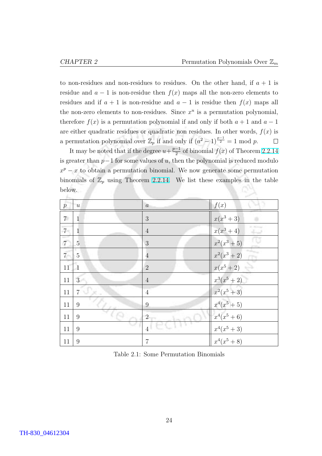to non-residues and non-residues to residues. On the other hand, if  $a + 1$  is residue and  $a - 1$  is non-residue then  $f(x)$  maps all the non-zero elements to residues and if  $a + 1$  is non-residue and  $a - 1$  is residue then  $f(x)$  maps all the non-zero elements to non-residues. Since  $x^u$  is a permutation polynomial, therefore  $f(x)$  is a permutation polynomial if and only if both  $a + 1$  and  $a - 1$ are either quadratic residues or quadratic non residues. In other words,  $f(x)$  is a permutation polynomial over  $\mathbb{Z}_p$  if and only if  $(a^2 - 1)^{\frac{p-1}{2}} = 1 \text{ mod } p$ .  $\Box$ 

It may be noted that if the degree  $u+\frac{p-1}{2}$  $\frac{-1}{2}$  of binomial  $f(x)$  of Theorem [2.2.14](#page-33-0) is greater than  $p-1$  for some values of u, then the polynomial is reduced modulo  $x^p - x$  to obtain a permutation binomial. We now generate some permutation binomials of  $\mathbb{Z}_p$  using Theorem [2.2.14.](#page-33-0) We list these examples in the table below.

| $\boldsymbol{p}$ | $\boldsymbol{u}$                                | $\boldsymbol{a}$ | f(x)                      |
|------------------|-------------------------------------------------|------------------|---------------------------|
| $\overline{7}$   | $\mathbf{1}$                                    | 3                | $x(x^3+3)$                |
| $\overline{7}$   | $\mathbf{1}$                                    | $\overline{4}$   | $x(x^3+4)$<br>$-1$        |
| $\vert 7 \vert$  | $\overline{5}$                                  | 3                | <u>to</u><br>$x^2(x^3+5)$ |
| 7 <sup>7</sup>   | $5\overline{)}$                                 | $\overline{4}$   | $x^2(x^3+2)$<br>m         |
| 11               | $\mathbf{1}$                                    | $\overline{2}$   | $x(x^5+2)$                |
| $11\,$           | $\sqrt{3}$                                      | $\,4\,$          | $x^3(x^5+2)$              |
| $11\,$           | $\mathbb{C}^n\mathbb{R}_{>0}$<br>$\overline{7}$ | $\sqrt{4}$       | $x^2(x^5+3)$              |
| 11               | $\overline{9}$                                  | $\overline{9}$   | $x^4(x^5+5)$              |
| 11               | 9                                               | $\overline{2}$   | $x^4(x^5+6)$              |
| 11               | $9\,$                                           | $\vert 4 \vert$  | $x^4(x^5+3)$              |
| 11               | 9                                               | $\overline{7}$   | $x^4(x^5+8)$              |

Table 2.1: Some Permutation Binomials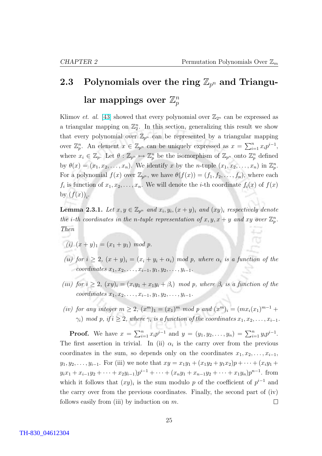œ

## <span id="page-35-0"></span>2.3 Polynomials over the ring  $\mathbb{Z}_{p^n}$  and Triangular mappings over  $\mathbb{Z}_n^n$ p

Klimov *et. al.* [\[43\]](#page-86-0) showed that every polynomial over  $\mathbb{Z}_{2^n}$  can be expressed as a triangular mapping on  $\mathbb{Z}_2^n$ . In this section, generalizing this result we show that every polynomial over  $\mathbb{Z}_{p^n}$  can be represented by a triangular mapping over  $\mathbb{Z}_p^n$ . An element  $x \in \mathbb{Z}_{p^n}$  can be uniquely expressed as  $x = \sum_{i=1}^n$  $\sum_{i=1}^{n} x_i p^{i-1},$ where  $x_i \in \mathbb{Z}_p$ . Let  $\theta: \mathbb{Z}_{p^n} \mapsto \mathbb{Z}_p^n$  be the isomorphism of  $\mathbb{Z}_{p^n}$  onto  $\mathbb{Z}_p^n$  defined by  $\theta(x) = (x_1, x_2, \ldots, x_n)$ . We identify x by the n-tuple  $(x_1, x_2, \ldots, x_n)$  in  $\mathbb{Z}_p^n$ . For a polynomial  $f(x)$  over  $\mathbb{Z}_{p^n}$ , we have  $\theta(f(x)) = (f_1, f_2, \ldots, f_n)$ , where each  $f_i$  is function of  $x_1, x_2, \ldots, x_n$ . We will denote the *i*-th coordinate  $f_i(x)$  of  $f(x)$ by  $(f(x))_i$ .

**Lemma 2.3.1.** Let  $x, y \in \mathbb{Z}_{p^n}$  and  $x_i, y_i, (x + y)_i$  and  $(xy)_i$  respectively denote the *i*-th coordinates in the *n*-tuple representation of  $x, y, x + y$  and  $xy$  over  $\mathbb{Z}_p^n$ . Then

- (i)  $(x + y)_1 = (x_1 + y_1) \mod p$ .
- (ii) for  $i \geq 2$ ,  $(x + y)_i = (x_i + y_i + \alpha_i)$  mod p, where  $\alpha_i$  is a function of the coordinates  $x_1, x_2, \ldots, x_{i-1}, y_1, y_2, \ldots, y_{i-1}.$
- (iii) for  $i > 2$ ,  $(xy)_i = (x_iy_1 + x_1y_i + \beta_i)$  mod p, where  $\beta_i$  is a function of the  $coordinates x_1, x_2, \ldots, x_{i-1}, y_1, y_2, \ldots, y_{i-1}.$
- (iv) for any integer  $m \ge 2$ ,  $(x^m)_1 = (x_1)^m \mod p$  and  $(x^m)_i = (mx_i(x_1)^{m-1} +$  $\gamma_i) \mod p, \text{ if } i \geq 2, \text{ where } \gamma_i \text{ is a function of the coordinates } x_1, x_2, \ldots, x_{i-1}.$

**Proof.** We have  $x = \sum_{i=1}^{n}$  $\sum_{i=1}^{n} x_i p^{i-1}$  and  $y = (y_1, y_2, \dots, y_n) = \sum_{i=1}^{n} y_i p^{i-1}$ . The first assertion in trivial. In (ii)  $\alpha_i$  is the carry over from the previous coordinates in the sum, so depends only on the coordinates  $x_1, x_2, \ldots, x_{i-1}$ ,  $y_1, y_2, \ldots, y_{i-1}$ . For (iii) we note that  $xy = x_1y_1 + (x_1y_2 + y_1x_2)p + \cdots + (x_iy_1 + y_i)$  $y_i x_1 + x_{i-1} y_2 + \cdots + x_2 y_{i-1} p^{i-1} + \cdots + (x_n y_1 + x_{n-1} y_2 + \cdots + x_1 y_n) p^{n-1}$ . from which it follows that  $(xy)_i$  is the sum modulo p of the coefficient of  $p^{i-1}$  and the carry over from the previous coordinates. Finally, the second part of (iv) follows easily from (iii) by induction on  $m$ .  $\Box$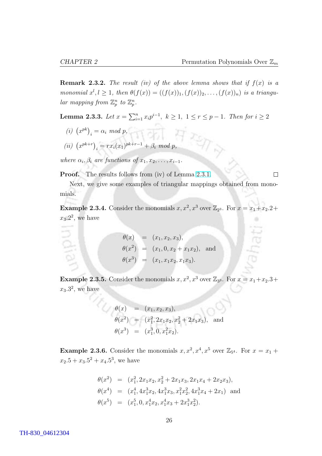<span id="page-36-0"></span>**Remark 2.3.2.** The result (iv) of the above lemma shows that if  $f(x)$  is a monomial  $x^l, l \geq 1$ , then  $\theta(f(x)) = ((f(x))_1, (f(x))_2, \ldots, (f(x))_n)$  is a triangular mapping from  $\mathbb{Z}_p^n$  to  $\mathbb{Z}_p^n$ .

Lemma 2.3.3. Let  $x = \sum_{i=1}^{n} x_i$  $_{i=1}^{n} x_i p^{i-1}, k ≥ 1, 1 ≤ r ≤ p - 1.$  Then for  $i ≥ 2$ 

 $(i)$   $(x^{pk})$  $i = \alpha_i \mod p$ ,

(*ii*) 
$$
(x^{pk+r})_i = rx_i(x_1)^{pk+r-1} + \beta_i \mod p
$$
,

where  $\alpha_i, \beta_i$  are functions of  $x_1, x_2, \ldots, x_{i-1}$ .

Proof. The results follows from (iv) of Lemma [2.3.1.](#page-35-0)

 $\Box$ 

Next, we give some examples of triangular mappings obtained from monomials.

**Example 2.3.4.** Consider the monomials  $x, x^2, x^3$  over  $\mathbb{Z}_{2^3}$ . For  $x = x_1 + x_2 \cdot 2 + x_3$  $x_3.2^2$ , we have

> $\theta(x) = (x_1, x_2, x_3),$  $\theta(x^2) = (x_1, 0, x_2 + x_1 x_2), \text{ and}$  $\theta(x^3) = (x_1, x_1x_2, x_1x_3).$

**Example 2.3.5.** Consider the monomials  $x, x^2, x^3$  over  $\mathbb{Z}_{3^3}$ . For  $x = x_1 + x_2 \cdot 3 + x_3$  $x_3.3^2$ , we have

$$
\theta(x) = (x_1, x_2, x_3),
$$
  
\n
$$
\theta(x^2) = (x_1^2, 2x_1x_2, x_2^2 + 2x_1x_3),
$$
 and  
\n
$$
\theta(x^3) = (x_1^3, 0, x_1^2x_2).
$$

**Example 2.3.6.** Consider the monomials  $x, x^2, x^4, x^5$  over  $\mathbb{Z}_{5^4}$ . For  $x = x_1 +$  $x_2 \cdot 5 + x_3 \cdot 5^2 + x_4 \cdot 5^3$ , we have

$$
\theta(x^2) = (x_1^2, 2x_1x_2, x_2^2 + 2x_1x_3, 2x_1x_4 + 2x_2x_3),
$$
  
\n
$$
\theta(x^4) = (x_1^4, 4x_1^3x_2, 4x_1^3x_3, x_1^2x_2^2, 4x_1^3x_4 + 2x_1)
$$
 and  
\n
$$
\theta(x^5) = (x_1^5, 0, x_1^4x_2, x_1^4x_3 + 2x_1^3x_2^2).
$$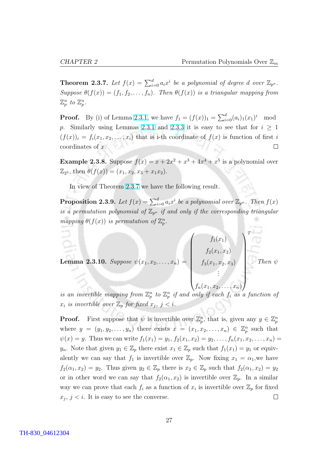**Theorem 2.3.7.** Let  $f(x) = \sum_{i=0}^{d} a_i x^i$  be a polynomial of degree d over  $\mathbb{Z}_{p^n}$ . Suppose  $\theta(f(x)) = (f_1, f_2, \ldots, f_n)$ . Then  $\theta(f(x))$  is a triangular mapping from  $\mathbb{Z}_p^n$  to  $\mathbb{Z}_p^n$ .

**Proof.** By (i) of Lemma [2.3.1,](#page-35-0) we have  $f_1 = (f(x))_1 = \sum_{i=1}^d f(x_i)$  $\binom{d}{i=0}(a_i)_1(x_1)^i \mod$ p. Similarly using Lemmas [2.3.1](#page-35-0) and [2.3.3](#page-36-0) it is easy to see that for  $i \geq 1$  $(f(x))_i = f_i(x_1, x_2, \ldots, x_i)$  that is i-th coordinate of  $f(x)$  is function of first i coordinates of x.  $\Box$ 

**Example 2.3.8.** Suppose  $f(x) = x + 2x^2 + x^3 + 4x^4 + x^5$  is a polynomial over  $\mathbb{Z}_{2^3}$ , then  $\theta(f(x)) = (x_1, x_2, x_3 + x_1x_2).$ 

In view of Theorem [2.3.7](#page-36-0) we have the following result.

**Proposition 2.3.9.** Let  $f(x) = \sum_{i=0}^{d} a_i x^i$  be a polynomial over  $\mathbb{Z}_{p^n}$ . Then  $f(x)$ is a permutation polynomial of  $\mathbb{Z}_{p^n}$  if and only if the corresponding triangular mapping  $\theta(f(x))$  is permutation of  $\mathbb{Z}_p^n$ .

 $\overline{\phantom{a}}$ 

**Lemma 2.3.10.** Suppose  $\psi(x_1, x_2, \ldots, x_n) =$  $\left\vert \right\vert$  $f_1(x_1)$  $f_2(x_1, x_2)$  $f_3(x_1, x_2, x_3)$ . . . . Then  $\psi$ 

$$
\big(f_n(x_1,x_2,\ldots,x_n)\big)
$$

 $\sqrt{T}$ 

is an invertible mapping from  $\mathbb{Z}_p^n$  to  $\mathbb{Z}_p^n$  if and only if each  $f_i$  as a function of  $x_i$  is invertible over  $\mathbb{Z}_p$  for fixed  $x_j$ ,  $j < i$ .

**Proof.** First suppose that  $\psi$  is invertible over  $\mathbb{Z}_p^n$ , that is, given any  $y \in \mathbb{Z}_p^n$ where  $y = (y_1, y_2, \ldots, y_n)$  there exists  $x = (x_1, x_2, \ldots, x_n) \in \mathbb{Z}_p^n$  such that  $\psi(x) = y$ . Thus we can write  $f_1(x_1) = y_1, f_2(x_1, x_2) = y_2, \ldots, f_n(x_1, x_2, \ldots, x_n) =$  $y_n$ . Note that given  $y_1 \in \mathbb{Z}_p$  there exist  $x_1 \in \mathbb{Z}_p$  such that  $f_1(x_1) = y_1$  or equivalently we can say that  $f_1$  is invertible over  $\mathbb{Z}_p$ . Now fixing  $x_1 = \alpha_1$ , we have  $f_2(\alpha_1, x_2) = y_2$ . Thus given  $y_2 \in \mathbb{Z}_p$  there is  $x_2 \in \mathbb{Z}_p$  such that  $f_2(\alpha_1, x_2) = y_2$ . or in other word we can say that  $f_2(\alpha_1, x_2)$  is invertible over  $\mathbb{Z}_p$ . In a similar way we can prove that each  $f_i$  as a function of  $x_i$  is invertible over  $\mathbb{Z}_p$  for fixed  $x_j, j \leq i$ . It is easy to see the converse.  $\Box$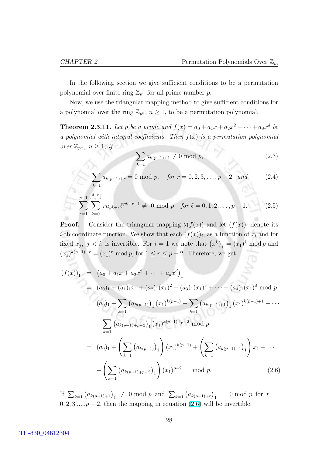<span id="page-38-0"></span>In the following section we give sufficient conditions to be a permutation polynomial over finite ring  $\mathbb{Z}_{p^n}$  for all prime number p.

Now, we use the triangular mapping method to give sufficient conditions for a polynomial over the ring  $\mathbb{Z}_{p^n}$ ,  $n \geq 1$ , to be a permutation polynomial.

**Theorem 2.3.11.** Let p be a prime and  $f(x) = a_0 + a_1x + a_2x^2 + \cdots + a_dx^d$  be a polynomial with integral coefficients. Then  $f(x)$  is a permutation polynomial over  $\mathbb{Z}_{p^n}$ ,  $n \geq 1$ , if  $\overline{\phantom{a}}$ 

$$
\sum_{k=1} a_{k(p-1)+1} \neq 0 \text{ mod } p,
$$
\n(2.3)

$$
\sum_{k=1} a_{k(p-1)+r} = 0 \text{ mod } p, \quad \text{for } r = 0, 2, 3, \dots, p-2, \text{ and } (2.4)
$$

$$
\sum_{r=1}^{p-1} \sum_{k=0}^{\lfloor \frac{d-r}{p} \rfloor} r a_{pk+r} \ell^{pk+r-1} \neq 0 \mod p \quad \text{for } \ell = 0, 1, 2, \dots, p-1. \tag{2.5}
$$

**Proof.** Consider the triangular mapping  $\theta(f(x))$  and let  $(f(x))_i$  denote its *i*-th coordinate function. We show that each  $(f(x))_i$ , as a function of  $x_i$  and for fixed  $x_j$ ,  $j < i$ , is invertible. For  $i = 1$  we note that  $(x^k)$  $_1 = (x_1)^k \mod p$  and  $(x_1)^{k(p-1)+r} = (x_1)^r \mod p$ , for  $1 \le r \le p-2$ . Therefore, we get

$$
(f(x))_1 = (a_0 + a_1x + a_2x^2 + \dots + a_dx^d)_1
$$
  
\n
$$
= (a_0)_1 + (a_1)_1x_1 + (a_2)_1(x_1)^2 + (a_3)_1(x_1)^3 + \dots + (a_d)_1(x_1)^d \mod p
$$
  
\n
$$
= (a_0)_1 + \sum_{k=1} (a_{k(p-1)})_1 (x_1)^{k(p-1)} + \sum_{k=1} (a_{k(p-1)+1})_1 (x_1)^{k(p-1)+1} + \dots
$$
  
\n
$$
+ \sum_{k=1} (a_{k(p-1)+p-2})_1 (x_1)^{k(p-1)+p-2} \mod p
$$
  
\n
$$
= (a_0)_1 + \left(\sum_{k=1} (a_{k(p-1)})_1\right) (x_1)^{k(p-1)} + \left(\sum_{k=1} (a_{k(p-1)+1})_1\right) x_1 + \dots
$$
  
\n
$$
+ \left(\sum_{k=1} (a_{k(p-1)+p-2})_1\right) (x_1)^{p-2} \mod p.
$$
 (2.6)

If  $\sum_{k=1}^{\infty} (a_{k(p-1)+1})_1 \neq 0 \mod p$  and  $\sum_{k=1}^{\infty} (a_{k(p-1)+r})$ ¢  $_1$  = 0 mod p for  $r =$  $0, 2, 3, \ldots, p-2$ , then the mapping in equation  $(2.6)$  will be invertible.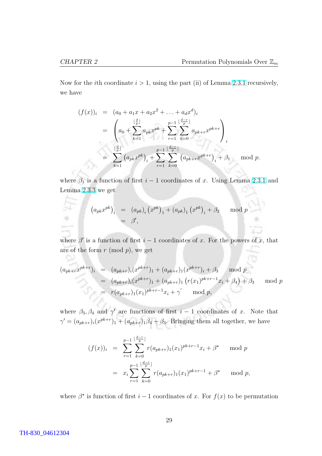D

Now for the *i*th coordinate  $i > 1$ , using the part (ii) of Lemma [2.3.1](#page-35-0) recursively, we have

$$
(f(x))_i = (a_0 + a_1x + a_2x^2 + \dots + a_dx^d)_i
$$
  
= 
$$
\left(a_0 + \sum_{k=1}^{\lfloor \frac{d}{p} \rfloor} a_{pk}x^{pk} + \sum_{r=1}^{p-1} \sum_{k=0}^{\lfloor \frac{d-r}{p} \rfloor} a_{pk+r}x^{pk+r}\right)_i
$$
  
= 
$$
\sum_{k=1}^{\lfloor \frac{d}{p} \rfloor} (a_{pk}x^{pk})_i + \sum_{r=1}^{p-1} \sum_{k=0}^{\lfloor \frac{d-r}{p} \rfloor} (a_{pk+r}x^{pk+r})_i + \beta_1 \mod p.
$$

where  $\beta_1$  is a function of first  $i-1$  coordinates of x. Using Lemma [2.3.1](#page-35-0) and Lemma [2.3.3](#page-36-0) we get

$$
(a_{pk}x^{pk})_i = (a_{pk})_i (x^{pk})_1 + (a_{pk})_1 (x^{pk})_i + \beta_2 \mod p
$$
  
=  $\beta'$ ,

where  $\beta'$  is a function of first  $i-1$  coordinates of x. For the powers of x, that are of the form  $r \pmod{p}$ , we get

$$
(a_{pk+r}x^{pk+r})_i = (a_{pk+r})_i(x^{pk+r})_1 + (a_{pk+r})_1(x^{pk+r})_i + \beta_3 \mod p
$$
  
=  $(a_{pk+r})_i(x^{pk+r})_1 + (a_{pk+r})_1 (r(x_1)^{pk+r-1}x_i + \beta_4) + \beta_3 \mod p$   
=  $r(a_{pk+r})_1(x_1)^{pk+r-1}x_i + \gamma' \mod p$ ,

where  $\beta_3, \beta_4$  and  $\gamma'$  are functions of first  $i-1$  coordinates of x. Note that  $\gamma' = (a_{pk+r})_i (x^{pk+r})_1 + (a_{pk+r})_1 \beta_4 + \beta_3$ . Bringing them all together, we have

$$
(f(x))_i = \sum_{r=1}^{p-1} \sum_{k=0}^{\lfloor \frac{d-r}{p} \rfloor} r(a_{pk+r})_1(x_1)^{pk+r-1} x_i + \beta^* \mod p
$$
  
=  $x_i \sum_{r=1}^{p-1} \sum_{k=0}^{\lfloor \frac{d-r}{p} \rfloor} r(a_{pk+r})_1(x_1)^{pk+r-1} + \beta^* \mod p,$ 

where  $\beta^*$  is function of first  $i-1$  coordinates of x. For  $f(x)$  to be permutation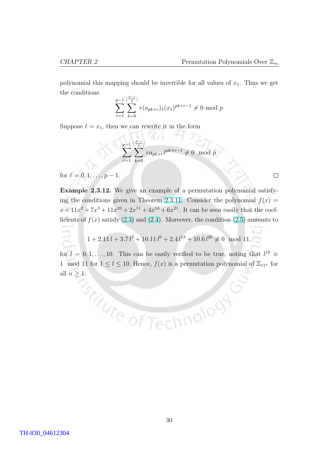polynomial this mapping should be invertible for all values of  $x_1$ . Thus we get the conditions

$$
\sum_{r=1}^{p-1} \sum_{k=0}^{\lfloor \frac{d-r}{p} \rfloor} r(a_{pk+r})_1(x_1)^{pk+r-1} \neq 0 \mod p
$$

Suppose  $\ell = x_1$ , then we can rewrite it in the form

$$
\sum_{r=1}^{p-1} \sum_{k=0}^{\lfloor \frac{d-r}{p} \rfloor} r a_{pk+r} \ell^{pk+r-1} \neq 0 \mod p
$$

nchi kr

for  $\ell = 0, 1, \ldots, p - 1$ .

Example 2.3.12. We give an example of a permutation polynomial satisfy-ing the conditions given in Theorem [2.3.11.](#page-38-0) Consider the polynomial  $f(x) =$  $x + 11x^2 + 7x^3 + 11x^{10} + 2x^{11} + 4x^{13} + 6x^{21}$ . It can be seen easily that the coefficients of  $f(x)$  satisfy [\(2.3\)](#page-38-0) and [\(2.4\)](#page-38-0). Moreover, the condition [\(2.5\)](#page-38-0) amounts to

$$
1 + 2.11 l + 3.7 l^2 + 10.11 l^9 + 2.4 l^{13} + 10.6 l^{20} \not\equiv 0 \mod 11,
$$

for  $l = 0, 1, \ldots, 10$ . This can be easily verified to be true, noting that  $l^{10} \equiv$ 1 mod 11 for  $1 \leq l \leq 10$ . Hence,  $f(x)$  is a permutation polynomial of  $\mathbb{Z}_{11^n}$  for all  $n \geq 1$ .<br> $\bigcirc_{\mathcal{L}_{\mathcal{L}_{\mathcal{L}}}^{\mathcal{L}_{\mathcal{L}}}(\mathcal{L}_{\mathcal{L}_{\mathcal{L}}}^{0})}$ 

hnolooy

 $\Box$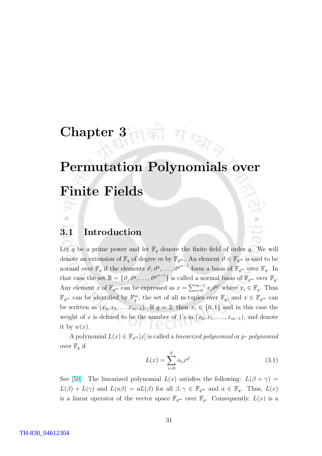# Chapter  $3\pi\pi$  Here

# Permutation Polynomials over Finite Fields

#### 3.1 Introduction

Let q be a prime power and let  $\mathbb{F}_q$  denote the finite field of order q. We will denote an extension of  $\mathbb{F}_q$  of degree m by  $\mathbb{F}_{q^m}$ . An element  $\vartheta \in \mathbb{F}_{q^m}$  is said to be normal over  $\mathbb{F}_q$  if the elements  $\vartheta, \vartheta^q, \ldots, \vartheta^{q^{m-1}}$  form a basis of  $\mathbb{F}_{q^m}$  over  $\mathbb{F}_q$ . In that case the set  $\mathbb{B} = \{\vartheta, \vartheta^q, \dots, \vartheta^{q^{m-1}}\}\$ is called a normal basis of  $\mathbb{F}_{q^m}$  over  $\mathbb{F}_q$ . Any element x of  $\mathbb{F}_{q^m}$  can be expressed as  $x = \sum_{i=0}^{m-1}$  $_{i=0}^{m-1} x_i \vartheta^{q^i}$  where  $x_i \in \mathbb{F}_q$ . Thus  $\mathbb{F}_{q^m}$  can be identified by  $\mathbb{F}_q^m$ , the set of all m-tuples over  $\mathbb{F}_q$ , and  $x \in \mathbb{F}_{q^m}$  can be written as  $(x_0, x_1, \ldots x_{m-1})$ . If  $q = 2$ , then  $x_i \in \{0, 1\}$  and in this case the weight of x is defined to be the number of 1's in  $(x_0, x_1, \ldots, x_{m-1})$ , and denote it by  $w(x)$ .

A polynomial  $L(x) \in \mathbb{F}_{q^m}[x]$  is called a *linearized polynomial* or p- polynomial over  $\mathbb{F}_q$  if

$$
L(x) = \sum_{i=0}^{k} \alpha_i x^{q^i}.
$$
\n(3.1)

See [\[50\]](#page-87-0). The linearized polynomial  $L(x)$  satisfies the following:  $L(\beta + \gamma) =$  $L(\beta) + L(\gamma)$  and  $L(a\beta) = aL(\beta)$  for all  $\beta, \gamma \in \mathbb{F}_{q^m}$  and  $a \in \mathbb{F}_q$ . Thus,  $L(x)$ is a linear operator of the vector space  $\mathbb{F}_{q^m}$  over  $\mathbb{F}_q$ . Consequently,  $L(x)$  is a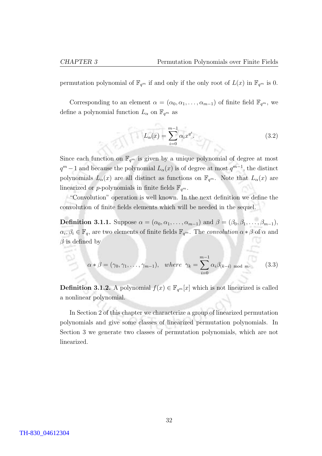<span id="page-42-0"></span>permutation polynomial of  $\mathbb{F}_{q^m}$  if and only if the only root of  $L(x)$  in  $\mathbb{F}_{q^m}$  is 0.

Corresponding to an element  $\alpha = (\alpha_0, \alpha_1, \ldots, \alpha_{m-1})$  of finite field  $\mathbb{F}_{q^m}$ , we define a polynomial function  $L_{\alpha}$  on  $\mathbb{F}_{q^m}$  as

$$
L_{\alpha}(x) = \sum_{i=0}^{m-1} \alpha_i x^{q^i}.
$$
 (3.2)

Since each function on  $\mathbb{F}_{q^m}$  is given by a unique polynomial of degree at most  $q^m-1$  and because the polynomial  $L_\alpha(x)$  is of degree at most  $q^{m-1}$ , the distinct polynomials  $L_{\alpha}(x)$  are all distinct as functions on  $\mathbb{F}_{q^m}$ . Note that  $L_{\alpha}(x)$  are linearized or p-polynomials in finite fields  $\mathbb{F}_{q^m}$ .

"Convolution" operation is well known. In the next definition we define the convolution of finite fields elements which will be needed in the sequel.

**Definition 3.1.1.** Suppose  $\alpha = (\alpha_0, \alpha_1, \ldots, \alpha_{m-1})$  and  $\beta = (\beta_0, \beta_1, \ldots, \beta_{m-1}),$  $\alpha_i, \beta_i \in \mathbb{F}_q$ , are two elements of finite fields  $\mathbb{F}_{q^m}$ . The *convolution*  $\alpha * \beta$  of  $\alpha$  and  $\beta$  is defined by

$$
\alpha * \beta = (\gamma_0, \gamma_1, \dots, \gamma_{m-1}), \quad where \ \gamma_k = \sum_{i=0}^{m-1} \alpha_i \beta_{(k-i) \mod m}.
$$
 (3.3)

**Definition 3.1.2.** A polynomial  $f(x) \in \mathbb{F}_{q^m}[x]$  which is not linearized is called a nonlinear polynomial.

In Section 2 of this chapter we characterize a group of linearized permutation polynomials and give some classes of linearized permutation polynomials. In Section 3 we generate two classes of permutation polynomials, which are not linearized.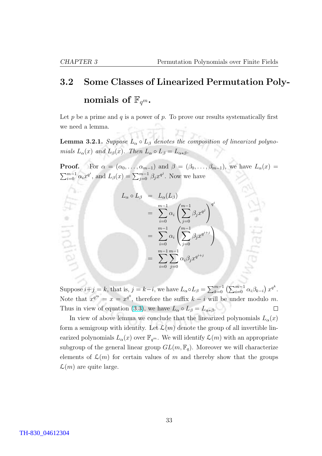Indial

## <span id="page-43-0"></span>3.2 Some Classes of Linearized Permutation Polynomials of  $\mathbb{F}_{q^m}$ .

Let p be a prime and q is a power of p. To prove our results systematically first we need a lemma.

**Lemma 3.2.1.** Suppose  $L_{\alpha} \circ L_{\beta}$  denotes the composition of linearized polynomials  $L_{\alpha}(x)$  and  $L_{\beta}(x)$ . Then  $L_{\alpha} \circ L_{\beta} = L_{\alpha * \beta}$ .

**Proof.** For  $\alpha = (\alpha_0, \ldots, \alpha_{m-1})$  and  $\beta = (\beta_0, \ldots, \beta_{m-1})$ , we have  $L_{\alpha}(x)$  $\sum_{m=1}^{\infty}$  $\sum_{i=0}^{m-1} \alpha_i x^{q^i}$ , and  $L_\beta(x) = \sum_{j=0}^{m-1} \beta_j x^{q^j}$ . Now we have

$$
L_{\alpha} \circ L_{\beta} = L_{\alpha}(L_{\beta})
$$
  
= 
$$
\sum_{i=0}^{m-1} \alpha_i \left( \sum_{j=0}^{m-1} \beta_j x^{q^j} \right)^{q^i}
$$
  
= 
$$
\sum_{i=0}^{m-1} \alpha_i \left( \sum_{j=0}^{m-1} \beta_j x^{q^{i+j}} \right)
$$
  
= 
$$
\sum_{i=0}^{m-1} \sum_{j=0}^{m-1} \alpha_i \beta_j x^{q^{i+j}}
$$

Suppose  $i+j = k$ , that is,  $j = k-i$ , we have  $L_{\alpha} \circ L_{\beta} = \sum_{k=0}^{m-1} \left( \sum_{i=0}^{m-1} \alpha_i \beta_{k-i} \right)$ ¢  $x^{q^k}.$ Note that  $x^{q^m} = x = x^{q^0}$ , therefore the suffix  $k - i$  will be under modulo m. Thus in view of equation [\(3.3\)](#page-42-0), we have  $L_{\alpha} \circ L_{\beta} = L_{\alpha * \beta}$ .  $\Box$ 

In view of above lemma we conclude that the linearized polynomials  $L_{\alpha}(x)$ form a semigroup with identity. Let  $\mathcal{L}(m)$  denote the group of all invertible linearized polynomials  $L_{\alpha}(x)$  over  $\mathbb{F}_{q^m}$ . We will identify  $\mathcal{L}(m)$  with an appropriate subgroup of the general linear group  $GL(m, \mathbb{F}_q)$ . Moreover we will characterize elements of  $\mathcal{L}(m)$  for certain values of m and thereby show that the groups  $\mathcal{L}(m)$  are quite large.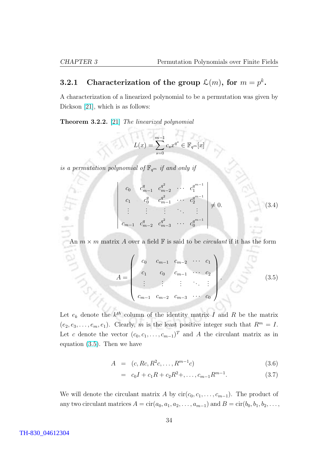#### <span id="page-44-0"></span>3.2.1 Characterization of the group  $\mathcal{L}(m)$ , for  $m = p^k$ .

A characterization of a linearized polynomial to be a permutation was given by Dickson [\[21\]](#page-85-0), which is as follows:

Theorem 3.2.2. [\[21\]](#page-85-0) The linearized polynomial

$$
L(x) = \sum_{s=0}^{m-1} c_s x^{q^s} \in \mathbb{F}_{q^m}[x]
$$

is a permutation polynomial of  $\mathbb{F}_{q^m}$  if and only if

$$
\begin{vmatrix}\nc_0 & c_{m-1}^q & c_{m-2}^{q^2} & \cdots & c_1^{q^{m-1}} \\
c_1 & c_0^q & c_{m-1}^q & \cdots & c_2^{q^{m-1}} \\
\vdots & \vdots & \vdots & \ddots & \vdots \\
c_{m-1} & c_{m-2}^q & c_{m-3}^{q^2} & \cdots & c_0^{q^{m-1}}\n\end{vmatrix} \neq 0.
$$
\n(3.4)

An  $m \times m$  matrix A over a field  $\mathbb F$  is said to be *circulant* if it has the form

$$
A = \begin{pmatrix} c_0 & c_{m-1} & c_{m-2} & \cdots & c_1 \\ c_1 & c_0 & c_{m-1} & \cdots & c_2 \\ \vdots & \vdots & \vdots & \ddots & \vdots \\ c_{m-1} & c_{m-2} & c_{m-3} & \cdots & c_0 \end{pmatrix} .
$$
 (3.5)

Let  $e_k$  denote the  $k^{th}$  column of the identity matrix I and R be the matrix  $(e_2, e_3, \ldots, e_m, e_1)$ . Clearly, m is the least positive integer such that  $R^m = I$ . Let c denote the vector  $(c_0, c_1, \ldots, c_{m-1})^T$  and A the circulant matrix as in equation (3.5). Then we have

$$
A = (c, Rc, R^2c, \dots, R^{m-1}c) \tag{3.6}
$$

$$
= c_0 I + c_1 R + c_2 R^2 + \dots, c_{m-1} R^{m-1}.
$$
\n(3.7)

We will denote the circulant matrix A by  $\text{cir}(c_0, c_1, \ldots, c_{m-1})$ . The product of any two circulant matrices  $A = \text{cir}(a_0, a_1, a_2, \dots, a_{m-1})$  and  $B = \text{cir}(b_0, b_1, b_2, \dots, b_m)$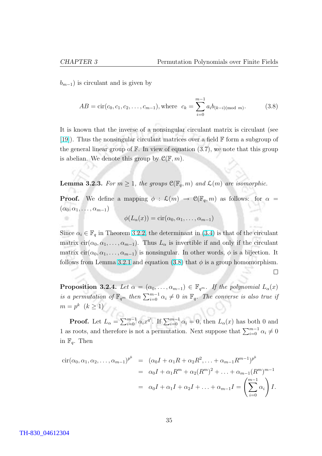$\Box$ 

<span id="page-45-0"></span> $b_{m-1}$ ) is circulant and is given by

$$
AB = \text{cir}(c_0, c_1, c_2, \dots, c_{m-1}), \text{where } c_k = \sum_{i=0}^{m-1} a_i b_{(k-i)(\text{mod } m)}.
$$
 (3.8)

It is known that the inverse of a nonsingular circulant matrix is circulant (see [\[19\]](#page-85-0)). Thus the nonsingular circulant matrices over a field F form a subgroup of the general linear group of  $\mathbb F$ . In view of equation  $(3.7)$ , we note that this group is abelian. We denote this group by  $\mathcal{C}(\mathbb{F},m)$ .

**Lemma 3.2.3.** For  $m \geq 1$ , the groups  $\mathcal{C}(\mathbb{F}_q,m)$  and  $\mathcal{L}(m)$  are isomorphic.

**Proof.** We define a mapping  $\phi : \mathcal{L}(m) \to \mathcal{C}(\mathbb{F}_q,m)$  as follows: for  $\alpha =$  $(\alpha_0, \alpha_1, \ldots, \alpha_{m-1})$ 

$$
\phi(L_{\alpha}(x)) = \text{cir}(\alpha_0, \alpha_1, \ldots, \alpha_{m-1})
$$

Since  $\alpha_i \in \mathbb{F}_q$  in Theorem [3.2.2,](#page-44-0) the determinant in [\(3.4\)](#page-44-0) is that of the circulant matrix  $\text{cir}(\alpha_0, \alpha_1, \ldots, \alpha_{m-1})$ . Thus  $L_\alpha$  is invertible if and only if the circulant matrix  $\text{cir}(\alpha_0, \alpha_1, \ldots, \alpha_{m-1})$  is nonsingular. In other words,  $\phi$  is a bijection. It follows from Lemma [3.2.1](#page-43-0) and equation (3.8) that  $\phi$  is a group homomorphism.

**Proposition 3.2.4.** Let  $\alpha = (\alpha_0, \ldots, \alpha_{m-1}) \in \mathbb{F}_{q^m}$ . If the polynomial  $L_{\alpha}(x)$ is a permutation of  $\mathbb{F}_{q^m}$  then  $\sum_{i=0}^{m-1} \alpha_i \neq 0$  in  $\mathbb{F}_q$ . The converse is also true if  $m = p^k \ (k \geq 1)$ 

**Proof.** Let  $L_{\alpha} = \sum_{i=0}^{m-1}$  $\sum_{i=0}^{m-1} \alpha_i x^{q^i}$ . If  $\sum_{i=0}^{m-1} \alpha_i = 0$ , then  $L_\alpha(x)$  has both 0 and 1 as roots, and therefore is not a permutation. Next suppose that  $\sum_{i=0}^{m-1} \alpha_i \neq 0$ in  $\mathbb{F}_q$ . Then

$$
\begin{aligned}\n\text{cir}(\alpha_0, \alpha_1, \alpha_2, \dots, \alpha_{m-1})^{p^k} &= (\alpha_0 I + \alpha_1 R + \alpha_2 R^2, \dots + \alpha_{m-1} R^{m-1})^{p^k} \\
&= \alpha_0 I + \alpha_1 R^m + \alpha_2 (R^m)^2 + \dots + \alpha_{m-1} (R^m)^{m-1} \\
&= \alpha_0 I + \alpha_1 I + \alpha_2 I + \dots + \alpha_{m-1} I = \left(\sum_{i=0}^{m-1} \alpha_i\right) I.\n\end{aligned}
$$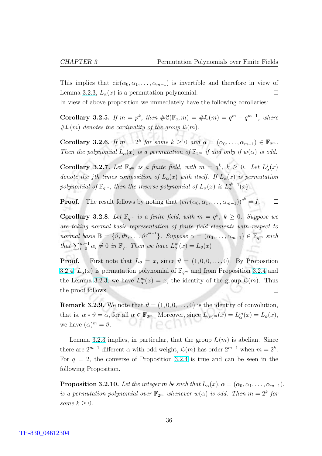<span id="page-46-0"></span>This implies that  $\text{cir}(\alpha_0, \alpha_1, \ldots, \alpha_{m-1})$  is invertible and therefore in view of Lemma [3.2.3,](#page-45-0)  $L_{\alpha}(x)$  is a permutation polynomial.  $\Box$ 

In view of above proposition we immediately have the following corollaries:

Corollary 3.2.5. If  $m = p^k$ , then  $\#\mathfrak{C}(\mathbb{F}_q, m) = \#\mathcal{L}(m) = q^m - q^{m-1}$ , where  $#L(m)$  denotes the cardinality of the group  $L(m)$ .

**Corollary 3.2.6.** If  $m = 2^k$  for some  $k \geq 0$  and  $\alpha = (\alpha_0, \dots, \alpha_{m-1}) \in \mathbb{F}_{2^m}$ . Then the polynomial  $L_{\alpha}(x)$  is a permutation of  $\mathbb{F}_{2^m}$  if and only if  $w(\alpha)$  is odd.

**Corollary 3.2.7.** Let  $\mathbb{F}_{q^m}$  is a finite field, with  $m = q^k$ ,  $k \geq 0$ . Let  $L^j_\alpha(x)$ denote the jth times composition of  $L_{\alpha}(x)$  with itself. If  $L_{\alpha}(x)$  is permutation polynomial of  $\mathbb{F}_{q^m}$ , then the inverse polynomial of  $L_{\alpha}(x)$  is  $L_{\alpha}^{q^k-1}(x)$ .

**Proof.** The result follows by noting that  $(cir(\alpha_0, \alpha_1, \ldots, \alpha_{m-1}))^{q^k} = I$ .  $\Box$ 

**Corollary 3.2.8.** Let  $\mathbb{F}_{q^m}$  is a finite field, with  $m = q^k$ ,  $k \geq 0$ . Suppose we are taking normal basis representation of finite field elements with respect to normal basis  $\mathbb{B} = \{\vartheta, \vartheta^q, \dots, \vartheta^{q^{m-1}}\}$ . Suppose  $\alpha = (\alpha_0, \dots, \alpha_{m-1}) \in \mathbb{F}_{q^m}$  such that  $\sum_{i=0}^{m-1} \alpha_i \neq 0$  in  $\mathbb{F}_q$ . Then we have  $L_{\alpha}^m(x) = L_{\vartheta}(x)$ 

**Proof.** First note that  $L_{\vartheta} = x$ , since  $\vartheta = (1, 0, 0, \ldots, 0)$ . By Proposition [3.2.4,](#page-45-0)  $L_{\alpha}(x)$  is permutation polynomial of  $\mathbb{F}_{q^m}$  and from Proposition [3.2.4](#page-45-0) and the Lemma [3.2.3,](#page-45-0) we have  $L_{\alpha}^{m}(x) = x$ , the identity of the group  $\mathcal{L}(m)$ . Thus the proof follows.  $\Box$ 

**Remark 3.2.9.** We note that  $\vartheta = (1, 0, 0, \ldots, 0)$  is the identity of convolution, that is,  $\alpha * \vartheta = \alpha$ , for all  $\alpha \in \mathbb{F}_{2^m}$ . Moreover, since  $L_{(\alpha)^m}(x) = L_{\alpha}^m(x) = L_{\vartheta}(x)$ , we have  $(\alpha)^m = \vartheta$ .  $IPCI$ 

Lemma [3.2.3](#page-45-0) implies, in particular, that the group  $\mathcal{L}(m)$  is abelian. Since there are  $2^{m-1}$  different  $\alpha$  with odd weight,  $\mathcal{L}(m)$  has order  $2^{m-1}$  when  $m = 2^k$ . For  $q = 2$ , the converse of Proposition [3.2.4](#page-45-0) is true and can be seen in the following Proposition.

**Proposition 3.2.10.** Let the integer m be such that  $L_{\alpha}(x), \alpha = (\alpha_0, \alpha_1, \ldots, \alpha_{m-1}),$ is a permutation polynomial over  $\mathbb{F}_{2^m}$  whenever  $w(\alpha)$  is odd. Then  $m=2^k$  for some  $k \geq 0$ .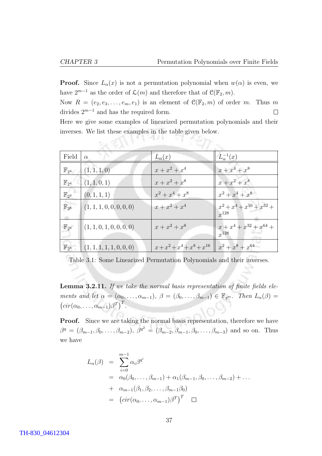$22211$ 

<span id="page-47-0"></span>**Proof.** Since  $L_{\alpha}(x)$  is not a permutation polynomial when  $w(\alpha)$  is even, we have  $2^{m-1}$  as the order of  $\mathcal{L}(m)$  and therefore that of  $\mathcal{C}(\mathbb{F}_2, m)$ .

Now  $R = (e_2, e_3, \ldots, e_m, e_1)$  is an element of  $\mathcal{C}(\mathbb{F}_2, m)$  of order m. Thus m divides  $2^{m-1}$  and has the required form.  $\Box$ 

Here we give some examples of linearized permutation polynomials and their inverses. We list these examples in the table given below.

| Field              | $\alpha$                 | $L_{\alpha}(x)$                | $L_{\alpha}^{-1}(x)$                         |
|--------------------|--------------------------|--------------------------------|----------------------------------------------|
| $\mathbb{F}_{2^4}$ | (1, 1, 1, 0)             | $x + x^2 + x^4$                | $x + x^4 + x^8$                              |
| $\mathbb{F}_{2^4}$ | (1, 1, 0, 1)             | $x + x^2 + x^8$                | $x + x^2 + x^8$                              |
| $\mathbb{F}_{2^4}$ | (0, 1, 1, 1)             | $x^2 + x^4 + x^8$              | $x^2 + x^4 + x^8$                            |
| $\mathbb{F}_{2^8}$ | (1, 1, 1, 0, 0, 0, 0, 0) | $x + x^2 + x^4$                | $x^2 + x^4 + x^{16} + x^{32} +$<br>$r^{128}$ |
| $\mathbb{F}_{2^8}$ | (1, 1, 0, 1, 0, 0, 0, 0) | $x + x^2 + x^8$                | $x + x^4 + x^{32} + x^{64} +$<br>$r^{128}$   |
| $\mathbb{F}_{2^8}$ | (1, 1, 1, 1, 1, 0, 0, 0) | $x + x^2 + x^4 + x^8 + x^{16}$ | $x^2 + x^8 + x^{64}$                         |

Table 3.1: Some Linearized Permutation Polynomials and their inverses.

Lemma 3.2.11. If we take the normal basis representation of finite fields elements and let  $\alpha = (\alpha_0, \ldots, \alpha_{m-1}), \ \beta = (\beta_0, \ldots, \beta_{m-1}) \in \mathbb{F}_{q^m}$ . Then  $L_{\alpha}(\beta) =$  $cir(\alpha_0,\ldots,\alpha_{m-1})\beta^T\big)^T$ .

**Proof.** Since we are taking the normal basis representation, therefore we have  $\beta^q = (\beta_{m-1}, \beta_0, \ldots, \beta_{m-2}), \; \beta^{q^2} = (\beta_{m-2}, \beta_{m-1}, \beta_0, \ldots, \beta_{m-3})$  and so on. Thus we have

$$
L_{\alpha}(\beta) = \sum_{i=0}^{m-1} \alpha_i \beta^{q^i}
$$
  
=  $\alpha_0(\beta_0, \dots, \beta_{m-1}) + \alpha_1(\beta_{m-1}, \beta_0, \dots, \beta_{m-2}) + \dots$   
+  $\alpha_{m-1}(\beta_1, \beta_2, \dots, \beta_{m-1}\beta_0)$   
=  $(cir(\alpha_0, \dots, \alpha_{m-1})\beta^T)^T \quad \Box$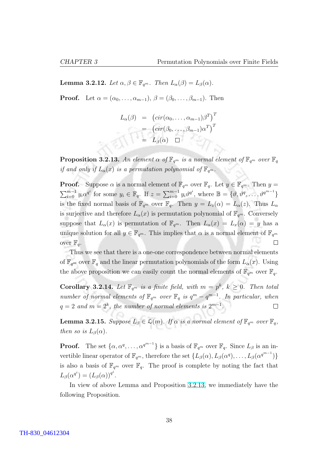**Lemma 3.2.12.** Let  $\alpha, \beta \in \mathbb{F}_{q^m}$ . Then  $L_{\alpha}(\beta) = L_{\beta}(\alpha)$ .

**Proof.** Let  $\alpha = (\alpha_0, \ldots, \alpha_{m-1}), \beta = (\beta_0, \ldots, \beta_{m-1}).$  Then

$$
L_{\alpha}(\beta) = (cir(\alpha_0, ..., \alpha_{m-1})\beta^T)^T
$$
  
=  $(cir(\beta_0, ..., \beta_{m-1})\alpha^T)^T$   
=  $L_{\beta}(\alpha)$   $\square$ 

**Proposition 3.2.13.** An element  $\alpha$  of  $\mathbb{F}_{q^m}$  is a normal element of  $\mathbb{F}_{q^m}$  over  $\mathbb{F}_q$ if and only if  $L_{\alpha}(x)$  is a permutation polynomial of  $\mathbb{F}_{q^m}$ .

**Proof.** Suppose  $\alpha$  is a normal element of  $\mathbb{F}_{q^m}$  over  $\mathbb{F}_q$ . Let  $y \in \mathbb{F}_{q^m}$ . Then  $y =$  $\sum_{i=0}^{m-1} y_i \alpha^{q^i}$  for some  $y_i \in \mathbb{F}_q$ . If  $z = \sum_{i=0}^{m-1} z_i$  $\lim_{i=0}^{m-1} y_i \vartheta^{q^i}, \text{ where } \mathbb{B} = \{\vartheta, \vartheta^q, \dots, \vartheta^{q^{m-1}}\}$ is the fixed normal basis of  $\mathbb{F}_{q^m}$  over  $\mathbb{F}_{q}$ . Then  $y = L_z(\alpha) = L_{\alpha}(z)$ . Thus  $L_{\alpha}$ is surjective and therefore  $L_{\alpha}(x)$  is permutation polynomial of  $\mathbb{F}_{q^m}$ . Conversely suppose that  $L_{\alpha}(x)$  is permutation of  $\mathbb{F}_{q^m}$ . Then  $L_{\alpha}(x) = L_x(\alpha) = y$  has a unique solution for all  $y \in \mathbb{F}_{q^m}$ . This implies that  $\alpha$  is a normal element of  $\mathbb{F}_{q^m}$  $\Box$ over  $\mathbb{F}_q$ .

Thus we see that there is a one-one correspondence between normal elements of  $\mathbb{F}_{q^m}$  over  $\mathbb{F}_q$  and the linear permutation polynomials of the form  $L_\alpha(x)$ . Using the above proposition we can easily count the normal elements of  $\mathbb{F}_{q^m}$  over  $\mathbb{F}_q$ .

**Corollary 3.2.14.** Let  $\mathbb{F}_{q^m}$  is a finite field, with  $m = p^k$ ,  $k \geq 0$ . Then total number of normal elements of  $\mathbb{F}_{q^m}$  over  $\mathbb{F}_q$  is  $q^m - q^{m-1}$ . In particular, when  $q = 2$  and  $m = 2<sup>k</sup>$ , the number of normal elements is  $2<sup>{m-1}</sup>$ .  $\Box$ 

**Lemma 3.2.15.** Suppose  $L_{\beta} \in \mathcal{L}(m)$ . If  $\alpha$  is a normal element of  $\mathbb{F}_{q^m}$  over  $\mathbb{F}_q$ , then so is  $L_{\beta}(\alpha)$ .

**Proof.** The set  $\{\alpha, \alpha^q, \dots, \alpha^{q^{m-1}}\}$  is a basis of  $\mathbb{F}_{q^m}$  over  $\mathbb{F}_q$ . Since  $L_\beta$  is an invertible linear operator of  $\mathbb{F}_{q^m}$ , therefore the set  $\{L_\beta(\alpha), L_\beta(\alpha^q), \ldots, L_\beta(\alpha^{q^{m-1}})\}\$ is also a basis of  $\mathbb{F}_{q^m}$  over  $\mathbb{F}_{q}$ . The proof is complete by noting the fact that  $L_{\beta}(\alpha^{q^i}) = (L_{\beta}(\alpha))^{q^i}.$ 

In view of above Lemma and Proposition 3.2.13, we immediately have the following Proposition.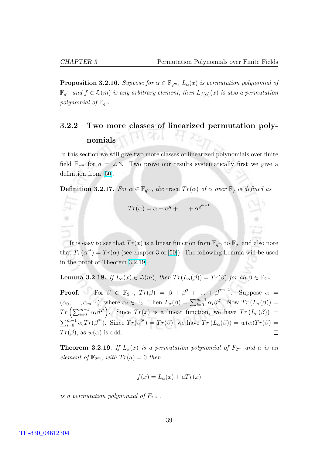.

<span id="page-49-0"></span>**Proposition 3.2.16.** Suppose for  $\alpha \in \mathbb{F}_{q^m}$ ,  $L_{\alpha}(x)$  is permutation polynomial of  $\mathbb{F}_{q^m}$  and  $f \in \mathcal{L}(m)$  is any arbitrary element, then  $L_{f(\alpha)}(x)$  is also a permutation polynomial of  $\mathbb{F}_{q^m}$ .

#### 3.2.2 Two more classes of linearized permutation polynomials

In this section we will give two more classes of linearized polynomials over finite field  $\mathbb{F}_{q^m}$  for  $q = 2, 3$ . Two prove our results systematically first we give a definition from [\[50\]](#page-87-0).

**Definition 3.2.17.** For  $\alpha \in \mathbb{F}_{q^m}$ , the trace  $Tr(\alpha)$  of  $\alpha$  over  $\mathbb{F}_q$  is defined as

$$
Tr(\alpha) = \alpha + \alpha^q + \ldots + \alpha^{q^{m-1}}
$$

It is easy to see that  $Tr(x)$  is a linear function from  $\mathbb{F}_{q^m}$  to  $\mathbb{F}_q$ , and also note that  $Tr(\alpha^{q^i}) = Tr(\alpha)$  (see chapter 3 of [\[50\]](#page-87-0)). The following Lemma will be used in the proof of Theorem 3.2.19.

**Lemma 3.2.18.** If  $L_{\alpha}(x) \in \mathcal{L}(m)$ , then  $Tr(L_{\alpha}(\beta)) = Tr(\beta)$  for all  $\beta \in \mathbb{F}_{2^m}$ .

**Proof.** For  $\beta \in \mathbb{F}_{2^m}$ ,  $Tr(\beta) = \beta + \beta^2 + \ldots + \beta^{2^{m-1}}$ . Suppose  $\alpha =$  $(\alpha_0, \ldots, \alpha_{m-1}),$  where  $\alpha_i \in \mathbb{F}_2$ . Then  $L_{\alpha}(\beta) = \sum_{i=0}^{m-1} \alpha_i \beta^{2^i}$ . Now  $Tr(L_{\alpha}(\beta)) = Tr\left(\sum_{i=0}^{m-1} \alpha_i \beta^{2^i}\right)$ . Since  $Tr(x)$  is a linear function, we have  $Tr(L_{\alpha}(\beta)) =$ . Since  $Tr(x)$  is a linear function, we have  $Tr(L_{\alpha}(\beta))$  =  $\sum_{m-1}$  $_{i=0}^{m-1} \alpha_i Tr(\beta^{2^i})$ . Since  $Tr(\beta^{2^i}) = Tr(\beta)$ , we have  $Tr(L_\alpha(\beta)) = w(\alpha)Tr(\beta) =$  $Tr(\beta)$ , as  $w(\alpha)$  is odd.  $\Box$ 

**Theorem 3.2.19.** If  $L_{\alpha}(x)$  is a permutation polynomial of  $F_{2^m}$  and a is an element of  $\mathbb{F}_{2^m}$ , with  $Tr(a) = 0$  then

$$
f(x) = L_{\alpha}(x) + aTr(x)
$$

is a permutation polynomial of  $F_{2^m}$ .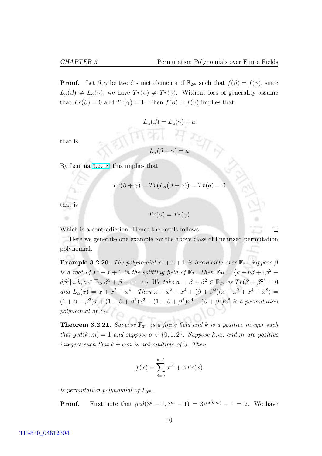**Proof.** Let  $\beta, \gamma$  be two distinct elements of  $\mathbb{F}_{2^m}$  such that  $f(\beta) = f(\gamma)$ , since  $L_{\alpha}(\beta) \neq L_{\alpha}(\gamma)$ , we have  $Tr(\beta) \neq Tr(\gamma)$ . Without loss of generality assume that  $Tr(\beta) = 0$  and  $Tr(\gamma) = 1$ . Then  $f(\beta) = f(\gamma)$  implies that

$$
L_{\alpha}(\beta) = L_{\alpha}(\gamma) + a
$$

that is,

$$
L_{\alpha}(\beta + \gamma) = a
$$

By Lemma [3.2.18,](#page-49-0) this implies that

$$
Tr(\beta + \gamma) = Tr(L_{\alpha}(\beta + \gamma)) = Tr(a) = 0
$$

that is

$$
Tr(\beta) = Tr(\gamma)
$$

Which is a contradiction. Hence the result follows.

 $\Box$ 

Here we generate one example for the above class of linearized permutation polynomial.

**Example 3.2.20.** The polynomial  $x^4 + x + 1$  is irreducible over  $\mathbb{F}_2$ . Suppose  $\beta$ is a root of  $x^4 + x + 1$  in the splitting field of  $\mathbb{F}_2$ . Then  $\mathbb{F}_{2^4} = \{a + b\beta + c\beta^2 + c\beta^3 + c\beta^4\}$  $d\beta^3|a, b, c \in \mathbb{F}_2, \beta^4 + \beta + 1 = 0$  We take  $a = \beta + \beta^2 \in \mathbb{F}_{2^4}$  as  $Tr(\beta + \beta^2) = 0$ and  $L_{\alpha}(x) = x + x^2 + x^4$ . Then  $x + x^2 + x^4 + (\beta + \beta^2)(x + x^2 + x^4 + x^8) =$  $(1 + \beta + \beta^2)x + (1 + \beta + \beta^2)x^2 + (1 + \beta + \beta^2)x^4 + (\beta + \beta^2)x^8$  is a permutation polynomial of  $\mathbb{F}_{2^4}$ .

**Theorem 3.2.21.** Suppose  $\mathbb{F}_{3^m}$  is a finite field and k is a positive integer such that  $qcd(k, m) = 1$  and suppose  $\alpha \in \{0, 1, 2\}$ . Suppose k,  $\alpha$ , and m are positive integers such that  $k + \alpha m$  is not multiple of 3. Then

$$
f(x) = \sum_{i=0}^{k-1} x^{3^i} + \alpha Tr(x)
$$

is permutation polynomial of  $F_{3<sup>m</sup>}$ .

**Proof.** First note that  $gcd(3^k - 1, 3^m - 1) = 3^{gcd(k,m)} - 1 = 2$ . We have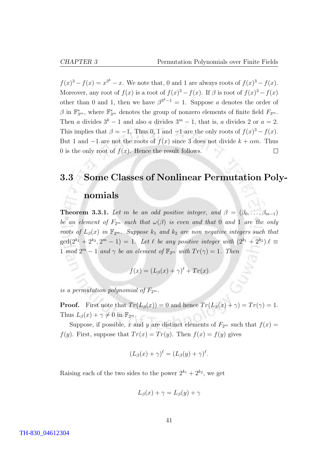<span id="page-51-0"></span> $f(x)^3 - f(x) = x^{3^k} - x$ . We note that, 0 and 1 are always roots of  $f(x)^3 - f(x)$ . Moreover, any root of  $f(x)$  is a root of  $f(x)^3 - f(x)$ . If  $\beta$  is root of  $f(x)^3 - f(x)$ other than 0 and 1, then we have  $\beta^{3^k-1} = 1$ . Suppose a denotes the order of  $\beta$  in  $\mathbb{F}_{3^m}^*$ , where  $\mathbb{F}_{3^m}^*$  denotes the group of nonzero elements of finite field  $F_{3^m}$ . Then a divides  $3^k - 1$  and also a divides  $3^m - 1$ , that is, a divides 2 or  $a = 2$ . This implies that  $\beta = -1$ . Thus 0, 1 and  $-1$  are the only roots of  $f(x)^3 - f(x)$ . But 1 and  $-1$  are not the roots of  $f(x)$  since 3 does not divide  $k + \alpha m$ . Thus 0 is the only root of  $f(x)$ . Hence the result follows.  $\Box$ 

#### 3.3 Some Classes of Nonlinear Permutation Poly-

#### nomials

**Theorem 3.3.1.** Let m be an odd positive integer, and  $\beta = (\beta_0, \ldots, \beta_{m-1})$ be an element of  $F_{2^m}$  such that  $\omega(\beta)$  is even and that 0 and 1 are the only roots of  $L_\beta(x)$  in  $\mathbb{F}_{2^m}$ . Suppose  $k_1$  and  $k_2$  are non negative integers such that  $\gcd(2^{k_1}+2^{k_2},2^{m}-1)=1.$  Let  $\ell$  be any positive integer with  $(2^{k_1}+2^{k_2})\cdot \ell \equiv$ 1 mod  $2^m - 1$  and  $\gamma$  be an element of  $\mathbb{F}_{2^m}$  with  $Tr(\gamma) = 1$ . Then

$$
f(x) = (L_{\beta}(x) + \gamma)^{\ell} + Tr(x)
$$

is a permutation polynomial of  $F_{2^m}$ .

**Proof.** First note that  $Tr(L_\beta(x)) = 0$  and hence  $Tr(L_\beta(x) + \gamma) = Tr(\gamma) = 1$ . Thus  $L_{\beta}(x) + \gamma \neq 0$  in  $\mathbb{F}_{2^m}$ .

Suppose, if possible, x and y are distinct elements of  $F_{2m}$  such that  $f(x) =$  $f(y)$ . First, suppose that  $Tr(x) = Tr(y)$ . Then  $f(x) = f(y)$  gives

$$
(L_{\beta}(x) + \gamma)^{\ell} = (L_{\beta}(y) + \gamma)^{\ell}.
$$

Raising each of the two sides to the power  $2^{k_1} + 2^{k_2}$ , we get

$$
L_{\beta}(x) + \gamma = L_{\beta}(y) + \gamma
$$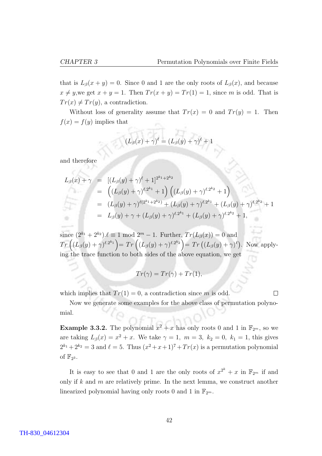$\Box$ 

that is  $L_\beta(x+y) = 0$ . Since 0 and 1 are the only roots of  $L_\beta(x)$ , and because  $x \neq y$ , we get  $x + y = 1$ . Then  $Tr(x + y) = Tr(1) = 1$ , since m is odd. That is  $Tr(x) \neq Tr(y)$ , a contradiction.

Without loss of generality assume that  $Tr(x) = 0$  and  $Tr(y) = 1$ . Then  $f(x) = f(y)$  implies that

$$
(L_{\beta}(x) + \gamma)^{\ell} = (L_{\beta}(y) + \gamma)^{\ell} + 1
$$

and therefore

$$
L_{\beta}(x) + \gamma = [(L_{\beta}(y) + \gamma)^{\ell} + 1]^{2^{k_1} + 2^{k_2}}
$$
  
\n
$$
= ((L_{\beta}(y) + \gamma)^{\ell \cdot 2^{k_1}} + 1) ((L_{\beta}(y) + \gamma)^{\ell \cdot 2^{k_2}} + 1)
$$
  
\n
$$
= (L_{\beta}(y) + \gamma)^{\ell(2^{k_1} + 2^{k_2})} + (L_{\beta}(y) + \gamma)^{\ell \cdot 2^{k_1}} + (L_{\beta}(y) + \gamma)^{\ell \cdot 2^{k_2}} + 1
$$
  
\n
$$
= L_{\beta}(y) + \gamma + (L_{\beta}(y) + \gamma)^{\ell \cdot 2^{k_1}} + (L_{\beta}(y) + \gamma)^{\ell \cdot 2^{k_2}} + 1,
$$

since  $(2^{k_1} + 2^{k_2}) \cdot \ell \equiv 1 \mod 2^m - 1$ . Further,  $Tr(L_\beta(x)) = 0$  and<br>  $Tr\left((L_\beta(y) + \gamma)^{\ell \cdot 2^{k_1}}\right) = Tr\left((L_\beta(y) + \gamma)^{\ell \cdot 2^{k_2}}\right) = Tr\left((L_\beta(y) + \gamma)^\ell\right)$ . Now applying the trace function to both sides of the above equation, we get

$$
Tr(\gamma) = Tr(\gamma) + Tr(1),
$$

which implies that  $Tr(1) = 0$ , a contradiction since m is odd.

Now we generate some examples for the above class of permutation polynomial.

**Example 3.3.2.** The polynomial  $x^2 + x$  has only roots 0 and 1 in  $\mathbb{F}_{2^m}$ , so we are taking  $L_{\beta}(x) = x^2 + x$ . We take  $\gamma = 1$ ,  $m = 3$ ,  $k_2 = 0$ ,  $k_1 = 1$ , this gives  $2^{k_1}+2^{k_2}=3$  and  $\ell=5$ . Thus  $(x^2+x+1)^7+Tr(x)$  is a permutation polynomial of  $\mathbb{F}_{2^3}$ .

It is easy to see that 0 and 1 are the only roots of  $x^{2^k} + x$  in  $\mathbb{F}_{2^m}$  if and only if  $k$  and  $m$  are relatively prime. In the next lemma, we construct another linearized polynomial having only roots 0 and 1 in  $\mathbb{F}_{2^m}$ .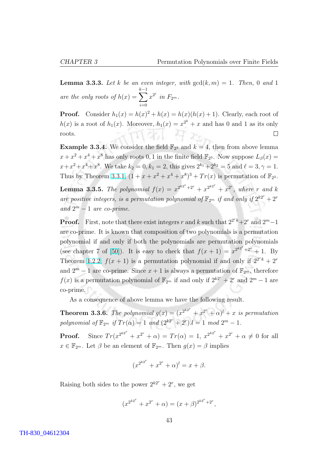<span id="page-53-0"></span>**Lemma 3.3.3.** Let k be an even integer, with  $gcd(k, m) = 1$ . Then, 0 and 1 are the only roots of  $h(x) = \sum_{n=1}^{k-1}$  $i=0$  $x^{2^i}$  in  $F_{2^m}$ .

**Proof.** Consider  $h_1(x) = h(x)^2 + h(x) = h(x)(h(x) + 1)$ . Clearly, each root of  $h(x)$  is a root of  $h_1(x)$ . Moreover,  $h_1(x) = x^{2^k} + x$  and has 0 and 1 as its only 17961 1920 roots.  $\Box$ 

**Example 3.3.4.** We consider the field  $\mathbb{F}_{2^3}$  and  $k = 4$ , then from above lemma  $x + x^2 + x^4 + x^8$  has only roots 0, 1 in the finite field  $\mathbb{F}_2$  . Now suppose  $L_\beta(x) =$  $x + x^2 + x^4 + x^8$ . We take  $k_2 = 0, k_1 = 2$ , this gives  $2^{k_1} + 2^{k_2} = 5$  and  $\ell = 3, \gamma = 1$ . Thus by Theorem [3.3.1,](#page-51-0)  $(1 + x + x^2 + x^4 + x^8)^3 + Tr(x)$  is permutation of  $\mathbb{F}_{2^3}$ . **Lemma 3.3.5.** The polynomial  $f(x) = x^{2^{k2^r}+2^r} + x^{2^{k2^r}} + x^{2^r}$ , where r and k are positive integers, is a permutation polynomial of  $\mathbb{F}_{2^m}$  if and only if  $2^{k2^r} + 2^r$ and  $2^m - 1$  are co-prime.

**Proof.** First, note that there exist integers r and k such that  $2^{2rk} + 2^r$  and  $2^m - 1$ are co-prime. It is known that composition of two polynomials is a permutation polynomial if and only if both the polynomials are permutation polynomials (see chapter 7 of [\[50\]](#page-87-0)). It is easy to check that  $f(x+1) = x^{2^{k2^r}+2^r} + 1$ . By Theorem [1.2.2,](#page-14-0)  $f(x + 1)$  is a permutation polynomial if and only if  $2^{2^r k} + 2^r$ and  $2^m - 1$  are co-prime. Since  $x + 1$  is always a permutation of  $\mathbb{F}_{2^m}$ , therefore  $f(x)$  is a permutation polynomial of  $\mathbb{F}_{2^m}$  if and only if  $2^{k2^r} + 2^r$  and  $2^m - 1$  are co-prime.

As a consequence of above lemma we have the following result.

**Theorem 3.3.6.** The polynomial  $g(x) = (x^{2^{k2^{r}}} + x^{2^{r}} + \alpha)^{l} + x$  is permutation polynomial of  $\mathbb{F}_{2^m}$  if  $Tr(\alpha) = 1$  and  $(2^{k2^r} + 2^r) \cdot l = 1 \mod 2^m - 1$ .

**Proof.** Since  $Tr(x^{2^{k2^{r}}} + x^{2^{r}} + \alpha) = Tr(\alpha) = 1, x^{2^{k2^{r}}} + x^{2^{r}} + \alpha \neq 0$  for all  $x \in \mathbb{F}_{2^m}$ . Let  $\beta$  be an element of  $\mathbb{F}_{2^m}$ . Then  $g(x) = \beta$  implies

$$
(x^{2^{k2^{r}}} + x^{2^{r}} + \alpha)^{l} = x + \beta.
$$

Raising both sides to the power  $2^{k2^r} + 2^r$ , we get

$$
(x^{2^{k2^r}} + x^{2^r} + \alpha) = (x + \beta)^{2^{k2^r} + 2^r},
$$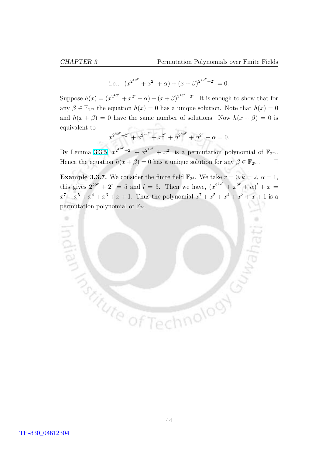i.e.,  $(x^{2^{k2^r}} + x^{2^r} + \alpha) + (x + \beta)^{2^{k2^r} + 2^r} = 0.$ 

Suppose  $h(x) = (x^{2^{k2^r}} + x^{2^r} + \alpha) + (x + \beta)^{2^{k2^r} + 2^r}$ . It is enough to show that for any  $\beta \in \mathbb{F}_{2^m}$  the equation  $h(x) = 0$  has a unique solution. Note that  $h(x) = 0$ and  $h(x + \beta) = 0$  have the same number of solutions. Now  $h(x + \beta) = 0$  is equivalent to

$$
x^{2^{k2^r}+2^r} + x^{2^{k2^r}} + x^{2^r} + \beta^{2^{k2^r}} + \beta^{2^r} + \alpha = 0.
$$

By Lemma [3.3.5,](#page-53-0)  $x^{2^{k2^r}+2^r} + x^{2^{k2^r}} + x^{2^r}$  is a permutation polynomial of  $\mathbb{F}_{2^m}$ . Hence the equation  $h(x + \beta) = 0$  has a unique solution for any  $\beta \in \mathbb{F}_{2^m}$ .  $\Box$ 

**Example 3.3.7.** We consider the finite field  $\mathbb{F}_{2^3}$ . We take  $r = 0, k = 2, \alpha = 1,$ this gives  $2^{k2^r} + 2^r = 5$  and  $l = 3$ . Then we have,  $(x^{2^{k2^r}} + x^{2^r} + \alpha)^l + x =$  $x^7 + x^5 + x^4 + x^3 + x + 1$ . Thus the polynomial  $x^7 + x^5 + x^4 + x^3 + x + 1$  is a permutation polynomial of  $\mathbb{F}_{2^3}$ .

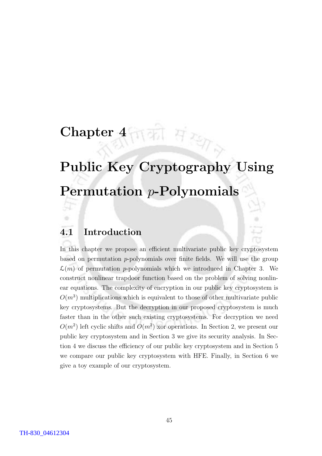## की *सं स्था* Chapter 4

# Public Key Cryptography Using Permutation p-Polynomials

#### 4.1 Introduction

In this chapter we propose an efficient multivariate public key cryptosystem based on permutation p-polynomials over finite fields. We will use the group  $\mathcal{L}(m)$  of permutation p-polynomials which we introduced in Chapter 3. We construct nonlinear trapdoor function based on the problem of solving nonlinear equations. The complexity of encryption in our public key cryptosystem is  $O(m^3)$  multiplications which is equivalent to those of other multivariate public key cryptosystems. But the decryption in our proposed cryptosystem is much faster than in the other such existing cryptosystems. For decryption we need  $O(m^2)$  left cyclic shifts and  $O(m^2)$  xor operations. In Section 2, we present our public key cryptosystem and in Section 3 we give its security analysis. In Section 4 we discuss the efficiency of our public key cryptosystem and in Section 5 we compare our public key cryptosystem with HFE. Finally, in Section 6 we give a toy example of our cryptosystem.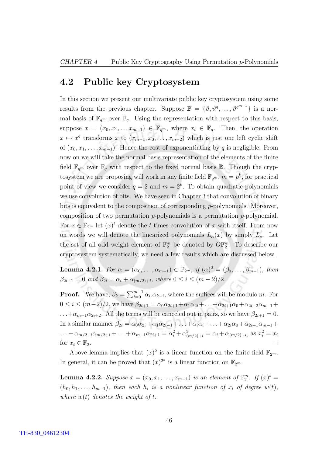#### <span id="page-56-0"></span>4.2 Public key Cryptosystem

In this section we present our multivariate public key cryptosystem using some results from the previous chapter. Suppose  $\mathbb{B} = \{\vartheta, \vartheta^q, \ldots, \vartheta^{q^{m-1}}\}\$ is a normal basis of  $\mathbb{F}_{q^m}$  over  $\mathbb{F}_q$ . Using the representation with respect to this basis, suppose  $x = (x_0, x_1, \ldots x_{m-1}) \in \mathbb{F}_{q^m}$ , where  $x_i \in \mathbb{F}_q$ . Then, the operation  $x \mapsto x^q$  transforms x to  $(x_{m-1}, x_0, \ldots, x_{m-2})$  which is just one left cyclic shift of  $(x_0, x_1, \ldots, x_{m-1})$ . Hence the cost of exponentiating by q is negligible. From now on we will take the normal basis representation of the elements of the finite field  $\mathbb{F}_{q^m}$  over  $\mathbb{F}_q$  with respect to the fixed normal basis  $\mathbb{B}$ . Though the cryptosystem we are proposing will work in any finite field  $\mathbb{F}_{q^m}$ ,  $m = p^k$ , for practical point of view we consider  $q = 2$  and  $m = 2<sup>k</sup>$ . To obtain quadratic polynomials we use convolution of bits. We have seen in Chapter 3 that convolution of binary bits is equivalent to the composition of corresponding p-polynomials. Moreover, composition of two permutation  $p$ -polynomials is a permutation  $p$ -polynomial. For  $x \in \mathbb{F}_{2^m}$  let  $(x)^t$  denote the t times convolution of x with itself. From now on words we will denote the linearized polynomials  $L_{\alpha}(x)$  by simply  $L_{\alpha}$ . Let the set of all odd weight element of  $\mathbb{F}_2^m$  be denoted by  $O\mathbb{F}_2^m$ . To describe our cryptosystem systematically, we need a few results which are discussed below.

**Lemma 4.2.1.** For  $\alpha = (\alpha_0, \ldots, \alpha_{m-1}) \in \mathbb{F}_{2^m}$ , if  $(\alpha)^2 = (\beta_0, \ldots, \beta_{m-1})$ , then  $\beta_{2i+1} = 0$  and  $\beta_{2i} = \alpha_i + \alpha_{(m/2)+i}$ , where  $0 \leq i \leq (m-2)/2$ .

**Proof.** We have,  $\beta_k = \sum_{i=0}^{m-1}$  $_{i=0}^{m-1}$   $\alpha_i.\alpha_{k-i}$ , where the suffices will be modulo m. For  $0 \leq i \leq (m-2)/2$ , we have  $\beta_{2i+1} = \alpha_0 \alpha_{2i+1} + \alpha_1 \alpha_{2i} + \ldots + \alpha_{2i+1} \alpha_0 + \alpha_{2i+2} \alpha_{m-1} +$ ... + $\alpha_{m-1}\alpha_{2i+2}$ . All the terms will be canceled out in pairs, so we have  $\beta_{2i+1} = 0$ . In a similar manner  $\beta_{2i} = \alpha_0 \alpha_{2i} + \alpha_1 \alpha_{2i-1} + \ldots + \alpha_i \alpha_i + \ldots + \alpha_{2i} \alpha_0 + \alpha_{2i+1} \alpha_{m-1}$  $\dots + \alpha_{m/2+i}\alpha_{m/2+i} + \dots + \alpha_{m-1}\alpha_{2i+1} = \alpha_i^2 + \alpha_{(m/2)+i}^2 = \alpha_i + \alpha_{(m/2)+i}$ , as  $x_i^2 = x_i$ for  $x_i \in \mathbb{F}_2$ . П

Above lemma implies that  $(x)^2$  is a linear function on the finite field  $\mathbb{F}_{2^m}$ . In general, it can be proved that  $(x)^{2^k}$  is a linear function on  $\mathbb{F}_{2^m}$ .

**Lemma 4.2.2.** Suppose  $x = (x_0, x_1, \ldots, x_{m-1})$  is an element of  $\mathbb{F}_2^m$ . If  $(x)^t =$  $(h_0, h_1, \ldots, h_{m-1})$ , then each  $h_i$  is a nonlinear function of  $x_i$  of degree  $w(t)$ , where  $w(t)$  denotes the weight of t.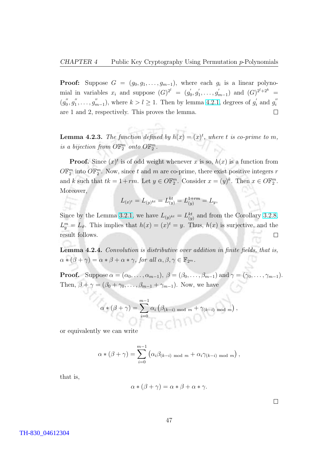<span id="page-57-0"></span>**Proof:** Suppose  $G = (g_0, g_1, \ldots, g_{m-1})$ , where each  $g_i$  is a linear polynomial in variables  $x_i$  and suppose  $(G)^{2^l} = (g'_0)$  $_{0}^{\prime },g_{1}^{^{\prime }}$  $y'_{1}, \ldots, g'_{n}$  $\binom{m}{m-1}$  and  $(G)^{2^l+2^k}$  =  $(g_0$  $y_{0}'', g_{1}''$  $j''_1, \ldots, j''_n$  $_{m-1}^{\prime\prime}$ ), where  $k > l \geq 1$ . Then by lemma [4.2.1,](#page-56-0) degrees of  $g_i^{\prime\prime}$  $'_{i}$  and  $g''_{i}$ i are 1 and 2, respectively. This proves the lemma.  $\Box$ 

**Lemma 4.2.3.** The function defined by  $h(x) = (x)^t$ , where t is co-prime to m, is a bijection from  $\mathbb{OR}_2^m$  onto  $\mathbb{OR}_2^m$ .

**Proof.** Since  $(x)^t$  is of odd weight whenever x is so,  $h(x)$  is a function from  $\widehat{O}\mathbb{F}_2^m$  into  $\widehat{O}\mathbb{F}_2^m$ . Now, since t and m are co-prime, there exist positive integers r and k such that  $tk = 1 + rm$ . Let  $y \in O\mathbb{F}_2^m$ . Consider  $x = (y)^k$ . Then  $x \in O\mathbb{F}_2^m$ . Moreover,

$$
L_{(x)^t} = L_{(y)^{kt}} = L_{(y)}^{kt} = L_{(y)}^{1+rm} = L_y,
$$

Since by the Lemma [3.2.1,](#page-43-0) we have  $L_{(y)^{kt}} = L_{(y)}^{kt}$  and from the Corollary [3.2.8,](#page-46-0)  $L_y^m = L_{\vartheta}$ . This implies that  $h(x) = (x)^t = y$ . Thus,  $h(x)$  is surjective, and the result follows.  $\Box$ 

Lemma 4.2.4. Convolution is distributive over addition in finite fields, that is,  $\alpha * (\beta + \gamma) = \alpha * \beta + \alpha * \gamma$ , for all  $\alpha, \beta, \gamma \in \mathbb{F}_{2^m}$ .

**Proof.** Suppose  $\alpha = (\alpha_0, \ldots, \alpha_{m-1}), \ \beta = (\beta_0, \ldots, \beta_{m-1})$  and  $\gamma = (\gamma_0, \ldots, \gamma_{m-1}).$ Then,  $\beta + \gamma = (\beta_0 + \gamma_0, \dots, \beta_{m-1} + \gamma_{m-1})$ . Now, we have

$$
\alpha * (\beta + \gamma) = \sum_{i=0}^{m-1} \alpha_i \left( \beta_{(k-i) \mod m} + \gamma_{(k-i) \mod m} \right),
$$

or equivalently we can write

$$
\alpha * (\beta + \gamma) = \sum_{i=0}^{m-1} (\alpha_i \beta_{(k-i) \mod m} + \alpha_i \gamma_{(k-i) \mod m}),
$$

that is,

$$
\alpha * (\beta + \gamma) = \alpha * \beta + \alpha * \gamma.
$$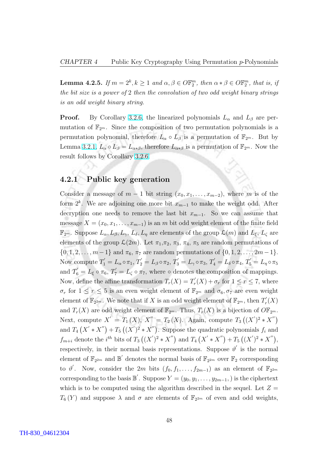**Lemma 4.2.5.** If  $m = 2^k, k \ge 1$  and  $\alpha, \beta \in \mathbb{O} \mathbb{F}_2^m$ , then  $\alpha * \beta \in \mathbb{O} \mathbb{F}_2^m$ , that is, if the bit size is a power of 2 then the convolution of two odd weight binary strings is an odd weight binary string.

**Proof.** By Corollary [3.2.6,](#page-46-0) the linearized polynomials  $L_{\alpha}$  and  $L_{\beta}$  are permutation of  $\mathbb{F}_{2^m}$ . Since the composition of two permutation polynomials is a permutation polynomial, therefore  $L_{\alpha} \circ L_{\beta}$  is a permutation of  $\mathbb{F}_{2^m}$ . But by Lemma [3.2.1,](#page-43-0)  $L_{\alpha} \circ L_{\beta} = L_{\alpha * \beta}$ , therefore  $L_{\alpha * \beta}$  is a permutation of  $\mathbb{F}_{2^m}$ . Now the result follows by Corollary [3.2.6.](#page-46-0)

#### 4.2.1 Public key generation

Consider a message of  $m-1$  bit string  $(x_0, x_1, \ldots, x_{m-2})$ , where m is of the form  $2^k$ . We are adjoining one more bit  $x_{m-1}$  to make the weight odd. After decryption one needs to remove the last bit  $x_{m-1}$ . So we can assume that message  $X = (x_0, x_1, \ldots, x_{m-1})$  is an m bit odd weight element of the finite field  $\mathbb{F}_{2^m}$ . Suppose  $L_{\alpha}, L_{\beta}, L_{\gamma}, L_{\delta}, L_{\eta}$  are elements of the group  $\mathcal{L}(m)$  and  $L_{\xi}, L_{\zeta}$  are elements of the group  $\mathcal{L}(2m)$ . Let  $\pi_1, \pi_2, \pi_3, \pi_4, \pi_5$  are random permutations of  $\{0, 1, 2, \ldots, m-1\}$  and  $\pi_6$ ,  $\pi_7$  are random permutations of  $\{0, 1, 2, \ldots, 2m-1\}$ . Now compute  $T_1^{'}=L_{\alpha}\circ\pi_1,$   $T_2^{'}=L_{\beta}\circ\pi_2,$   $T_3^{'}=L_{\gamma}\circ\pi_3,$   $T_4^{'}=L_{\delta}\circ\pi_4,$   $T_5^{'}=L_{\eta}\circ\pi_5$ and  $T'_6 = L_\xi \circ \pi_6$ ,  $T'_7 = L_\zeta \circ \pi_7$ , where  $\circ$  denotes the composition of mappings. Now, define the affine transformation  $T_r(X) = T'_r$  $r'_{r}(X) + \sigma_{r}$  for  $1 \leq r \leq 7$ , where  $\sigma_r$  for  $1 \leq r \leq 5$  is an even weight element of  $\mathbb{F}_{2^m}$  and  $\sigma_6, \sigma_7$  are even weight element of  $\mathbb{F}_{2^{2m}}$ . We note that if X is an odd weight element of  $\mathbb{F}_{2^m}$ , then  $T_r'$  $_{r}^{\prime }(X)$ and  $T_r(X)$  are odd weight element of  $\mathbb{F}_{2^m}$ . Thus,  $T_r(X)$  is a bijection of  $\mathbb{OF}_{2^m}$ . Next, compute  $X' = T_1(X)$ ,  $X'' = T_2(X)$ . Again, compute  $T_3$ ∶;  $(X')^{2} * X$ 00¢ and  $T_4$   $(X' * X)$  $\frac{1}{2}$  $\frac{1}{\sqrt{2}}$  $+ T_5 ((X')^2 * X)$  $\mathbf{v}_{\lambda}$ . Suppose the quadratic polynomials  $f_i$  and  $f_{m+i}$  denote the  $i^{th}$  bits of  $T_3$ ¡  $(X')^{2} * X$  $\overline{P}_{\rm b}$ and  $T_4$ ۲<br>ے  $X' * X$  $\frac{1}{11}$  $+ T_5$ ∶∽<br>∕  $(X')^{2} * X$ 11.<br>\// , respectively, in their normal basis representations. Suppose  $\vartheta'$  is the normal element of  $\mathbb{F}_{2^{2m}}$  and  $\mathbb{B}'$  denotes the normal basis of  $\mathbb{F}_{2^{2m}}$  over  $\mathbb{F}_{2}$  corresponding to  $\vartheta'$ . Now, consider the 2m bits  $(f_0, f_1, \ldots, f_{2m-1})$  as an element of  $\mathbb{F}_{2^{2m}}$ corresponding to the basis  $\mathbb{B}'$ . Suppose  $Y = (y_0, y_1, \ldots, y_{2m-1},)$  is the ciphertext which is to be computed using the algorithm described in the sequel. Let  $Z =$  $T_6(Y)$  and suppose  $\lambda$  and  $\sigma$  are elements of  $\mathbb{F}_{2^{2m}}$  of even and odd weights,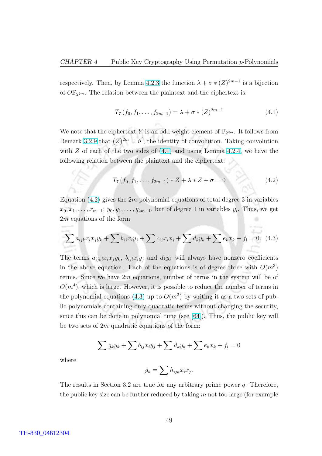<span id="page-59-0"></span>respectively. Then, by Lemma [4.2.3](#page-57-0) the function  $\lambda + \sigma * (Z)^{2m-1}$  is a bijection of  $\overline{OF}_{2^{2m}}$ . The relation between the plaintext and the ciphertext is:

$$
T_7(f_0, f_1, \dots, f_{2m-1}) = \lambda + \sigma * (Z)^{2m-1}
$$
\n(4.1)

We note that the ciphertext Y is an odd weight element of  $\mathbb{F}_{2^{2m}}$ . It follows from Remark [3.2.9](#page-46-0) that  $(Z)^{2m} = \vartheta'$ , the identity of convolution. Taking convolution with  $Z$  of each of the two sides of  $(4.1)$  and using Lemma [4.2.4,](#page-57-0) we have the following relation between the plaintext and the ciphertext:

$$
T_7(f_0, f_1, \dots, f_{2m-1}) * Z + \lambda * Z + \sigma = 0 \tag{4.2}
$$

Equation  $(4.2)$  gives the  $2m$  polynomial equations of total degree 3 in variables  $x_0, x_1, \ldots, x_{m-1}; y_0, y_1, \ldots, y_{2m-1},$  but of degree 1 in variables  $y_i$ . Thus, we get 2m equations of the form

$$
\sum a_{ijk}x_ix_jy_k + \sum b_{ij}x_iy_j + \sum c_{ij}x_ix_j + \sum d_ky_k + \sum e_kx_k + f_l = 0.
$$
 (4.3)

The terms  $a_{ijkl}x_ix_jy_k$ ,  $b_{ijl}x_iy_j$  and  $d_ky_k$  will always have nonzero coefficients in the above equation. Each of the equations is of degree three with  $O(m^3)$ terms. Since we have  $2m$  equations, number of terms in the system will be of  $O(m<sup>4</sup>)$ , which is large. However, it is possible to reduce the number of terms in the polynomial equations (4.3) up to  $O(m^3)$  by writing it as a two sets of public polynomials containing only quadratic terms without changing the security, since this can be done in polynomial time (see [\[64\]](#page-88-0)). Thus, the public key will be two sets of  $2m$  quadratic equations of the form:

$$
\sum g_k y_k + \sum b_{ij} x_i y_j + \sum d_k y_k + \sum e_k x_k + f_l = 0
$$

where

$$
g_k = \sum h_{ijk} x_i x_j.
$$

The results in Section 3.2 are true for any arbitrary prime power  $q$ . Therefore, the public key size can be further reduced by taking  $m$  not too large (for example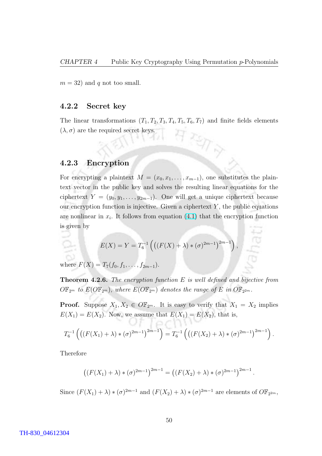$m = 32$ ) and q not too small.

#### 4.2.2 Secret key

The linear transformations  $(T_1, T_2, T_3, T_4, T_5, T_6, T_7)$  and finite fields elements  $(\lambda, \sigma)$  are the required secret keys.

 $\frac{2}{\sqrt{7}}$ 

#### 4.2.3 Encryption

For encrypting a plaintext  $M = (x_0, x_1, \ldots, x_{m-1})$ , one substitutes the plaintext vector in the public key and solves the resulting linear equations for the ciphertext  $Y = (y_0, y_1, \ldots, y_{2m-1})$ . One will get a unique ciphertext because our encryption function is injective. Given a ciphertext  $Y$ , the public equations are nonlinear in  $x_i$ . It follows from equation [\(4.1\)](#page-59-0) that the encryption function is given by

$$
E(X) = Y = T_6^{-1} \left( \left( (F(X) + \lambda) * (\sigma)^{2m-1} \right)^{2m-1} \right),
$$

where  $F(X) = T_7(f_0, f_1, \ldots, f_{2m-1}).$ 

**Theorem 4.2.6.** The encryption function  $E$  is well defined and bijective from  $O\mathbb{F}_{2^m}$  to  $E(O\mathbb{F}_{2^m})$ , where  $E(O\mathbb{F}_{2^m})$  denotes the range of E in  $O\mathbb{F}_{2^{2m}}$ .

**Proof.** Suppose  $X_1, X_2 \in \mathbb{OF}_{2^m}$ . It is easy to verify that  $X_1 = X_2$  implies  $E(X_1) = E(X_2)$ . Now, we assume that  $E(X_1) = E(X_2)$ , that is,

$$
T_6^{-1}\left(\left(\left(F(X_1) + \lambda\right) * (\sigma)^{2m-1}\right)^{2m-1}\right) = T_6^{-1}\left(\left(\left(F(X_2) + \lambda\right) * (\sigma)^{2m-1}\right)^{2m-1}\right).
$$

Therefore

$$
((F(X_1) + \lambda) * (\sigma)^{2m-1})^{2m-1} = ((F(X_2) + \lambda) * (\sigma)^{2m-1})^{2m-1}.
$$

Since  $(F(X_1) + \lambda) * (\sigma)^{2m-1}$  and  $(F(X_2) + \lambda) * (\sigma)^{2m-1}$  are elements of  $O\mathbb{F}_{2^{2m}}$ ,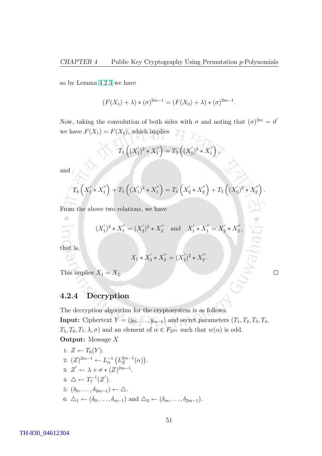so by Lemma [4.2.3](#page-57-0) we have

$$
(F(X_1) + \lambda) * (\sigma)^{2m-1} = (F(X_2) + \lambda) * (\sigma)^{2m-1}.
$$

Now, taking the convolution of both sides with  $\sigma$  and noting that  $({\sigma})^{2m} = \vartheta'$ we have  $F(X_1) = F(X_2)$ , which implies

$$
T_3\left((X_1')^2 * X_1''\right) = T_3\left((X_1')^2 * X_1''\right),
$$

and

$$
T_4\left(X_1'*X_1''\right) + T_5\left((X_1')^2*X_1''\right) = T_4\left(X_2'*X_2''\right) + T_5\left((X_2')^2*X_2''\right)
$$

.

 $\Box$ 

From the above two relations, we have

$$
(X'_1)^2 * X''_1 = (X'_2)^2 * X''_2
$$
 and  $X'_1 * X''_1 = X'_2 * X''_2$ ,

that is,

٠

$$
X_1 * X_2' * X_2'' = (X_2')^2 * X_2''.
$$

This implies  $X_1 = X_2$ .

#### 4.2.4 Decryption

The decryption algorithm for the cryptosystem is as follows.

**Input:** Ciphertext  $Y = (y_0, \ldots, y_{m-1})$  and secret parameters  $(T_1, T_2, T_3, T_4,$  $T_5, T_6, T_7, \lambda, \sigma$  and an element of  $\alpha \in F_{2^{2m}}$  such that  $w(\alpha)$  is odd. Output: Message X

1: 
$$
Z \leftarrow T_6(Y)
$$
.  
\n2:  $(Z)^{2m-1} \leftarrow L_\alpha^{-1} (L_Z^{2m-1}(\alpha))$ .  
\n3:  $Z' \leftarrow \lambda + \sigma * (Z)^{2m-1}$ .  
\n4:  $\triangle \leftarrow T_7^{-1}(Z')$ .  
\n5:  $(\delta_0, \ldots, \delta_{2m-1}) \leftarrow \triangle$ .  
\n6:  $\triangle_1 \leftarrow (\delta_0, \ldots, \delta_{m-1})$  and  $\triangle_2 \leftarrow (\delta_m, \ldots, \delta_{2m-1})$ .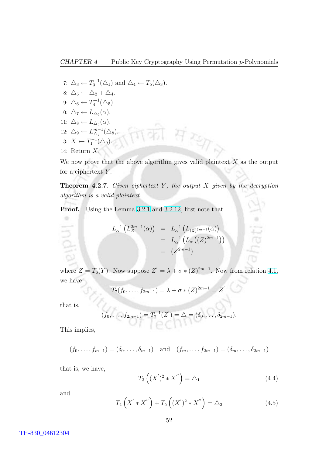<span id="page-62-0"></span>7:  $\Delta_3 \leftarrow T_3^{-1}(\Delta_1)$  and  $\Delta_4 \leftarrow T_5(\Delta_3)$ . 8:  $\Delta_5 \leftarrow \Delta_2 + \Delta_4$ . 9:  $\Delta_6 \leftarrow T_4^{-1}(\Delta_5)$ . 10:  $\Delta_7 \leftarrow L_{\Delta_6}(\alpha)$ . 11:  $\Delta_8 \leftarrow L_{\Delta_3}(\alpha)$ .  $H$  TEME 12:  $\Delta_9 \leftarrow L^{m-1}_{\wedge_7}$  $_{\triangle_7}^{m-1}(\triangle_8).$ 13:  $X \leftarrow T_1^{-1}(\Delta_9)$ . 14: Return X.

We now prove that the above algorithm gives valid plaintext  $X$  as the output for a ciphertext  $Y$ .

**Theorem 4.2.7.** Given ciphertext Y, the output  $X$  given by the decryption algorithm is a valid plaintext.

Proof. Using the Lemma [3.2.1](#page-43-0) and [3.2.12,](#page-47-0) first note that

$$
L_{\alpha}^{-1} (L_{Z}^{2m-1}(\alpha)) = L_{\alpha}^{-1} (L_{(Z)^{2m-1}}(\alpha))
$$
  
=  $L_{\alpha}^{-1} (L_{\alpha} ((Z)^{2m-1}))$   
=  $(Z^{2m-1})$ 

where  $Z = T_6(Y)$ . Now suppose  $Z' = \lambda + \sigma * (Z)^{2m-1}$ . Now from relation [4.1,](#page-59-0) we have

$$
T_7(f_0,\ldots,f_{2m-1}) = \lambda + \sigma * (Z)^{2m-1} = Z'.
$$

that is,

٠

$$
(f_0,\ldots,f_{2m-1})=T_7^{-1}(Z')=\Delta=(\delta_0,\ldots,\delta_{2m-1}).
$$

This implies,

$$
(f_0, ..., f_{m-1}) = (\delta_0, ..., \delta_{m-1})
$$
 and  $(f_m, ..., f_{2m-1}) = (\delta_m, ..., \delta_{2m-1})$ 

that is, we have,

$$
T_3\left((X')^2 * X''\right) = \Delta_1\tag{4.4}
$$

and

$$
T_4\left(X' * X''\right) + T_5\left((X')^2 * X''\right) = \Delta_2 \tag{4.5}
$$

TH-830\_04612304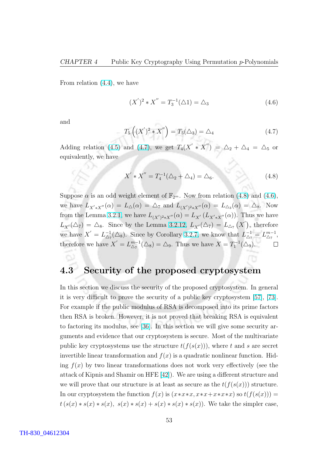From relation [\(4.4\)](#page-62-0), we have

$$
(X')^{2} * X'' = T_{3}^{-1}(\triangle 1) = \triangle_{3}
$$
\n(4.6)

and

$$
T_5\left((X')^2 * X''\right) = T_5(\triangle_3) = \triangle_4 \tag{4.7}
$$

Adding relation [\(4.5\)](#page-62-0) and (4.7), we get  $T_4(X' * X'') = \Delta_2 + \Delta_4 = \Delta_5$  or equivalently, we have

$$
X' * X'' = T_4^{-1}(\Delta_2 + \Delta_4) = \Delta_6.
$$
 (4.8)

Suppose  $\alpha$  is an odd weight element of  $\mathbb{F}_{2^m}$ . Now from relation (4.8) and (4.6), we have  $L_{X'*X''}(\alpha) = L_{\Delta}(\alpha) = \Delta_7$  and  $L_{(X')^2*X''}(\alpha) = L_{\Delta_3}(\alpha) = \Delta_8$ . Now from the Lemma [3.2.1,](#page-43-0) we have  $L_{(X')^2 * X''}(\alpha) = L_{X'}(L_{X' * X''}(\alpha))$ . Thus we have  $L_{X'}(\triangle_7) = \triangle_8$ . Since by the Lemma [3.2.12,](#page-47-0)  $L_{X'}(\triangle_7) = L_{\triangle_7}(X)$ ¡  $\frac{11}{11}$ , therefore we have  $X' = L_{\Delta}^{-1}$  $\mathcal{L}^{-1}_{\Delta_7}(\Delta_8)$ . Since by Corollary [3.2.7,](#page-46-0) we know that  $L^{-1}_{\Delta_7} = L^{m-1}_{\Delta_7}$  $_{\Delta_7}^{m-1},$ therefore we have  $X' = L_{\wedge_{\tau}}^{m-1}$  $_{\Delta_7}^{m-1}(\Delta_8) = \Delta_9$ . Thus we have  $X = T_1^{-1}(\Delta_9)$ .

#### 4.3 Security of the proposed cryptosystem

In this section we discuss the security of the proposed cryptosystem. In general it is very difficult to prove the security of a public key cryptosystem [\[57\]](#page-87-0), [\[73\]](#page-88-0). For example if the public modulus of RSA is decomposed into its prime factors then RSA is broken. However, it is not proved that breaking RSA is equivalent to factoring its modulus, see [\[36\]](#page-86-0). In this section we will give some security arguments and evidence that our cryptosystem is secure. Most of the multivariate public key cryptosystems use the structure  $t(f(s(x)))$ , where t and s are secret invertible linear transformation and  $f(x)$  is a quadratic nonlinear function. Hiding  $f(x)$  by two linear transformations does not work very effectively (see the attack of Kipnis and Shamir on HFE [\[42\]](#page-86-0)). We are using a different structure and we will prove that our structure is at least as secure as the  $t(f(s(x)))$  structure. In our cryptosystem the function  $f(x)$  is  $(x*x*x, x*x+x*x*x)$  so  $t(f(s(x)))$  =  $t(s(x) * s(x) * s(x), s(x) * s(x) + s(x) * s(x) * s(x))$ . We take the simpler case,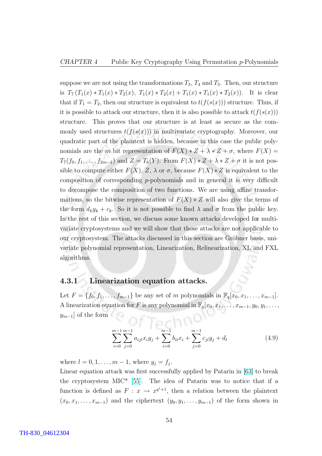<span id="page-64-0"></span>suppose we are not using the transformations  $T_3$ ,  $T_4$  and  $T_5$ . Then, our structure is  $T_7(T_1(x) * T_1(x) * T_2(x), T_1(x) * T_2(x) + T_1(x) * T_1(x) * T_2(x)$ . It is clear that if  $T_1 = T_2$ , then our structure is equivalent to  $t(f(s(x)))$  structure. Thus, if it is possible to attack our structure, then it is also possible to attack  $t(f(s(x)))$ structure. This proves that our structure is at least as secure as the commonly used structures  $t(f(s(x)))$  in multivariate cryptography. Moreover, our quadratic part of the plaintext is hidden, because in this case the public polynomials are the m bit representation of  $F(X) * Z + \lambda * Z + \sigma$ , where  $F(X) =$  $T_7(f_0, f_1, \ldots, f_{2m-1})$  and  $Z = T_6(Y)$ . From  $F(X) * Z + \lambda * Z + \sigma$  it is not possible to compute either  $F(X)$ ,  $Z$ ,  $\lambda$  or  $\sigma$ , because  $F(X) * Z$  is equivalent to the composition of corresponding p-polynomials and in general it is very difficult to decompose the composition of two functions. We are using affine transformations, so the bitwise representation of  $F(X) * Z$  will also give the terms of the form  $d_k y_k + c_k$ . So it is not possible to find  $\lambda$  and  $\sigma$  from the public key. In the rest of this section, we discuss some known attacks developed for multivariate cryptosystems and we will show that those attacks are not applicable to our cryptosystem. The attacks discussed in this section are Gröbner basis, univariate polynomial representation, Linearization, Relinearization, XL and FXL algorithms.

#### 4.3.1 Linearization equation attacks.

Let  $F = \{f_0, f_1, \ldots, f_{m-1}\}\$ be any set of m polynomials in  $\mathbb{F}_q[x_0, x_1, \ldots, x_{m-1}].$ A linearization equation for F is any polynomial in  $\mathbb{F}_q[x_0, x_1, \ldots, x_{m-1}, y_0, y_1, \ldots,$  $y_{m-1}$ ] of the form  $\left($   $\ominus$   $\ominus$   $\ominus$   $\ominus$   $\ominus$   $\ominus$   $\ominus$   $\ominus$   $\ominus$   $\ominus$   $\ominus$   $\ominus$   $\ominus$   $\ominus$   $\ominus$   $\ominus$   $\ominus$   $\ominus$   $\ominus$   $\ominus$   $\ominus$   $\ominus$   $\ominus$   $\ominus$   $\ominus$   $\ominus$   $\ominus$   $\ominus$   $\ominus$   $\ominus$   $\ominus$   $\ominus$ 

$$
\sum_{i=0}^{m-1} \sum_{j=0}^{m-1} a_{ijl} x_i y_j + \sum_{i=0}^{m-1} b_{il} x_i + \sum_{j=0}^{m-1} c_{jl} y_j + d_l
$$
 (4.9)

where  $l = 0, 1, ..., m - 1$ , where  $y_j = f_j$ .

Linear equation attack was first successfully applied by Patarin in [\[63\]](#page-88-0) to break the cryptosystem MIC\* [\[55\]](#page-87-0). The idea of Patarin was to notice that if a function is defined as  $F: x \to x^{q^i+1}$ , then a relation between the plaintext  $(x_0, x_1, \ldots, x_{m-1})$  and the ciphertext  $(y_0, y_1, \ldots, y_{m-1})$  of the form shown in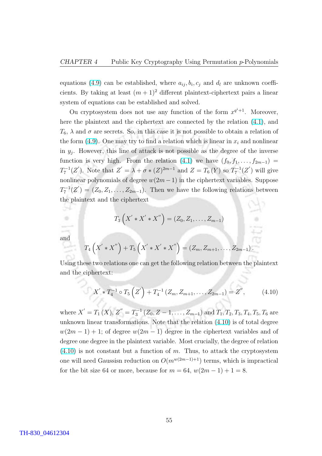equations [\(4.9\)](#page-64-0) can be established, where  $a_{ij}, b_i, c_j$  and  $d_l$  are unknown coefficients. By taking at least  $(m + 1)^2$  different plaintext-ciphertext pairs a linear system of equations can be established and solved.

Ou cryptosystem does not use any function of the form  $x^{q^i+1}$ . Moreover, here the plaintext and the ciphertext are connected by the relation [\(4.1\)](#page-59-0), and  $T_6$ ,  $\lambda$  and  $\sigma$  are secrets. So, in this case it is not possible to obtain a relation of the form [\(4.9\)](#page-64-0). One may try to find a relation which is linear in  $x_i$  and nonlinear in  $y_j$ . However, this line of attack is not possible as the degree of the inverse function is very high. From the relation [\(4.1\)](#page-59-0) we have  $(f_0, f_1, \ldots, f_{2m-1})$  $T_7^{-1}(Z')$ . Note that  $Z' = \lambda + \sigma * (Z)^{2m-1}$  and  $Z = T_6(Y)$  so  $T_7^{-1}(Z')$  will give nonlinear polynomials of degree  $w(2m-1)$  in the ciphertext variables. Suppose  $T_7^{-1}(Z') = (Z_0, Z_1, \ldots, Z_{2m-1})$ . Then we have the following relations between the plaintext and the ciphertext

$$
T_3\left(X' * X' * X''\right) = (Z_0, Z_1, \ldots, Z_{m-1})
$$

and

-59 ٠

$$
T_4\left(X' * X''\right) + T_5\left(X' * X' * X''\right) = (Z_m, Z_{m+1}, \ldots, Z_{2m-1}).
$$

Using these two relations one can get the following relation between the plaintext and the ciphertext:

$$
X' * T_4^{-1} \circ T_5 \left( Z' \right) + T_4^{-1} \left( Z_m, Z_{m+1}, \dots, Z_{2m-1} \right) = Z'', \tag{4.10}
$$

where  $X' = T_1(X), Z'' = T_3^{-1} (Z_0, Z - 1, \ldots, Z_{m-1})$  and  $T_1, T_2, T_3, T_4, T_5, T_6$  are unknown linear transformations. Note that the relation (4.10) is of total degree  $w(2m-1) + 1$ ; of degree  $w(2m-1)$  degree in the ciphertext variables and of degree one degree in the plaintext variable. Most crucially, the degree of relation  $(4.10)$  is not constant but a function of m. Thus, to attack the cryptosystem one will need Gaussisn reduction on  $O(m^{w(2m-1)+1})$  terms, which is impractical for the bit size 64 or more, because for  $m = 64$ ,  $w(2m - 1) + 1 = 8$ .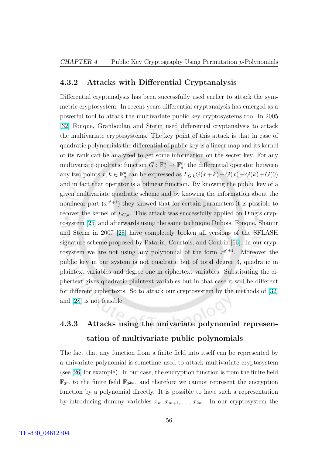#### 4.3.2 Attacks with Differential Cryptanalysis

Differential cryptanalysis has been successfully used earlier to attack the symmetric cryptosystem. In recent years differential cryptanalysis has emerged as a powerful tool to attack the multivariate public key cryptosystems too. In 2005 [\[32\]](#page-86-0) Fouque, Granboulan and Sterm used differential cryptanalysis to attack the multivariate cryptosystems. The key point of this attack is that in case of quadratic polynomials the differential of public key is a linear map and its kernel or its rank can be analyzed to get some information on the secret key. For any multivariate quadratic function  $G: \mathbb{F}_q^n \to \mathbb{F}_q^m$  the differential operator between any two points  $x, k \in \mathbb{F}_q^n$  can be expressed as  $L_{G,k}G(x+k)-G(x)-G(k)+G(0)$ and in fact that operator is a bilinear function. By knowing the public key of a given multivariate quadratic scheme and by knowing the information about the nonlinear part  $(x^{q^i+1})$  they showed that for certain parameters it is possible to recover the kernel of  $L_{G,k}$ . This attack was successfully applied on Ding's cryptosystem [\[25\]](#page-85-0) and afterwards using the same technique Dubois, Fouque, Shamir and Sterm in 2007 [\[28\]](#page-85-0) have completely broken all versions of the SFLASH signature scheme proposed by Patarin, Courtois, and Goubin [\[66\]](#page-88-0). In our cryptosystem we are not using any polynomial of the form  $x^{q^i+1}$ . Moreover the public key in our system is not quadratic but of total degree 3, quadratic in plaintext variables and degree one in ciphertext variables. Substituting the ciphertext gives quadratic plaintext variables but in that case it will be different for different ciphertexts. So to attack our cryptosystem by the methods of [\[32\]](#page-86-0) and [\[28\]](#page-85-0) is not feasible.

### 4.3.3 Attacks using the univariate polynomial representation of multivariate public polynomials

The fact that any function from a finite field into itself can be represented by a univariate polynomial is sometime used to attack multivariate cryptosystem (see [\[26\]](#page-85-0) for example). In our case, the encryption function is from the finite field  $\mathbb{F}_{2^m}$  to the finite field  $\mathbb{F}_{2^{2m}}$ , and therefore we cannot represent the encryption function by a polynomial directly. It is possible to have such a representation by introducing dummy variables  $x_m, x_{m+1}, \ldots, x_{2m}$ . In our cryptosystem the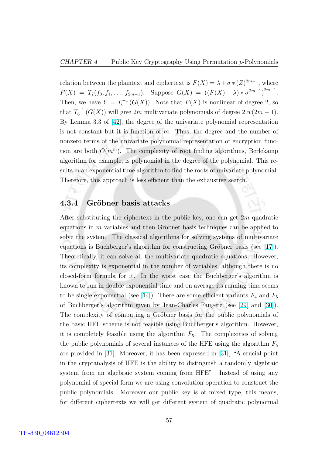relation between the plaintext and ciphertext is  $F(X) = \lambda + \sigma * (Z)^{2m-1}$ , where  $F(X) = T_7(f_0, f_1, \ldots, f_{2m-1}).$  Suppose  $G(X) = ((F(X) + \lambda) * \sigma^{2m-1})^{2m-1}.$ Then, we have  $Y = T_6^{-1}(G(X))$ . Note that  $F(X)$  is nonlinear of degree 2, so that  $T_6^{-1}(G(X))$  will give 2m multivariate polynomials of degree 2. $w(2m-1)$ . By Lemma 3.3 of [\[42\]](#page-86-0), the degree of the univariate polynomial representation is not constant but it is function of  $m$ . Thus, the degree and the number of nonzero terms of the univariate polynomial representation of encryption function are both  $O(m^m)$ . The complexity of root finding algorithms, Berlekamp algorithm for example, is polynomial in the degree of the polynomial. This results in an exponential time algorithm to find the roots of univariate polynomial. Therefore, this approach is less efficient than the exhaustive search.

#### 4.3.4 Gröbner basis attacks

After substituting the ciphertext in the public key, one can get  $2m$  quadratic equations in  $m$  variables and then Gröbner basis techniques can be applied to solve the system. The classical algorithms for solving systems of multivariate equations is Buchberger's algorithm for constructing Gröbner basis (see  $[17]$ ). Theoretically, it can solve all the multivariate quadratic equations. However, its complexity is exponential in the number of variables, although there is no closed-form formula for it. In the worst case the Buchberger's algorithm is known to run in double exponential time and on average its running time seems to be single exponential (see [\[14\]](#page-85-0)). There are some efficient variants  $F_4$  and  $F_5$ of Buchberger's algorithm given by Jean-Charles Faugere (see [\[29\]](#page-86-0) and [\[30\]](#page-86-0)). The complexity of computing a Gröbner basis for the public polynomials of the basic HFE scheme is not feasible using Buchberger's algorithm. However, it is completely feasible using the algorithm  $F_5$ . The complexities of solving the public polynomials of several instances of the HFE using the algorithm  $F_5$ are provided in [\[31\]](#page-86-0). Moreover, it has been expressed in [\[31\]](#page-86-0), "A crucial point in the cryptanalysis of HFE is the ability to distinguish a randomly algebraic system from an algebraic system coming from HFE". Instead of using any polynomial of special form we are using convolution operation to construct the public polynomials. Moreover our public key is of mixed type, this means, for different ciphertexts we will get different system of quadratic polynomial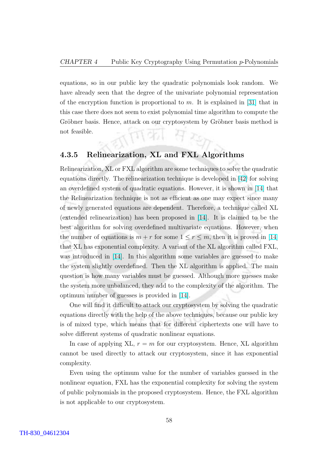equations, so in our public key the quadratic polynomials look random. We have already seen that the degree of the univariate polynomial representation of the encryption function is proportional to  $m$ . It is explained in [\[31\]](#page-86-0) that in this case there does not seem to exist polynomial time algorithm to compute the Gröbner basis. Hence, attack on our cryptosystem by Gröbner basis method is not feasible. (団羽 仔元

#### 4.3.5 Relinearization, XL and FXL Algorithms

Relinearization, XL or FXL algorithm are some techniques to solve the quadratic equations directly. The relinearization technique is developed in [\[42\]](#page-86-0) for solving an overdefined system of quadratic equations. However, it is shown in [\[14\]](#page-85-0) that the Relinearization technique is not as efficient as one may expect since many of newly generated equations are dependent. Therefore, a technique called XL (extended relinearization) has been proposed in [\[14\]](#page-85-0). It is claimed to be the best algorithm for solving overdefined multivariate equations. However, when the number of equations is  $m + r$  for some  $1 \le r \le m$ , then it is proved in [\[14\]](#page-85-0) that XL has exponential complexity. A variant of the XL algorithm called FXL, was introduced in [\[14\]](#page-85-0). In this algorithm some variables are guessed to make the system slightly overdefined. Then the XL algorithm is applied. The main question is how many variables must be guessed. Although more guesses make the system more unbalanced, they add to the complexity of the algorithm. The optimum number of guesses is provided in [\[14\]](#page-85-0).

One will find it difficult to attack our cryptosystem by solving the quadratic equations directly with the help of the above techniques, because our public key is of mixed type, which means that for different ciphertexts one will have to solve different systems of quadratic nonlinear equations.

In case of applying XL,  $r = m$  for our cryptosystem. Hence, XL algorithm cannot be used directly to attack our cryptosystem, since it has exponential complexity.

Even using the optimum value for the number of variables guessed in the nonlinear equation, FXL has the exponential complexity for solving the system of public polynomials in the proposed cryptosystem. Hence, the FXL algorithm is not applicable to our cryptosystem.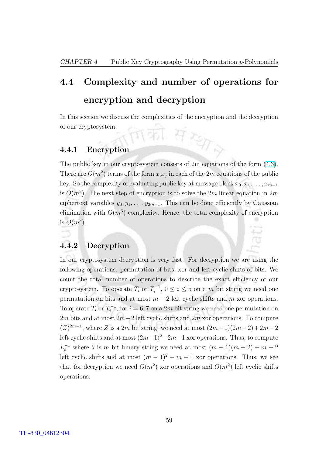## 4.4 Complexity and number of operations for encryption and decryption

In this section we discuss the complexities of the encryption and the decryption of our cryptosystem. of our cryptosystem.

#### 4.4.1 Encryption

The public key in our cryptosystem consists of 2m equations of the form [\(4.3\)](#page-59-0). There are  $O(m^2)$  terms of the form  $x_i x_j$  in each of the 2m equations of the public key. So the complexity of evaluating public key at message block  $x_0, x_1, \ldots, x_{m-1}$ is  $O(m^3)$ . The next step of encryption is to solve the 2m linear equation in 2m ciphertext variables  $y_0, y_1, \ldots, y_{2m-1}$ . This can be done efficiently by Gaussian elimination with  $O(m^3)$  complexity. Hence, the total complexity of encryption is  $O(m^3)$ .

#### 4.4.2 Decryption

In our cryptosystem decryption is very fast. For decryption we are using the following operations: permutation of bits, xor and left cyclic shifts of bits. We count the total number of operations to describe the exact efficiency of our cryptosystem. To operate  $T_i$  or  $T_i^{-1}$  $i_i^{-1}, 0 \leq i \leq 5$  on a m bit string we need one permutation on bits and at most  $m - 2$  left cyclic shifts and m xor operations. To operate  $T_i$  or  $T_i^{-1}$  $i_i^{-1}$ , for  $i = 6, 7$  on a 2*m* bit string we need one permutation on 2m bits and at most  $2m-2$  left cyclic shifts and 2m xor operations. To compute  $(Z)^{2m-1}$ , where Z is a 2m bit string, we need at most  $(2m-1)(2m-2)+2m-2$ left cyclic shifts and at most  $(2m-1)^2+2m-1$  xor operations. Thus, to compute  $L_{\theta}^{-1}$  where  $\theta$  is m bit binary string we need at most  $(m-1)(m-2) + m - 2$ left cyclic shifts and at most  $(m-1)^2 + m - 1$  xor operations. Thus, we see that for decryption we need  $O(m^2)$  xor operations and  $O(m^2)$  left cyclic shifts operations.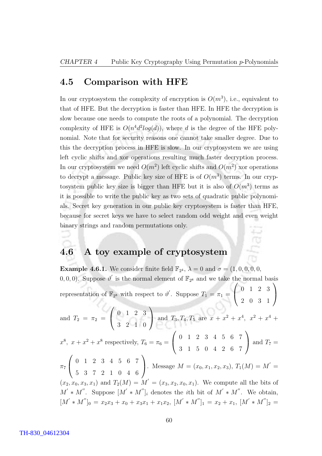#### 4.5 Comparison with HFE

In our cryptosystem the complexity of encryption is  $O(m^3)$ , i.e., equivalent to that of HFE. But the decryption is faster than HFE. In HFE the decryption is slow because one needs to compute the roots of a polynomial. The decryption complexity of HFE is  $O(n^4d^2log(d))$ , where d is the degree of the HFE polynomial. Note that for security reasons one cannot take smaller degree. Due to this the decryption process in HFE is slow. In our cryptosystem we are using left cyclic shifts and xor operations resulting much faster decryption process. In our cryptosystem we need  $O(m^2)$  left cyclic shifts and  $O(m^2)$  xor operations to decrypt a message. Public key size of HFE is of  $O(m^3)$  terms. In our cryptosystem public key size is bigger than HFE but it is also of  $O(m^3)$  terms as it is possible to write the public key as two sets of quadratic public polynomials. Secret key generation in our public key cryptosystem is faster than HFE, because for secret keys we have to select random odd weight and even weight binary strings and random permutations only.

ć

#### 4.6 A toy example of cryptosystem

**Example 4.6.1.** We consider finite field  $\mathbb{F}_{2^4}$ ,  $\lambda = 0$  and  $\sigma = (1, 0, 0, 0, 0, 0, 0)$ 0, 0, 0). Suppose  $\vartheta'$  is the normal element of  $\mathbb{F}_{2^8}$  and we take the normal basis representation of  $\mathbb{F}_{2^8}$  with respect to  $\vartheta'$ . Suppose  $T_1 = \pi_1 = \begin{pmatrix} 0 & 1 & 2 & 3 \end{pmatrix}$ 2 0 3 1  $\mathbf{I}$ and  $T_2 = \pi_2 = \begin{pmatrix} 0 & 1 & 2 & 3 \end{pmatrix}$  3 2 1 0 and  $T_3, T_4, T_5$  are  $x + x^2 + x^4$ ,  $x^2 + x^4 +$  $x^8$ ,  $x + x^2 + x^8$  respectively,  $T_6 = \pi_6 =$  $\overline{\phantom{a}}$  $\begin{pmatrix} 0 & 1 & 2 & 3 & 4 & 5 & 6 & 7 \end{pmatrix}$ 3 1 5 0 4 2 6 7  $\mathbf{r}$ and  $T_7 =$  $\pi_7$  (0 1 2 3 4 5 6 7  $\mathcal{L}$ 5 3 7 2 1 0 4 6 . Message  $M = (x_0, x_1, x_2, x_3), T_1(M) = M' =$  $(x_2, x_0, x_3, x_1)$  and  $T_2(M) = M' = (x_3, x_2, x_0, x_1)$ . We compute all the bits of  $M' * M''$ . Suppose  $[M' * M'']_i$  denotes the *i*th bit of  $M' * M''$ . We obtain,  $[M' * M'']_0 = x_2x_3 + x_0 + x_3x_1 + x_1x_2, M' * M'']_1 = x_2 + x_1, M' * M'']_2 =$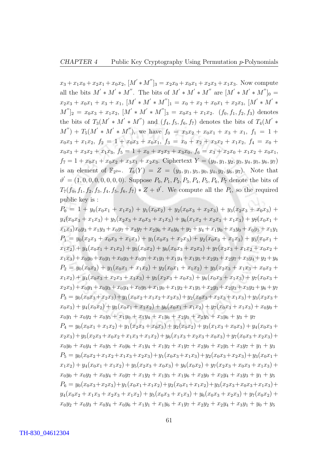#### $CHAPTER$  4 Public Key Cryptography Using Permutation p-Polynomials

 $x_3 + x_1x_0 + x_2x_1 + x_0x_2$ ,  $[M' * M'']_3 = x_2x_0 + x_0x_1 + x_2x_3 + x_1x_3$ . Now compute all the bits  $M' * M'$ . The bits of  $M' * M' * M''$  are  $[M' * M' * M'']_0 =$  $x_2x_3 + x_0x_1 + x_3 + x_1$ ,  $[M' * M' * M'']_1 = x_0 + x_2 + x_0x_1 + x_2x_3$ ,  $[M' * M' *$  $[M'']_2 = x_0x_3 + x_1x_2$ ,  $[M' * M' * M'']_3 = x_0x_3 + x_1x_2$ .  $(f_0, f_1, f_2, f_3)$  denotes the bits of  $T_3(M' * M' * M'')$  and  $(f_4, f_5, f_6, f_7)$  denotes the bits of  $T_4(M' *$  $(M'') + T_5(M' * M' * M'')$ , we have  $f_0 = x_3x_2 + x_0x_1 + x_3 + x_1$ ,  $f_1 = 1 +$  $x_0x_3 + x_1x_2$ ,  $f_2 = 1 + x_0x_3 + x_0x_1$ ,  $f_3 = x_0 + x_2 + x_3x_2 + x_1x_2$ ,  $f_4 = x_0 + x_1x_2$  $x_0x_3 + x_3x_2 + x_1x_3$ ,  $f_5 = 1 + x_0 + x_2x_3 + x_3x_0$ ,  $f_6 = x_3 + x_2x_0 + x_1x_2 + x_0x_1$ ,  $f_7 = 1 + x_0x_1 + x_0x_2 + x_3x_1 + x_2x_3$ . Ciphertext  $Y = (y_0, y_1, y_2, y_3, y_4, y_5, y_6, y_7)$ is an element of  $\mathbb{F}_{2^{2m}}$ .  $T_6(Y) = Z = (y_3, y_1, y_5, y_0, y_4, y_2, y_6, y_7)$ . Note that  $\vartheta' = (1, 0, 0, 0, 0, 0, 0, 0)$ . Suppose  $P_0, P_1, P_2, P_3, P_4, P_5, P_6, P_7$  denote the bits of  $T_7(f_0, f_1, f_2, f_3, f_4, f_5, f_6, f_7) * Z + \vartheta'$ . We compute all the  $P_i$ , so the required public key is :

 $P_0 = 1 + y_0(x_0x_1 + x_1x_2) + y_1(x_0x_2) + y_2(x_0x_3 + x_2x_3) + y_3(x_2x_3 + x_0x_3) +$  $y_4(x_0x_3 + x_1x_3) + y_5(x_2x_3 + x_0x_3 + x_1x_3) + y_6(x_1x_2 + x_2x_3 + x_1x_3) + y_7(x_0x_1 +$  $x_1x_3)x_0y_3 + x_1y_3 + x_0y_7 + x_2y_7 + x_2y_6 + x_0y_6 + y_2 + y_4 + x_1y_0 + x_3y_0 + x_0y_5 + x_1y_1$  $P_1 = y_0(x_2x_3 + x_0x_3 + x_1x_3) + y_1(x_0x_3 + x_2x_3) + y_2(x_0x_3 + x_1x_3) + y_3(x_0x_1 + x_2x_3)$  $x_1x_2$  +  $y_4(x_0x_1 + x_1x_2)$  +  $y_5(x_0x_2)$  +  $y_6(x_0x_3 + x_2x_3)$  +  $y_7(x_2x_3 + x_1x_2 + x_0x_2$  +  $x_1x_3+x_0y_0+x_0y_1+x_0y_3+x_0y_7+x_1y_1+x_1y_4+x_1y_5+x_2y_3+x_2y_7+x_3y_4+y_2+y_6$  $P_2 = y_0(x_0x_2) + y_1(x_0x_1 + x_1x_2) + y_2(x_0x_1 + x_1x_2) + y_3(x_2x_3 + x_1x_3 + x_0x_2 +$  $x_1x_2$ ) +  $y_4(x_0x_3 + x_2x_3 + x_1x_3)$  +  $y_5(x_2x_3 + x_0x_3)$  +  $y_6(x_0x_3 + x_1x_3)$  +  $y_7(x_0x_3 + x_1x_3)$  $x_2x_3+x_0y_1+x_0y_3+x_0y_4+x_0y_5+x_1y_0+x_1y_2+x_1y_5+x_2y_1+x_2y_3+x_3y_2+y_6+y_7$  $P_3 = y_0(x_0x_3 + x_2x_3) + y_1(x_0x_2 + x_1x_2 + x_2x_3) + y_2(x_0x_3 + x_2x_3 + x_1x_3) + y_3(x_2x_3 + x_2x_3)$  $x_0x_3$  +  $y_4(x_0x_2)$  +  $y_5(x_0x_1 + x_1x_2)$  +  $y_6(x_0x_1 + x_1x_2)$  +  $y_7(x_0x_3 + x_1x_3)$  +  $x_0y_0$  +

 $x_0y_1 + x_0y_2 + x_0y_5 + x_1y_0 + x_1y_4 + x_1y_6 + x_2y_1 + x_2y_5 + x_3y_6 + y_3 + y_7$  $P_4 = y_0(x_0x_1 + x_1x_2) + y_1(x_2x_3 + x_0x_3) + y_2(x_0x_2) + y_3(x_1x_3 + x_0x_3) + y_4(x_0x_3 + x_1x_2)$  $x_2x_3+y_5(x_2x_3+x_0x_2+x_1x_3+x_1x_2)+y_6(x_1x_3+x_2x_3+x_0x_3)+y_7(x_0x_3+x_2x_3)+$  $x_0y_0 + x_0y_4 + x_0y_5 + x_0y_6 + x_1y_4 + x_1y_2 + x_1y_7 + x_2y_0 + x_2y_5 + x_3y_7 + y_1 + y_3$  $P_5 = y_0(x_0x_2 + x_1x_2 + x_1x_3 + x_2x_3) + y_1(x_0x_3 + x_1x_3) + y_2(x_0x_3 + x_2x_3) + y_3(x_0x_1 + x_2x_3)$  $x_1x_2$  +  $y_4(x_0x_1 + x_1x_2)$  +  $y_5(x_2x_3 + x_0x_3)$  +  $y_6(x_0x_2)$  +  $y_7(x_2x_3 + x_0x_3 + x_1x_3)$  +  $x_0y_0 + x_0y_2 + x_0y_4 + x_0y_7 + x_1y_2 + x_1y_3 + x_1y_6 + x_2y_0 + x_2y_4 + x_3y_3 + y_1 + y_5$  $P_6 = y_0(x_0x_3+x_2x_3)+y_1(x_0x_1+x_1x_2)+y_2(x_0x_1+x_1x_2)+y_3(x_2x_3+x_0x_3+x_1x_3)+$  $y_4(x_0x_2 + x_1x_3 + x_2x_3 + x_1x_2) + y_5(x_0x_3 + x_1x_3) + y_6(x_0x_3 + x_2x_3) + y_7(x_0x_2) +$  $x_0y_2 + x_0y_3 + x_0y_4 + x_0y_6 + x_1y_1 + x_1y_6 + x_1y_7 + x_2y_2 + x_2y_4 + x_3y_1 + y_0 + y_5$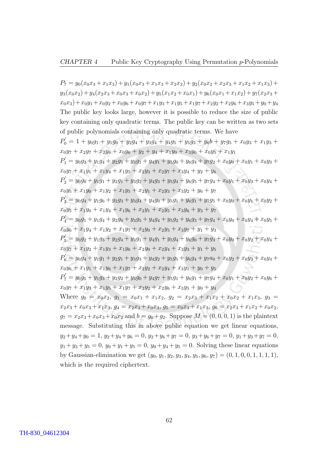#### CHAPTER 4 Public Key Cryptography Using Permutation  $p$ -Polynomials

 $P_7 = y_0(x_0x_3 + x_1x_3) + y_1(x_0x_3 + x_1x_3 + x_2x_3) + y_2(x_0x_2 + x_2x_3 + x_1x_2 + x_1x_3) +$  $y_3(x_0x_2)+y_4(x_2x_3+x_0x_3+x_0x_2)+y_5(x_1x_2+x_0x_1)+y_6(x_0x_1+x_1x_2)+y_7(x_2x_3+x_1x_2)$  $x_0x_3+x_0y_1+x_0y_2+x_0y_6+x_0y_7+x_1y_3+x_1y_5+x_1y_7+x_2y_2+x_2y_6+x_3y_5+y_0+y_4$ The public key looks large, however it is possible to reduce the size of public key containing only quadratic terms. The public key can be written as two sets of public polynomials containing only quadratic terms. We have  $P'_0 = 1 + y_0g_1 + y_1g_0 + y_2g_4 + y_3g_4 + y_4g_5 + y_5g_3 + y_6b + y_7g_5 + x_0y_3 + x_1y_3 +$  $x_0y_7 + x_2y_7 + x_2y_6 + x_0y_6 + y_2 + y_4 + x_1y_0 + x_3y_0 + x_0y_5 + x_1y_1$  $P_1' = y_0 g_3 + y_1 g_4 + y_2 g_5 + y_3 g_1 + y_4 g_1 + y_5 g_0 + y_6 g_4 + y_7 g_2 + x_0 y_0 + x_0 y_1 + x_0 y_3 +$  $x_0y_7 + x_1y_1 + x_1y_4 + x_1y_5 + x_2y_3 + x_2y_7 + x_3y_4 + y_2 + y_6$  $P_{2}^{\prime}=y_{0}g_{0}+y_{1}g_{1}+y_{2}g_{1}+y_{3}g_{2}+y_{4}g_{3}+y_{5}g_{4}+y_{6}g_{5}+y_{7}g_{4}+x_{0}y_{1}+x_{0}y_{3}+x_{0}y_{4}+$  $x_0y_5 + x_1y_0 + x_1y_2 + x_1y_5 + x_2y_1 + x_2y_3 + x_3y_2 + y_6 + y_7$  $P'_{3} = y_{0}g_{4} + y_{1}g_{6} + y_{2}g_{3} + y_{3}g_{4} + y_{4}g_{0} + y_{5}g_{1} + y_{6}g_{1} + y_{7}g_{5} + x_{0}y_{0} + x_{0}y_{1} + x_{0}y_{2} +$  $x_0y_5 + x_1y_0 + x_1y_4 + x_1y_6 + x_2y_1 + x_2y_5 + x_3y_6 + y_3 + y_7$  $P_{4}^{\prime}=y_{0}g_{1}+y_{1}g_{4}+y_{2}g_{0}+y_{3}g_{5}+y_{4}g_{4}+y_{5}g_{2}+y_{6}g_{3}+y_{7}g_{4}+x_{0}y_{0}+x_{0}y_{4}+x_{0}y_{5}+$  $x_0y_6 + x_1y_4 + x_1y_2 + x_1y_7 + x_2y_0 + x_2y_5 + x_3y_7 + y_1 + y_3$  $P'_{5} = y_{0}g_{2} + y_{1}g_{5} + y_{2}g_{4} + y_{3}g_{1} + y_{4}g_{1} + y_{5}g_{4} + y_{6}g_{0} + y_{7}g_{3} + x_{0}y_{0} + x_{0}y_{2} + x_{0}y_{4} +$  $x_0y_7 + x_1y_2 + x_1y_3 + x_1y_6 + x_2y_0 + x_2y_4 + x_3y_3 + y_1 + y_5$  $P_6' = y_0g_4 + y_1g_1 + y_2g_1 + y_3g_3 + y_4g_2 + y_5g_5 + y_6g_4 + y_7a_0 + x_0y_2 + x_0y_3 + x_0y_4 +$  $x_0y_6 + x_1y_1 + x_1y_6 + x_1y_7 + x_2y_2 + x_2y_4 + x_3y_1 + y_0 + y_5$  $P'_{7} = y_0 g_5 + y_1 g_3 + y_2 g_2 + y_3 g_0 + y_4 g_7 + y_5 g_1 + y_6 g_1 + y_7 g_4 + x_0 y_1 + x_0 y_2 + x_0 y_6 +$  $x_0y_7 + x_1y_3 + x_1y_5 + x_1y_7 + x_2y_2 + x_2y_6 + x_3y_5 + y_0 + y_4$ Where  $g_0 = x_0x_2$ ,  $g_1 = x_0x_1 + x_1x_2$ ,  $g_2 = x_2x_3 + x_1x_2 + x_0x_2 + x_1x_3$ ,  $g_3 =$  $x_2x_3 + x_0x_3 + x_1x_3$ ,  $g_4 = x_2x_3 + x_0x_3$ ,  $g_5 = x_0x_3 + x_1x_3$ ,  $g_6 = x_2x_3 + x_1x_2 + x_0x_2$ ,  $g_7 = x_2x_3 + x_0x_3 + x_0x_2$  and  $b = g_0 + g_2$ . Suppose  $M = (0, 0, 0, 1)$  is the plaintext message. Substituting this in above public equation we get linear equations,  $y_2+y_4+y_0 = 1$ ,  $y_2+y_4+y_6 = 0$ ,  $y_2+y_6+y_7 = 0$ ,  $y_3+y_6+y_7 = 0$ ,  $y_1+y_3+y_7 = 0$ ,  $y_1 + y_3 + y_5 = 0$ ,  $y_0 + y_1 + y_5 = 0$ ,  $y_0 + y_4 + y_5 = 0$ . Solving these linear equations by Gaussian-elimination we get  $(y_0, y_1, y_2, y_3, y_4, y_5, y_6, y_7) = (0, 1, 0, 0, 1, 1, 1, 1),$ which is the required ciphertext.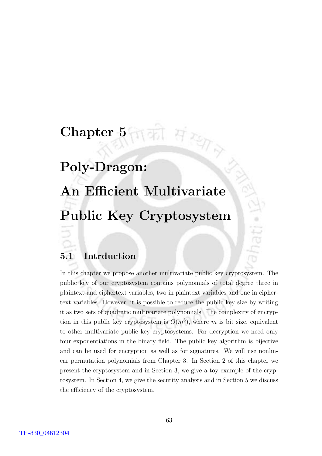## Chapter 5

### Poly-Dragon:

## An Efficient Multivariate Public Key Cryptosystem

 $H$   $257$ 

#### 5.1 Intrduction

In this chapter we propose another multivariate public key cryptosystem. The public key of our cryptosystem contains polynomials of total degree three in plaintext and ciphertext variables, two in plaintext variables and one in ciphertext variables. However, it is possible to reduce the public key size by writing it as two sets of quadratic multivariate polynomials. The complexity of encryption in this public key cryptosystem is  $O(m^3)$ , where m is bit size, equivalent to other multivariate public key cryptosystems. For decryption we need only four exponentiations in the binary field. The public key algorithm is bijective and can be used for encryption as well as for signatures. We will use nonlinear permutation polynomials from Chapter 3. In Section 2 of this chapter we present the cryptosystem and in Section 3, we give a toy example of the cryptosystem. In Section 4, we give the security analysis and in Section 5 we discuss the efficiency of the cryptosystem.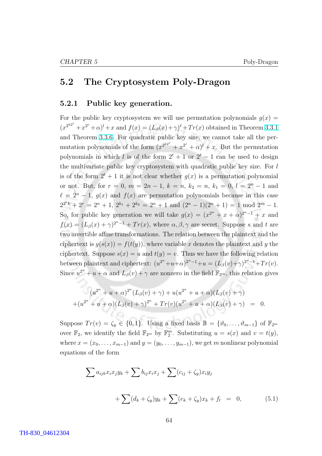#### <span id="page-74-0"></span>5.2 The Cryptosystem Poly-Dragon

#### 5.2.1 Public key generation.

For the public key cryptosystem we will use permutation polynomials  $g(x)$  =  $(x^{2^{k2^{r}}}+x^{2^{r}}+\alpha)^{l}+x$  and  $f(x)=(L_{\beta}(x)+\gamma)^{\ell}+Tr(x)$  obtained in Theorem [3.3.1](#page-51-0) and Theorem [3.3.6.](#page-53-0) For quadratic public key size, we cannot take all the permutation polynomials of the form  $(x^{2^{k2^{r}}} + x^{2^{r}} + \alpha)^{l} + x$ . But the permutation polynomials in which l is of the form  $2^t + 1$  or  $2^t - 1$  can be used to design the multivariate public key cryptosystem with quadratic public key size. For  $l$ is of the form  $2^t + 1$  it is not clear whether  $q(x)$  is a permutation polynomial or not. But, for  $r = 0$ ,  $m = 2n - 1$ ,  $k = n$ ,  $k_2 = n$ ,  $k_1 = 0$ ,  $l = 2<sup>n</sup> - 1$  and  $\ell = 2^{n} - 1$ ,  $g(x)$  and  $f(x)$  are permutation polynomials because in this case  $2^{2rk} + 2^r = 2^n + 1$ ,  $2^{k_1} + 2^{k_2} = 2^n + 1$  and  $(2^n - 1)(2^n + 1) = 1$  mod  $2^m - 1$ . So, for public key generation we will take  $g(x) = (x^{2^n} + x + \alpha)^{2^{n}-1} + x$  and  $f(x) = (L_\beta(x) + \gamma)^{2^{n}-1} + Tr(x)$ , where  $\alpha, \beta, \gamma$  are secret. Suppose s and t are two invertible affine transformations. The relation between the plaintext and the ciphertext is  $q(s(x)) = f(t(y))$ , where variable x denotes the plaintext and y the ciphertext. Suppose  $s(x) = u$  and  $t(y) = v$ . Thus we have the following relation between plaintext and ciphertext:  $(u^{2^n}+u+\alpha)^{2^{n}-1}+u = (L_\beta(v)+\gamma)^{2^n-1}+Tr(v)$ . Since  $u^{2^n} + u + \alpha$  and  $L_\beta(v) + \gamma$  are nonzero in the field  $\mathbb{F}_{2^m}$ , this relation gives

$$
(u^{2^{n}} + u + \alpha)^{2^{n}} (L_{\beta}(v) + \gamma) + u(u^{2^{n}} + u + \alpha)(L_{\beta}(v) + \gamma)
$$
  
+
$$
(u^{2^{n}} + u + \alpha)(L_{\beta}(v) + \gamma)^{2^{n}} + Tr(v)(u^{2^{n}} + u + \alpha)(L_{\beta}(v) + \gamma) = 0.
$$

Suppose  $Tr(v) = \zeta_y \in \{0, 1\}$ . Using a fixed basis  $\mathbb{B} = \{\vartheta_0, \ldots, \vartheta_{m-1}\}$  of  $\mathbb{F}_{2^m}$ over  $\mathbb{F}_2$ , we identify the field  $\mathbb{F}_{2^m}$  by  $\mathbb{F}_2^m$ . Substituting  $u = s(x)$  and  $v = t(y)$ , where  $x = (x_0, \ldots, x_{m-1})$  and  $y = (y_0, \ldots, y_{m-1})$ , we get m nonlinear polynomial equations of the form

$$
\sum a_{ijk}x_ix_jy_k + \sum b_{ij}x_ix_j + \sum (c_{ij} + \zeta_y)x_iy_j
$$

$$
+ \sum (d_k + \zeta_y)y_k + \sum (e_k + \zeta_y)x_k + f_l = 0,
$$
(5.1)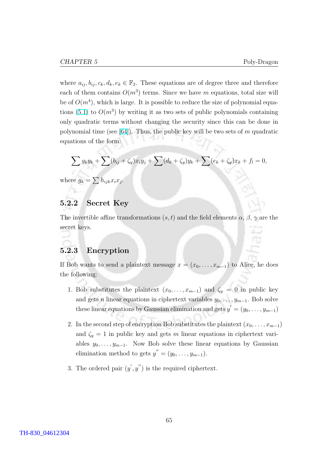where  $a_{ij}, b_{ij}, c_k, d_k, e_k \in \mathbb{F}_2$ . These equations are of degree three and therefore each of them contains  $O(m^3)$  terms. Since we have m equations, total size will be of  $O(m<sup>4</sup>)$ , which is large. It is possible to reduce the size of polynomial equa-tions [\(5.1\)](#page-74-0) to  $O(m^3)$  by writing it as two sets of public polynomials containing only quadratic terms without changing the security since this can be done in polynomial time (see [\[64\]](#page-88-0)). Thus, the public key will be two sets of m quadratic equations of the form:

$$
\sum g_k y_k + \sum (b_{ij} + \zeta_y) x_i y_j + \sum (d_k + \zeta_y) y_k + \sum (e_k + \zeta_y) x_k + f_l = 0,
$$

where  $g_k = \sum h_{ijk} x_i x_j$ .

#### 5.2.2 Secret Key

The invertible affine transformations  $(s, t)$  and the field elements  $\alpha, \beta, \gamma$  are the secret keys.

#### 5.2.3 Encryption

If Bob wants to send a plaintext message  $x = (x_0, \ldots, x_{m-1})$  to Alice, he does the following:

- 1. Bob substitutes the plaintext  $(x_0, \ldots, x_{m-1})$  and  $\zeta_y = 0$  in public key and gets *n* linear equations in ciphertext variables  $y_0, \ldots, y_{m-1}$ . Bob solve these linear equations by Gaussian elimination and gets  $y' = (y_0, \ldots, y_{m-1})$
- 2. In the second step of encryption Bob substitutes the plaintext  $(x_0, \ldots, x_{m-1})$ and  $\zeta_y = 1$  in public key and gets m linear equations in ciphertext variables  $y_0, \ldots, y_{m-1}$ . Now Bob solve these linear equations by Gaussian elimination method to gets  $y'' = (y_0, \ldots, y_{m-1}).$
- 3. The ordered pair  $(y', y'')$  is the required ciphertext.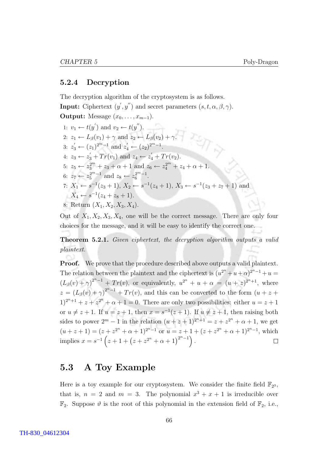#### 5.2.4 Decryption

The decryption algorithm of the cryptosystem is as follows. **Input:** Ciphertext  $(y', y'')$  and secret parameters  $(s, t, \alpha, \beta, \gamma)$ . Output: Message  $(x_0, \ldots, x_{m-1})$ . 1:  $v_1 \leftarrow t(y')$  and  $v_2 \leftarrow t(y'')$ . 2:  $z_1 \leftarrow L_{\beta}(v_1) + \gamma$  and  $z_2 \leftarrow L_{\beta}(v_2) + \gamma$ . 3:  $z_3' \leftarrow (z_1)^{2^m-1}$  and  $z_4' \leftarrow (z_2)^{2^m-1}$ . 4:  $z_3 \leftarrow z'_3 + Tr(v_1)$  and  $z_4 \leftarrow z'_4 + Tr(v_2)$ . 5:  $z_5 \leftarrow z_3^{2^m} + z_3 + \alpha + 1$  and  $z_6 \leftarrow z_4^{2^m} + z_4 + \alpha + 1$ . 6:  $z_7 \leftarrow z_5^{2^m-1}$  and  $z_8 \leftarrow z_6^{2^m-1}$ . 7:  $X_1 \leftarrow s^{-1}(z_3+1), X_2 \leftarrow s^{-1}(z_4+1), X_3 \leftarrow s^{-1}(z_3+z_7+1)$  and  $X_4 \leftarrow s^{-1}(z_4 + z_8 + 1).$ 8: Return  $(X_1, X_2, X_3, X_4)$ .

Out of  $X_1, X_2, X_3, X_4$ , one will be the correct message. There are only four choices for the message, and it will be easy to identify the correct one.

Theorem 5.2.1. Given ciphertext, the decryption algorithm outputs a valid plaintext.

**Proof.** We prove that the procedure described above outputs a valid plaintext. The relation between the plaintext and the ciphertext is  $(u^{2^n} + u + \alpha)^{2^{n}-1} + u =$  $(L_{\beta}(v) + \gamma)^{2^{n}-1} + Tr(v)$ , or equivalently,  $u^{2^{n}} + u + \alpha = (u + z)^{2^{n}+1}$ , where  $z = (L_{\beta}(v) + \gamma)^{2^{n}-1} + Tr(v)$ , and this can be converted to the form  $(u + z +$  $(1)^{2^n+1} + z + z^{2^n} + \alpha + 1 = 0$ . There are only two possibilities: either  $u = z + 1$ or  $u \neq z + 1$ . If  $u = z + 1$ , then  $x = s^{-1}(z + 1)$ . If  $u \neq z + 1$ , then raising both sides to power  $2^m - 1$  in the relation  $(u + z + 1)^{2^n + 1} = z + z^{2^n} + \alpha + 1$ , we get  $(u+z+1) = (z+z^{2^n} + \alpha + 1)^{2^n-1}$  or  $u = z+1+(z+z^{2^n} + \alpha + 1)^{2^n-1}$ , which implies  $x = s^{-1}(z + 1 + (z + z^{2^n} + \alpha + 1)^{2^n - 1})$ .  $\Box$ 

#### 5.3 A Toy Example

Here is a toy example for our cryptosystem. We consider the finite field  $\mathbb{F}_{2^3}$ , that is,  $n = 2$  and  $m = 3$ . The polynomial  $x^3 + x + 1$  is irreducible over  $\mathbb{F}_2$ . Suppose  $\vartheta$  is the root of this polynomial in the extension field of  $\mathbb{F}_2$ , i.e.,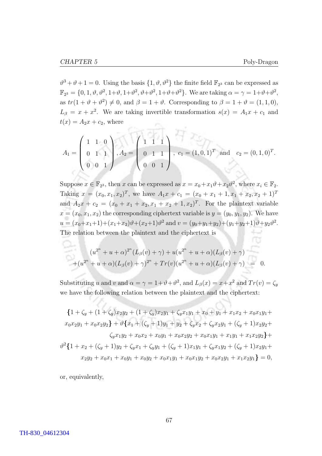$\vartheta^3 + \vartheta + 1 = 0$ . Using the basis  $\{1, \vartheta, \vartheta^2\}$  the finite field  $\mathbb{F}_{2^3}$  can be expressed as  $\mathbb{F}_{2^3} = \{0, 1, \vartheta, \vartheta^2, 1+\vartheta, 1+\vartheta^2, \vartheta+\vartheta^2, 1+\vartheta+\vartheta^2\}.$  We are taking  $\alpha = \gamma = 1+\vartheta+\vartheta^2$ , as  $tr(1 + \vartheta + \vartheta^2) \neq 0$ , and  $\beta = 1 + \vartheta$ . Corresponding to  $\beta = 1 + \vartheta = (1, 1, 0)$ ,  $L_{\beta} = x + x^2$ . We are taking invertible transformation  $s(x) = A_1x + c_1$  and  $t(x) = A_2x + c_2$ , where

$$
A_1 = \left(\begin{array}{ccc} 1 & 1 & 0 \\ 0 & 1 & 1 \\ 0 & 0 & 1 \end{array}\right), A_2 = \left(\begin{array}{ccc} 1 & 1 & 1 \\ 0 & 1 & 1 \\ 0 & 0 & 1 \end{array}\right), c_1 = (1, 0, 1)^T \text{ and } c_2 = (0, 1, 0)^T.
$$

Suppose  $x \in \mathbb{F}_{2^3}$ , then x can be expressed as  $x = x_0 + x_1 \vartheta + x_2 \vartheta^2$ , where  $x_i \in \mathbb{F}_2$ . Taking  $x = (x_0, x_1, x_2)^T$ , we have  $A_1x + c_1 = (x_0 + x_1 + 1, x_1 + x_2, x_2 + 1)^T$ and  $A_2x + c_2 = (x_0 + x_1 + x_2, x_1 + x_2 + 1, x_2)^T$ . For the plaintext variable  $x = (x_0, x_1, x_2)$  the corresponding ciphertext variable is  $y = (y_0, y_1, y_2)$ . We have  $u = (x_0 + x_1 + 1) + (x_1 + x_2)\vartheta + (x_2 + 1)\vartheta^2$  and  $v = (y_0 + y_1 + y_2) + (y_1 + y_2 + 1)\vartheta + y_2\vartheta^2$ . The relation between the plaintext and the ciphertext is

$$
(u^{2^{n}} + u + \alpha)^{2^{n}} (L_{\beta}(v) + \gamma) + u(u^{2^{n}} + u + \alpha)(L_{\beta}(v) + \gamma)
$$
  
+ 
$$
(u^{2^{n}} + u + \alpha)(L_{\beta}(v) + \gamma)^{2^{n}} + Tr(v)(u^{2^{n}} + u + \alpha)(L_{\beta}(v) + \gamma) = 0.
$$

Substituting u and v and  $\alpha = \gamma = 1 + \vartheta + \vartheta^2$ , and  $L_\beta(x) = x + x^2$  and  $Tr(v) = \zeta_y$ we have the following relation between the plaintext and the ciphertext:

$$
\{1 + \zeta_y + (1 + \zeta_y)x_2y_2 + (1 + \zeta_y)x_2y_1 + \zeta_yx_1y_1 + x_0 + y_1 + x_1x_2 + x_0x_1y_1 + x_0x_2y_1 + x_0x_2y_2\} + \vartheta\{x_1 + (\zeta_y + 1)y_1 + y_2 + \zeta_yx_2 + \zeta_yx_2y_1 + (\zeta_y + 1)x_2y_2 + \zeta_yx_1y_2 + x_0x_2 + x_0y_1 + x_0x_2y_2 + x_0x_1y_1 + x_1y_1 + x_1x_2y_2\} + \vartheta^2\{1 + x_2 + (\zeta_y + 1)y_2 + \zeta_yx_1 + \zeta_yy_1 + (\zeta_y + 1)x_1y_1 + \zeta_yx_1y_2 + (\zeta_y + 1)x_2y_1 + x_0y_2 + x_0x_1y_1 + x_0x_1y_2 + x_0x_2y_1 + x_1x_2y_1\} = 0,
$$

or, equivalently,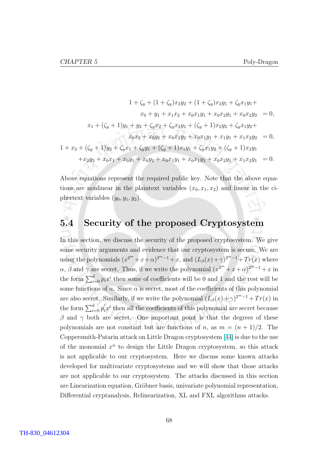$$
1 + \zeta_y + (1 + \zeta_y)x_2y_2 + (1 + \zeta_y)x_2y_1 + \zeta_y x_1y_1 +
$$
  
\n
$$
x_0 + y_1 + x_1x_2 + x_0x_1y_1 + x_0x_2y_1 + x_0x_2y_2 = 0,
$$
  
\n
$$
x_1 + (\zeta_y + 1)y_1 + y_2 + \zeta_y x_2 + \zeta_y x_2y_1 + (\zeta_y + 1)x_2y_2 + \zeta_y x_1y_2 +
$$
  
\n
$$
x_0x_2 + x_0y_1 + x_0x_2y_2 + x_0x_1y_1 + x_1y_1 + x_1x_2y_2 = 0,
$$
  
\n
$$
1 + x_2 + (\zeta_y + 1)y_2 + \zeta_y x_1 + \zeta_y y_1 + (\zeta_y + 1)x_1y_1 + \zeta_y x_1y_2 + (\zeta_y + 1)x_2y_1 + x_2y_2 + x_0x_1 + x_0y_1 + x_0y_2 + x_0x_1y_1 + x_0x_1y_2 + x_0x_2y_1 + x_1x_2y_1 = 0.
$$

Above equations represent the required public key. Note that the above equations are nonlinear in the plaintext variables  $(x_0, x_1, x_2)$  and linear in the ciphertext variables  $(y_0, y_1, y_2)$ .

#### 5.4 Security of the proposed Cryptosystem

In this section, we discuss the security of the proposed cryptosystem. We give some security arguments and evidence that our cryptosystem is secure. We are using the polynomials  $(x^{2^m}+x+\alpha)^{2^m-1}+x$ , and  $(L_\beta(x)+\gamma)^{2^m-1}+Tr(x)$  where  $\alpha$ ,  $\beta$  and  $\gamma$  are secret. Thus, if we write the polynomial  $(x^{2^m} + x + \alpha)^{2^m-1} + x$  in the form  $\sum_{i=0}^{d} p_i x^i$  then some of coefficients will be 0 and 1 and the rest will be some functions of  $\alpha$ . Since  $\alpha$  is secret, most of the coefficients of this polynomial are also secret. Similarly, if we write the polynomial  $(L_\beta(x) + \gamma)^{2^m-1} + Tr(x)$  in the form  $\sum_{i=0}^{d} p'_i x^i$  then all the coefficients of this polynomial are secret because β and γ both are secret. One important point is that the degrees of these polynomials are not constant but are functions of n, as  $m = (n + 1)/2$ . The Coppersmith-Patarin attack on Little Dragon cryptosystem [\[44\]](#page-86-0) is due to the use of the monomial  $x^n$  to design the Little Dragon cryptosystem, so this attack is not applicable to our cryptosystem. Here we discuss some known attacks developed for multivariate cryptosystems and we will show that those attacks are not applicable to our cryptosystem. The attacks discussed in this section are Linearization equation, Gröbner basis, univariate polynomial representation, Differential cryptanalysis, Relinearization, XL and FXL algorithms attacks.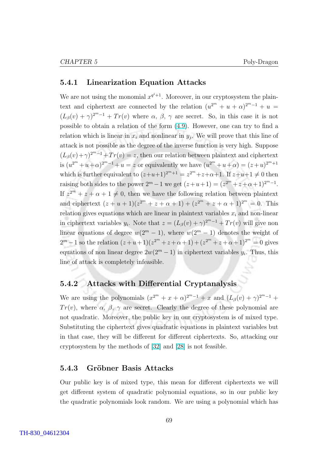#### 5.4.1 Linearization Equation Attacks

We are not using the monomial  $x^{q^i+1}$ . Moreover, in our cryptosystem the plaintext and ciphertext are connected by the relation  $(u^{2^m} + u + \alpha)^{2^{m-1}} + u =$  $(L_\beta(v) + \gamma)^{2^m-1} + Tr(v)$  where  $\alpha, \beta, \gamma$  are secret. So, in this case it is not possible to obtain a relation of the form [\(4.9\)](#page-64-0). However, one can try to find a relation which is linear in  $x_i$  and nonlinear in  $y_j$ . We will prove that this line of attack is not possible as the degree of the inverse function is very high. Suppose  $(L_\beta(v)+\gamma)^{2^m-1}+Tr(v)=z$ , then our relation between plaintext and ciphertext is  $(u^{2^m} + u + \alpha)^{2^m - 1} + u = z$  or equivalently we have  $(u^{2^m} + u + \alpha) = (z + u)^{2^m + 1}$ which is further equivalent to  $(z+u+1)^{2^m+1} = z^{2^m} + z + \alpha + 1$ . If  $z+u+1 \neq 0$  then raising both sides to the power  $2^m - 1$  we get  $(z + u + 1) = (z^{2^m} + z + \alpha + 1)^{2^m - 1}$ . If  $z^{2^m} + z + \alpha + 1 \neq 0$ , then we have the following relation between plaintext and ciphertext  $(z + u + 1)(z^{2^m} + z + \alpha + 1) + (z^{2^m} + z + \alpha + 1)^{2^m} = 0$ . This relation gives equations which are linear in plaintext variables  $x_i$  and non-linear in ciphertext variables  $y_i$ . Note that  $z = (L_\beta(v) + \gamma)^{2^{m}-1} + Tr(v)$  will give non linear equations of degree  $w(2^m - 1)$ , where  $w(2^m - 1)$  denotes the weight of  $2^m - 1$  so the relation  $(z + u + 1)(z^{2^m} + z + \alpha + 1) + (z^{2^m} + z + \alpha + 1)^{2^m} = 0$  gives equations of non linear degree  $2w(2^m - 1)$  in ciphertext variables  $y_i$ . Thus, this line of attack is completely infeasible.

#### 5.4.2 Attacks with Differential Cryptanalysis

We are using the polynomials  $(x^{2^m} + x + \alpha)^{2^m-1} + x$  and  $(L_\beta(v) + \gamma)^{2^m-1}$  $Tr(v)$ , where  $\alpha$ ,  $\beta$ ,  $\gamma$  are secret. Clearly the degree of these polynomial are not quadratic. Moreover, the public key in our cryptosystem is of mixed type. Substituting the ciphertext gives quadratic equations in plaintext variables but in that case, they will be different for different ciphertexts. So, attacking our cryptosystem by the methods of [\[32\]](#page-86-0) and [\[28\]](#page-85-0) is not feasible.

#### 5.4.3 Gröbner Basis Attacks

Our public key is of mixed type, this mean for different ciphertexts we will get different system of quadratic polynomial equations, so in our public key the quadratic polynomials look random. We are using a polynomial which has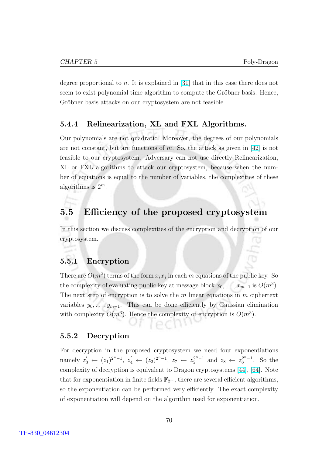degree proportional to n. It is explained in [\[31\]](#page-86-0) that in this case there does not seem to exist polynomial time algorithm to compute the Gröbner basis. Hence, Gröbner basis attacks on our cryptosystem are not feasible.

#### 5.4.4 Relinearization, XL and FXL Algorithms.

Our polynomials are not quadratic. Moreover, the degrees of our polynomials are not constant, but are functions of m. So, the attack as given in  $[42]$  is not feasible to our cryptosystem. Adversary can not use directly Relinearization, XL or FXL algorithms to attack our cryptosystem, because when the number of equations is equal to the number of variables, the complexities of these algorithms is  $2^m$ .

#### 5.5 Efficiency of the proposed cryptosystem

In this section we discuss complexities of the encryption and decryption of our cryptosystem.

#### 5.5.1 Encryption

There are  $O(m^2)$  terms of the form  $x_i x_j$  in each m equations of the public key. So the complexity of evaluating public key at message block  $x_0, \ldots, x_{m-1}$  is  $O(m^3)$ . The next step of encryption is to solve the  $m$  linear equations in  $m$  ciphertext variables  $y_0, \ldots, y_{m-1}$ . This can be done efficiently by Gaussian elimination with complexity  $O(m^3)$ . Hence the complexity of encryption is  $O(m^3)$ .

#### 5.5.2 Decryption

For decryption in the proposed cryptosystem we need four exponentiations namely  $z'_3 \leftarrow (z_1)^{2^n-1}, z'_4 \leftarrow (z_2)^{2^n-1}, z_7 \leftarrow z_5^{2^n-1}$  and  $z_8 \leftarrow z_6^{2^n-1}$ . So the complexity of decryption is equivalent to Dragon cryptosystems [\[44\]](#page-86-0), [\[64\]](#page-88-0). Note that for exponentiation in finite fields  $\mathbb{F}_{2^m}$ , there are several efficient algorithms, so the exponentiation can be performed very efficiently. The exact complexity of exponentiation will depend on the algorithm used for exponentiation.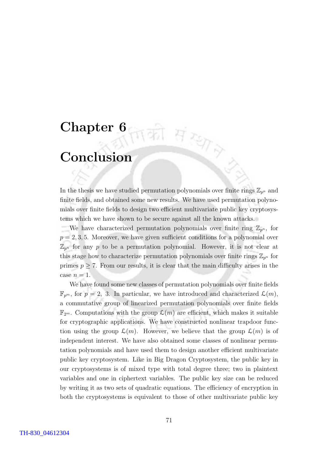# Chapter 6

### Conclusion

In the thesis we have studied permutation polynomials over finite rings  $\mathbb{Z}_{p^n}$  and finite fields, and obtained some new results. We have used permutation polynomials over finite fields to design two efficient multivariate public key cryptosystems which we have shown to be secure against all the known attacks.

की संस्था

We have characterized permutation polynomials over finite ring  $\mathbb{Z}_{p^n}$ , for  $p = 2, 3, 5$ . Moreover, we have given sufficient conditions for a polynomial over  $\mathbb{Z}_{p^n}$  for any p to be a permutation polynomial. However, it is not clear at this stage how to characterize permutation polynomials over finite rings  $\mathbb{Z}_{p^n}$  for primes  $p \geq 7$ . From our results, it is clear that the main difficulty arises in the case  $n = 1$ .

We have found some new classes of permutation polynomials over finite fields  $\mathbb{F}_{p^m}$ , for  $p=2, 3$ . In particular, we have introduced and characterized  $\mathcal{L}(m)$ , a commutative group of linearized permutation polynomials over finite fields  $\mathbb{F}_{2^m}$ . Computations with the group  $\mathcal{L}(m)$  are efficient, which makes it suitable for cryptographic applications. We have constructed nonlinear trapdoor function using the group  $\mathcal{L}(m)$ . However, we believe that the group  $\mathcal{L}(m)$  is of independent interest. We have also obtained some classes of nonlinear permutation polynomials and have used them to design another efficient multivariate public key cryptosystem. Like in Big Dragon Cryptosystem, the public key in our cryptosystems is of mixed type with total degree three; two in plaintext variables and one in ciphertext variables. The public key size can be reduced by writing it as two sets of quadratic equations. The efficiency of encryption in both the cryptosystems is equivalent to those of other multivariate public key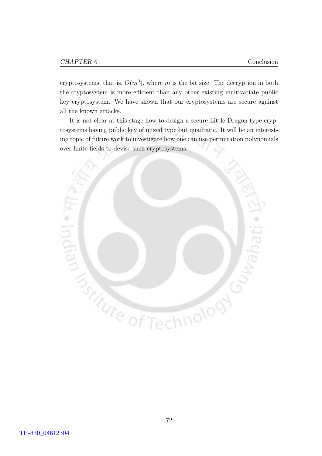cryptosystems, that is,  $O(m^3)$ , where m is the bit size. The decryption in both the cryptosystem is more efficient than any other existing multivariate public key cryptosystem. We have shown that our cryptosystems are secure against all the known attacks.

It is not clear at this stage how to design a secure Little Dragon type cryptosystems having public key of mixed type but quadratic. It will be an interesting topic of future work to investigate how one can use permutation polynomials over finite fields to devise such cryptosystems.

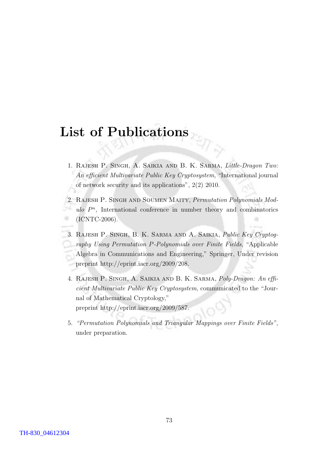# List of Publications

- 1. Rajesh P. Singh, A. Saikia and B. K. Sarma, Little-Dragon Two: An efficient Multivariate Public Key Cryptosystem, "International journal of network security and its applications", 2(2) 2010.
- 2. RAJESH P. SINGH AND SOUMEN MAITY, Permutation Polynomials Mod $ulo P<sup>n</sup>$ , International conference in number theory and combinatorics (ICNTC-2006).
- 3. Rajesh P. Singh, B. K. Sarma and A. Saikia, Public Key Cryptography Using Permutation P-Polynomials over Finite Fields, "Applicable Algebra in Communications and Engineering," Springer, Under revision preprint http://eprint.iacr.org/2009/208.
- 4. Rajesh P. Singh, A. Saikia and B. K. Sarma, Poly-Dragon: An efficient Multivariate Public Key Cryptosystem, communicated to the "Journal of Mathematical Cryptology," preprint http://eprint.iacr.org/2009/587.
- 5. "Permutation Polynomials and Triangular Mappings over Finite Fields", under preparation.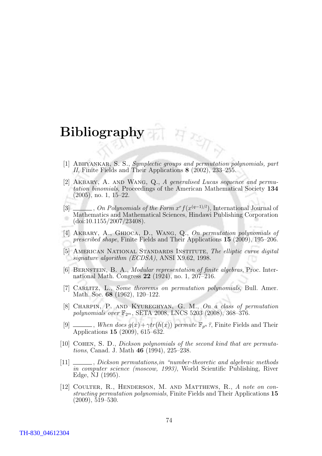# Bibliography

- [1] ABHYANKAR, S. S., Symplectic groups and permutation polynomials, part II, Finite Fields and Their Applications 8 (2002), 233–255.
- [2] AKBARY, A. AND WANG, Q., A generalised Lucas sequence and permutation binomials, Proceedings of the American Mathematical Society 134 (2005), no. 1, 15–22.
- [3]  $\ldots$ , On Polynomials of the Form  $x^r f(x^{(q-1)/l})$ , International Journal of Mathematics and Mathematical Sciences, Hindawi Publishing Corporation (doi:10.1155/2007/23408).
- [4] AKBARY, A., GHIOCA, D., WANG, Q., On permutation polynomials of prescribed shape, Finite Fields and Their Applications 15 (2009), 195–206.
- [5] AMERICAN NATIONAL STANDARDS INSTITUTE, The elliptic curve digital signature algorithm (ECDSA), ANSI X9.62, 1998.
- [6] Bernstein, B. A., Modular representation of finite algebras, Proc. International Math. Congress 22 (1924), no. 1, 207–216.
- [7] CARLITZ, L., Some theorems on permutation polynomials, Bull. Amer. Math. Soc. **68** (1962), 120–122.
- [8] Charpin, P. and Kyureghyan, G. M., On a class of permutation polynomials over  $\mathbb{F}_{2^m}$ , SETA 2008, LNCS 5203 (2008), 368-376.
- [9]  $\ldots$ , When does  $g(x) + \gamma tr(h(x))$  permute  $\mathbb{F}_{p^n}$ ?, Finite Fields and Their Applications 15 (2009), 615–632.
- [10] COHEN, S. D., *Dickson polynomials of the second kind that are permuta*tions, Canad. J. Math 46 (1994), 225–238.
- [11] \_\_\_\_\_\_, Dickson permutations, in "number-theoretic and algebraic methods in computer science (moscow, 1993), World Scientific Publishing, River Edge, NJ (1995).
- [12] Coulter, R., Henderson, M. and Matthews, R., A note on constructing permutation polynomials, Finite Fields and Their Applications 15 (2009), 519–530.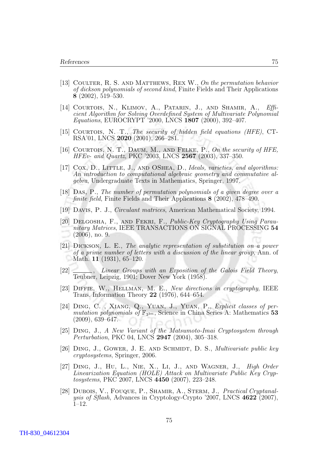- <span id="page-85-0"></span>[13] Coulter, R. S. and Matthews, Rex W., On the permutation behavior of dickson polynomials of second kind, Finite Fields and Their Applications 8 (2002), 519–530.
- [14] COURTOIS, N., KLIMOV, A., PATARIN, J., AND SHAMIR, A., Efficient Algorithm for Solving Overdefined System of Multivariate Polynomial Equations, EUROCRYPT '2000, LNCS 1807 (2000), 392–407.
- [15] COURTOIS, N. T., The security of hidden field equations (HFE), CT-RSA'01, LNCS 2020 (2001), 266–281.
- [16] Courtois, N. T., Daum, M., and Felke, P., On the security of HFE, HFEv- and Quartz, PKC '2003, LNCS 2567 (2003), 337–350.
- [17] COX, D., LITTLE, J., AND OSHEA, D., *Ideals, varieties, and algorithms:* An introduction to computational algebraic geometry and commutative algebra, Undergraduate Texts in Mathematics, Springer, 1997.
- [18] Das, P., The number of permutation polynomials of a given degree over a finite field, Finite Fields and Their Applications 8 (2002), 478–490.
- [19] Davis, P. J., Circulant matrices, American Mathematical Society, 1994.
- [20] DELGOSHA, F., AND FEKRI, F., Public-Key Cryptography Using Paraunitary Matrices, IEEE TRANSACTIONS ON SIGNAL PROCESSING 54 (2006), no. 9.
- [21] Dickson, L. E., The analytic representation of substitution on a power of a prime number of letters with a discussion of the linear group, Ann. of Math. **11** (1931), 65–120.
- [22] \_\_\_\_\_, Linear Groups with an Exposition of the Galois Field Theory, Teubner, Leipzig, 1901; Dover New York (1958).
- [23] DIFFIE, W., HELLMAN, M. E., New directions in cryptography, IEEE Trans. Information Theory 22 (1976), 644–654.
- [24] DING, C., XIANG, Q., YUAN, J., YUAN, P., Explicit classes of permutation polynomials of  $\mathbb{F}_{3^{3m}}$ , Science in China Series A: Mathematics 53 (2009), 639–647.
- [25] Ding, J., A New Variant of the Matsumoto-Imai Cryptosystem through Perturbation, PKC 04, LNCS 2947 (2004), 305–318.
- [26] DING, J., GOWER, J. E. AND SCHMIDT, D. S., *Multivariate public key* cryptosystems, Springer, 2006.
- [27] Ding, J., Hu, L., Nie, X., Li, J., and Wagner, J., High Order Linearization Equation (HOLE) Attack on Multivariate Public Key Cryptosystems, PKC 2007, LNCS 4450 (2007), 223–248.
- [28] Dubois, V., Fouque, P., Shamir, A., Sterm, J., Practical Cryptanalysis of Sflash, Advances in Cryptology-Crypto '2007, LNCS 4622 (2007), 1–12.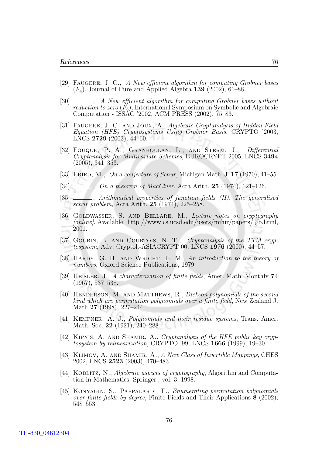- <span id="page-86-0"></span>[29] FAUGERE, J. C., A New efficient algorithm for computing Grobner bases  $(F_4)$ , Journal of Pure and Applied Algebra 139 (2002), 61–88.
- [30] , A New efficient algorithm for computing Grobner bases without reduction to zero  $(F_5)$ , International Symposium on Symbolic and Algebraic Computation - ISSAC '2002, ACM PRESS (2002), 75–83.
- [31] Faugere, J. C. and Joux, A., Algebraic Cryptanalysis of Hidden Field Equation (HFE) Cryptosystems Using Grobner Basis, CRYPTO '2003, LNCS 2729 (2003), 44–60.
- [32] Fouque, P. A., Granboulan, L., and Sterm, J., Differential Cryptanalysis for Multivariate Schemes, EUROCRYPT 2005, LNCS 3494 (2005), 341–353.
- [33] FRIED, M., On a conjecture of Schur, Michigan Math. J.  $17$  (1970), 41–55.
- [34]  $\frac{1}{2}$ , On a theorem of MacCluer, Acta Arith. 25 (1974), 121–126.
- [35]  $\_\_\_\_\$ , Arithmatical properties of function fields (II). The generalised schur problem, Acta Arith. 25 (1974), 225–258.
- [36] GOLDWASSER, S. AND BELLARE, M., Lecture notes on cryptography [online], Available: http://www.cs.ucsd.edu/users/mihir/papers/ gb.html, 2001.
- [37] GOUBIN, L. AND COURTOIS, N. T., Cryptanalysis of the TTM cryptosystem, Adv. Cryptol.-ASIACRYPT 00, LNCS 1976 (2000), 44–57.
- [38] HARDY, G. H. AND WRIGHT, E. M., An introduction to the theory of numbers, Oxford Science Publications, 1979.
- [39] Heisler, J., A characterization of finite fields, Amer. Math. Monthly 74 (1967), 537–538.
- [40] Henderson, M. and Matthews, R., Dickson polynomials of the second kind which are permutation polynomials over a finite field, New Zealand J. Math 27 (1998), 227–244.
- [41] KEMPNER, A. J., *Polynomials and their residue systems*, Trans. Amer. Math. Soc. 22 (1921), 240–288.
- [42] KIPNIS, A. AND SHAMIR, A., Cryptanalysis of the HFE public key cryptosystem by relinearization, CRYPTO '99, LNCS 1666 (1999), 19–30.
- [43] KLIMOV, A. AND SHAMIR, A., A New Class of Invertible Mappings, CHES 2002, LNCS 2523 (2003), 470–483.
- [44] KOBLITZ, N., Algebraic aspects of cryptography, Algorithm and Computation in Mathematics, Springer., vol. 3, 1998.
- [45] KONYAGIN, S., PAPPALARDI, F., *Enumerating permutation polynomials* over finite fields by degree, Finite Fields and Their Applications 8 (2002), 548–553.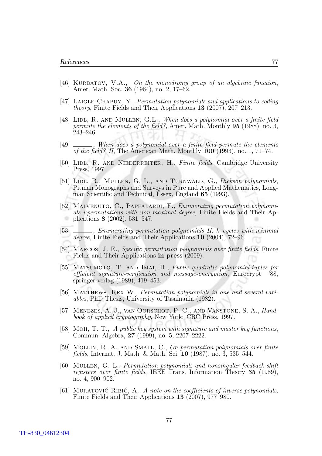- [46] KURBATOV, V.A., On the monodromy group of an algebraic function, Amer. Math. Soc. 36 (1964), no. 2, 17–62.
- [47] Laigle-Chapuy, Y., Permutation polynomials and applications to coding theory, Finite Fields and Their Applications 13 (2007), 207–213.
- [48] LIDL, R. AND MULLEN, G.L., When does a polynomial over a finite field permute the elements of the field?, Amer. Math. Monthly 95 (1988), no. 3, 243–246.
- [49] \_\_\_\_\_, When does a polynomial over a finite field permute the elements of the field? II, The American Math. Monthly  $100$  (1993), no. 1, 71–74.
- [50] LIDL, R. AND NIEDERREITER, H., Finite fields, Cambridge University Press, 1997.
- [51] LIDL, R., MULLEN, G. L., AND TURNWALD, G., Dickson polynomials, Pitman Monographs and Surveys in Pure and Applied Mathematics, Longman Scientific and Technical, Essex, England 65 (1993).
- [52] MALVENUTO, C., PAPPALARDI, F., *Enumerating permutation polynomi*als i:permutations with non-maximal degree, Finite Fields and Their Applications 8 (2002), 531–547.
- [53] \_\_\_\_\_, Enumerating permutation polynomials II: k cycles with minimal degree, Finite Fields and Their Applications 10 (2004), 72–96.
- [54] Marcos, J. E., Specific permutation polynomials over finite fields, Finite Fields and Their Applications in press (2009).
- [55] MATSUMOTO, T. AND IMAI, H., Public quadratic polynomial-tuples for efficient signature-verification and message-encryption, Eurocrypt '88, springer-verlag (1989), 419–453.
- [56] Matthews, Rex W., Permutation polynomials in one and several variables, PhD Thesis, University of Tasamania (1982).
- [57] Menezes, A. J., van Oorschot, P. C., and Vanstone, S. A., Handbook of applied cryptography, New York: CRC Press, 1997.
- [58] Moh, T. T., A public key system with signature and master key functions, Commun. Algebra, 27 (1999), no. 5, 2207–2222.
- [59] Mollin, R. A. and Small, C., On permutation polynomials over finite fields, Internat. J. Math. & Math. Sci. 10 (1987), no. 3, 535–544.
- [60] Mullen, G. L., Permutation polynomials and nonsingular feedback shift registers over finite fields, IEEE Trans. Information Theory 35 (1989), no. 4, 900–902.
- [61] MURATOVIC-RIBIC, A., A note on the coefficients of inverse polynomials, Finite Fields and Their Applications 13 (2007), 977–980.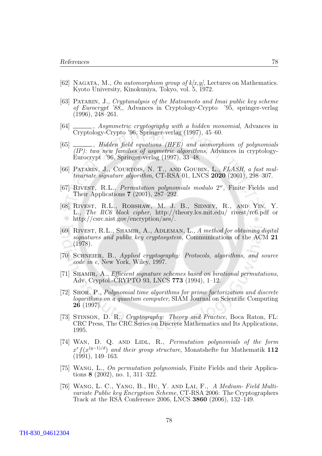- <span id="page-88-0"></span>[62] NAGATA, M., On automorphism group of  $k[x,y]$ , Lectures on Mathematics. Kyoto University, Kinokuniya, Tokyo, vol. 5, 1972.
- [63] Patarin, J., Cryptanalysis of the Matsumoto and Imai public key scheme of Eurocrypt '88,, Advances in Cryptology-Crypto '95, springer-verlag (1996), 248–261.
- [64]  $\qquad \qquad$ , Asymmetric cryptography with a hidden monomial, Advances in Cryptology-Crypto '96, Springer-verlag (1997), 45–60.
- [65] \_\_\_\_\_, Hidden field equations (HFE) and isomorphism of polynomials (IP): two new families of asymetric algorithms, Advances in cryptology-Eurocrypt '96, Springer-verlag (1997), 33–48.
- [66] Patarin, J., Courtois, N. T., and Goubin, L., FLASH, a fast multivariate signature algorithm, CT-RSA 01, LNCS 2020 (2001), 298–307.
- [67] RIVEST, R.L., *Permutation polynomials modulo*  $2^w$ , Finite Fields and Their Applications 7 (2001), 287–292.
- [68] Rivest, R.L., Robshaw, M. J. B., Sidney, R., and Yin, Y. L., The RC6 block cipher, http://theory.lcs.mit.edu/ rivest/rc6.pdf or http://csrc.nist.gov/encryption/aes/.
- [69] RIVEST, R.L., SHAMIR, A., ADLEMAN, L., A method for obtaining digital signatures and public key cryptosystem, Communications of the ACM 21 (1978).
- [70] Schneier, B., Applied cryptography: Protocols, algorithms, and source code in c, New York, Wiley, 1997.
- [71] SHAMIR, A., *Efficient signature schemes based on birational permutations*, Adv. Cryptol.-CRYPTO 93, LNCS 773 (1994), 1–12.
- [72] Shor, P., Polynomial time algorithms for prime factorization and discrete logarithms on a quantum computer, SIAM Journal on Scientific Computing 26 (1997).
- [73] Stinson, D. R., Cryptography: Theory and Practice, Boca Raton, FL: CRC Press, The CRC Series on Discrete Mathematics and Its Applications, 1995.
- [74] WAN, D. Q. AND LIDL, R., *Permutation polynomials of the form*  $x^r f(x^{(q-1)/d})$  and their group structure, Monatshefte fur Mathematik 112 (1991), 149–163.
- [75] WANG, L., On permutation polynomials, Finite Fields and their Applications 8 (2002), no. 1, 311–322.
- [76] Wang, L. C., Yang, B., Hu, Y. and Lai, F., A Medium- Field Multivariate Public key Encryption Scheme, CT-RSA 2006: The Cryptographers Track at the RSA Conference 2006, LNCS 3860 (2006), 132–149.